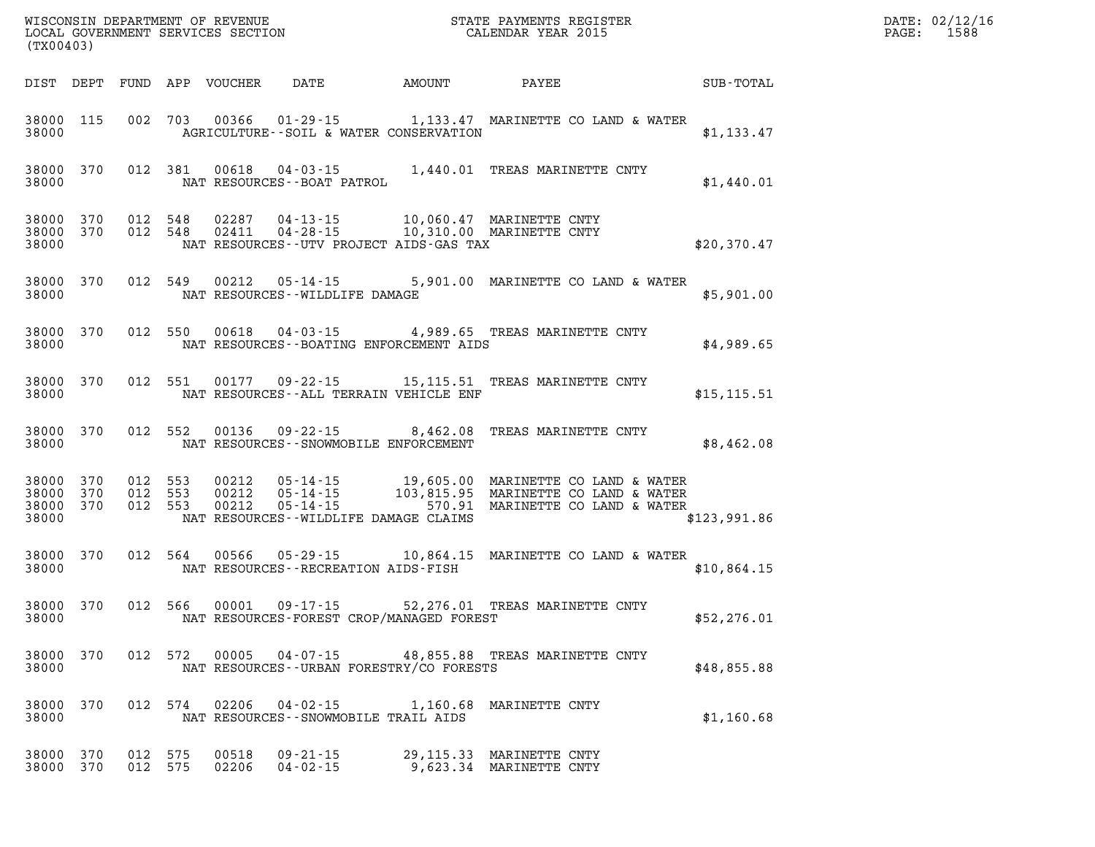|                        | WISCONSIN DEPARTMENT OF REVENUE<br>LOCAL GOVERNMENT SERVICES SECTION TERMS CONFINENTS REGISTER<br>CALENDAR YEAR 2015<br>(TX00403) |                    |         |                |                                                | $\mathbb{R}^n$ |                                                                                                                                                                                                      |              | $\mathtt{PAGE:}$ | DATE: 02/12/16<br>1588 |
|------------------------|-----------------------------------------------------------------------------------------------------------------------------------|--------------------|---------|----------------|------------------------------------------------|----------------|------------------------------------------------------------------------------------------------------------------------------------------------------------------------------------------------------|--------------|------------------|------------------------|
|                        |                                                                                                                                   |                    |         |                | DIST DEPT FUND APP VOUCHER DATE AMOUNT PAYEE   |                |                                                                                                                                                                                                      | SUB-TOTAL    |                  |                        |
| 38000                  |                                                                                                                                   |                    |         |                | AGRICULTURE--SOIL & WATER CONSERVATION         |                | 38000 115 002 703 00366 01-29-15 1,133.47 MARINETTE CO LAND & WATER                                                                                                                                  | \$1,133.47   |                  |                        |
| 38000                  |                                                                                                                                   |                    |         |                | NAT RESOURCES - - BOAT PATROL                  |                | 38000 370 012 381 00618 04-03-15 1,440.01 TREAS MARINETTE CNTY                                                                                                                                       | \$1,440.01   |                  |                        |
| 38000                  |                                                                                                                                   |                    |         |                | NAT RESOURCES--UTV PROJECT AIDS-GAS TAX        |                | $\begin{array}{cccccc} 38000 & 370 & 012 & 548 & 02287 & 04-13-15 & 10,060.47 & \text{MARINETTE CNTY} \\ 38000 & 370 & 012 & 548 & 02411 & 04-28-15 & 10,310.00 & \text{MARINETTE CNTY} \end{array}$ | \$20,370.47  |                  |                        |
| 38000                  |                                                                                                                                   |                    |         |                | NAT RESOURCES--WILDLIFE DAMAGE                 |                | 38000 370 012 549 00212 05-14-15 5,901.00 MARINETTE CO LAND & WATER                                                                                                                                  | \$5,901.00   |                  |                        |
|                        |                                                                                                                                   |                    |         |                | 38000 NAT RESOURCES - BOATING ENFORCEMENT AIDS |                | 38000 370 012 550 00618 04-03-15 4,989.65 TREAS MARINETTE CNTY                                                                                                                                       | \$4,989.65   |                  |                        |
|                        |                                                                                                                                   |                    |         |                | 38000 NAT RESOURCES--ALL TERRAIN VEHICLE ENF   |                | 38000 370 012 551 00177 09-22-15 15,115.51 TREAS MARINETTE CNTY                                                                                                                                      | \$15, 115.51 |                  |                        |
|                        |                                                                                                                                   |                    |         |                | 38000 NAT RESOURCES - SNOWMOBILE ENFORCEMENT   |                | 38000 370 012 552 00136 09-22-15 8,462.08 TREAS MARINETTE CNTY                                                                                                                                       | \$8,462.08   |                  |                        |
| 38000 370<br>38000     | 38000 370<br>38000 370                                                                                                            | 012 553<br>012 553 | 012 553 |                | NAT RESOURCES--WILDLIFE DAMAGE CLAIMS          |                |                                                                                                                                                                                                      | \$123,991.86 |                  |                        |
| 38000                  | 38000 370                                                                                                                         |                    |         |                | NAT RESOURCES--RECREATION AIDS-FISH            |                | 012 564 00566 05-29-15 10,864.15 MARINETTE CO LAND & WATER                                                                                                                                           | \$10,864.15  |                  |                        |
| 38000                  | 38000 370                                                                                                                         |                    |         |                | NAT RESOURCES-FOREST CROP/MANAGED FOREST       |                | 012 566 00001 09-17-15 52,276.01 TREAS MARINETTE CNTY                                                                                                                                                | \$52, 276.01 |                  |                        |
| 38000 370<br>38000     |                                                                                                                                   |                    | 012 572 |                | NAT RESOURCES - - URBAN FORESTRY/CO FORESTS    |                | 00005  04-07-15  48,855.88  TREAS MARINETTE CNTY                                                                                                                                                     | \$48,855.88  |                  |                        |
| 38000 370<br>38000     |                                                                                                                                   |                    | 012 574 |                | NAT RESOURCES - - SNOWMOBILE TRAIL AIDS        |                | 02206  04-02-15  1,160.68 MARINETTE CNTY                                                                                                                                                             | \$1,160.68   |                  |                        |
| 38000 370<br>38000 370 |                                                                                                                                   | 012 575<br>012 575 |         | 00518<br>02206 | $09 - 21 - 15$<br>$04 - 02 - 15$               |                | 29,115.33 MARINETTE CNTY<br>9,623.34 MARINETTE CNTY                                                                                                                                                  |              |                  |                        |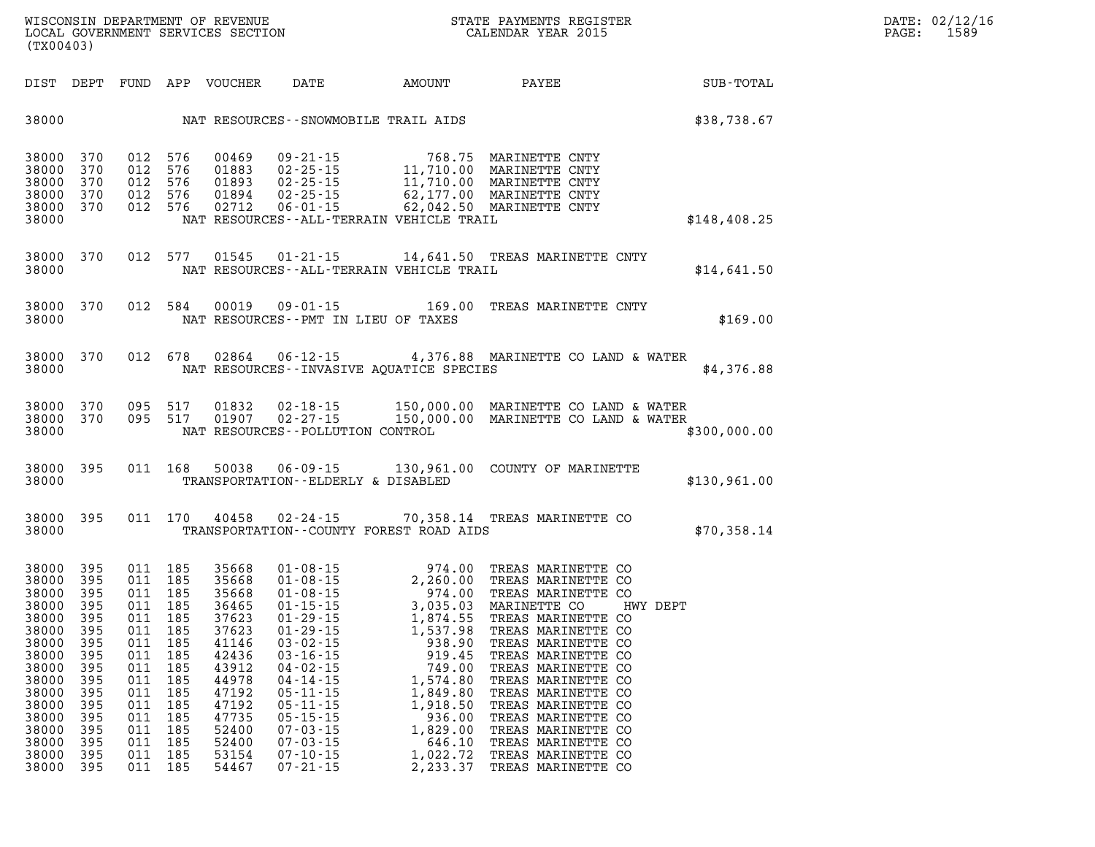| <b>DIST</b>                                                                                                                                           | DEPT                                                                                                                | FUND                                                                                                                | APP                                                                                                                 | VOUCHER                                                                                                                                               | <b>DATE</b>                                                                                                                                                                                                          | <b>AMOUNT</b>                                                                                                                                                                                                                                                                                                                                                                                                                          | PAYEE                                                                                                                                                                                                                                                                                                                                                                        | SUB-TOTAL    |
|-------------------------------------------------------------------------------------------------------------------------------------------------------|---------------------------------------------------------------------------------------------------------------------|---------------------------------------------------------------------------------------------------------------------|---------------------------------------------------------------------------------------------------------------------|-------------------------------------------------------------------------------------------------------------------------------------------------------|----------------------------------------------------------------------------------------------------------------------------------------------------------------------------------------------------------------------|----------------------------------------------------------------------------------------------------------------------------------------------------------------------------------------------------------------------------------------------------------------------------------------------------------------------------------------------------------------------------------------------------------------------------------------|------------------------------------------------------------------------------------------------------------------------------------------------------------------------------------------------------------------------------------------------------------------------------------------------------------------------------------------------------------------------------|--------------|
| 38000                                                                                                                                                 |                                                                                                                     |                                                                                                                     |                                                                                                                     |                                                                                                                                                       |                                                                                                                                                                                                                      | NAT RESOURCES - - SNOWMOBILE TRAIL AIDS                                                                                                                                                                                                                                                                                                                                                                                                |                                                                                                                                                                                                                                                                                                                                                                              | \$38,738.67  |
| 38000<br>38000<br>38000<br>38000<br>38000<br>38000                                                                                                    | 370<br>370<br>370<br>370<br>370                                                                                     | 012<br>012<br>012<br>012<br>012                                                                                     | 576<br>576<br>576<br>576<br>576                                                                                     | 00469<br>01883<br>01893<br>01894<br>02712                                                                                                             | $09 - 21 - 15$<br>$02 - 25 - 15$<br>$02 - 25 - 15$<br>$02 - 25 - 15$<br>$04 - 25 - 15$<br>06 - 01 - 15                                                                                                               | 768.75<br>11,710.00<br>11,710.00<br>11,710.00<br>62,177.00<br>NAT RESOURCES--ALL-TERRAIN VEHICLE TRAIL                                                                                                                                                                                                                                                                                                                                 | MARINETTE CNTY<br>MARINETTE CNTY<br>MARINETTE CNTY<br>MARINETTE CNTY<br>62,042.50 MARINETTE CNTY                                                                                                                                                                                                                                                                             | \$148,408.25 |
| 38000<br>38000                                                                                                                                        | 370                                                                                                                 | 012                                                                                                                 | 577                                                                                                                 | 01545                                                                                                                                                 | $01 - 21 - 15$                                                                                                                                                                                                       | NAT RESOURCES - - ALL - TERRAIN VEHICLE TRAIL                                                                                                                                                                                                                                                                                                                                                                                          | 14,641.50 TREAS MARINETTE CNTY                                                                                                                                                                                                                                                                                                                                               | \$14,641.50  |
| 38000<br>38000                                                                                                                                        | 370                                                                                                                 | 012                                                                                                                 | 584                                                                                                                 | 00019                                                                                                                                                 | $09 - 01 - 15$                                                                                                                                                                                                       | 169.00<br>NAT RESOURCES - PMT IN LIEU OF TAXES                                                                                                                                                                                                                                                                                                                                                                                         | TREAS MARINETTE CNTY                                                                                                                                                                                                                                                                                                                                                         | \$169.00     |
| 38000<br>38000                                                                                                                                        | 370                                                                                                                 | 012                                                                                                                 | 678                                                                                                                 | 02864                                                                                                                                                 | $06 - 12 - 15$                                                                                                                                                                                                       | NAT RESOURCES--INVASIVE AOUATICE SPECIES                                                                                                                                                                                                                                                                                                                                                                                               | 4,376.88 MARINETTE CO LAND & WATER                                                                                                                                                                                                                                                                                                                                           | \$4,376.88   |
| 38000<br>38000<br>38000                                                                                                                               | 370<br>370                                                                                                          | 095<br>095                                                                                                          | 517<br>517                                                                                                          | 01832<br>01907                                                                                                                                        | $02 - 18 - 15$<br>$02 - 27 - 15$<br>NAT RESOURCES - - POLLUTION CONTROL                                                                                                                                              |                                                                                                                                                                                                                                                                                                                                                                                                                                        | 150,000.00 MARINETTE CO LAND & WATER<br>150,000.00 MARINETTE CO LAND & WATER                                                                                                                                                                                                                                                                                                 | \$300,000.00 |
| 38000<br>38000                                                                                                                                        | 395                                                                                                                 | 011                                                                                                                 | 168                                                                                                                 | 50038                                                                                                                                                 | $06 - 09 - 15$                                                                                                                                                                                                       | TRANSPORTATION--ELDERLY & DISABLED                                                                                                                                                                                                                                                                                                                                                                                                     | 130,961.00 COUNTY OF MARINETTE                                                                                                                                                                                                                                                                                                                                               | \$130,961.00 |
| 38000<br>38000                                                                                                                                        | 395                                                                                                                 | 011                                                                                                                 | 170                                                                                                                 | 40458                                                                                                                                                 | 02-24-15                                                                                                                                                                                                             | TRANSPORTATION--COUNTY FOREST ROAD AIDS                                                                                                                                                                                                                                                                                                                                                                                                | 70,358.14 TREAS MARINETTE CO                                                                                                                                                                                                                                                                                                                                                 | \$70,358.14  |
| 38000<br>38000<br>38000<br>38000<br>38000<br>38000<br>38000<br>38000<br>38000<br>38000<br>38000<br>38000<br>38000<br>38000<br>38000<br>38000<br>38000 | 395<br>395<br>395<br>395<br>395<br>395<br>395<br>395<br>395<br>395<br>395<br>395<br>395<br>395<br>395<br>395<br>395 | 011<br>011<br>011<br>011<br>011<br>011<br>011<br>011<br>011<br>011<br>011<br>011<br>011<br>011<br>011<br>011<br>011 | 185<br>185<br>185<br>185<br>185<br>185<br>185<br>185<br>185<br>185<br>185<br>185<br>185<br>185<br>185<br>185<br>185 | 35668<br>35668<br>35668<br>36465<br>37623<br>37623<br>41146<br>42436<br>43912<br>44978<br>47192<br>47192<br>47735<br>52400<br>52400<br>53154<br>54467 | $01 - 08 - 15$<br>$01 - 08 - 15$<br>$01 - 08 - 15$<br>$01 - 15 - 15$<br>$01 - 29 - 15$<br>$01 - 29 - 15$<br>$05 - 11 - 15$<br>$05 - 15 - 15$<br>$07 - 03 - 15$<br>$07 - 03 - 15$<br>$07 - 10 - 15$<br>$07 - 21 - 15$ | 974.00<br>2,260.00<br>974.00<br>3,035.03<br>1,874.55<br>1,537.98<br>$\begin{array}{cccc} 01\text{-}29\text{-}15 & 1,537.98 \\ 03\text{-}02\text{-}15 & 938.90 \\ 03\text{-}16\text{-}15 & 919.45 \\ 04\text{-}02\text{-}15 & 749.00 \\ 04\text{-}14\text{-}15 & 1,574.80 \\ 05\text{-}11\text{-}15 & 1,849.80 \\ \end{array}$<br>$\overline{1}, \overline{8}49.80$<br>1,918.50<br>936.00<br>1,829.00<br>646.10<br>1,022.72<br>2,233.37 | TREAS MARINETTE CO<br>TREAS MARINETTE CO<br>TREAS MARINETTE CO<br>MARINETTE CO<br>TREAS MARINETTE CO<br>TREAS MARINETTE CO<br>TREAS MARINETTE CO<br>TREAS MARINETTE CO<br>TREAS MARINETTE CO<br>TREAS MARINETTE CO<br>TREAS MARINETTE CO<br>TREAS MARINETTE CO<br>TREAS MARINETTE CO<br>TREAS MARINETTE CO<br>TREAS MARINETTE CO<br>TREAS MARINETTE CO<br>TREAS MARINETTE CO | HWY DEPT     |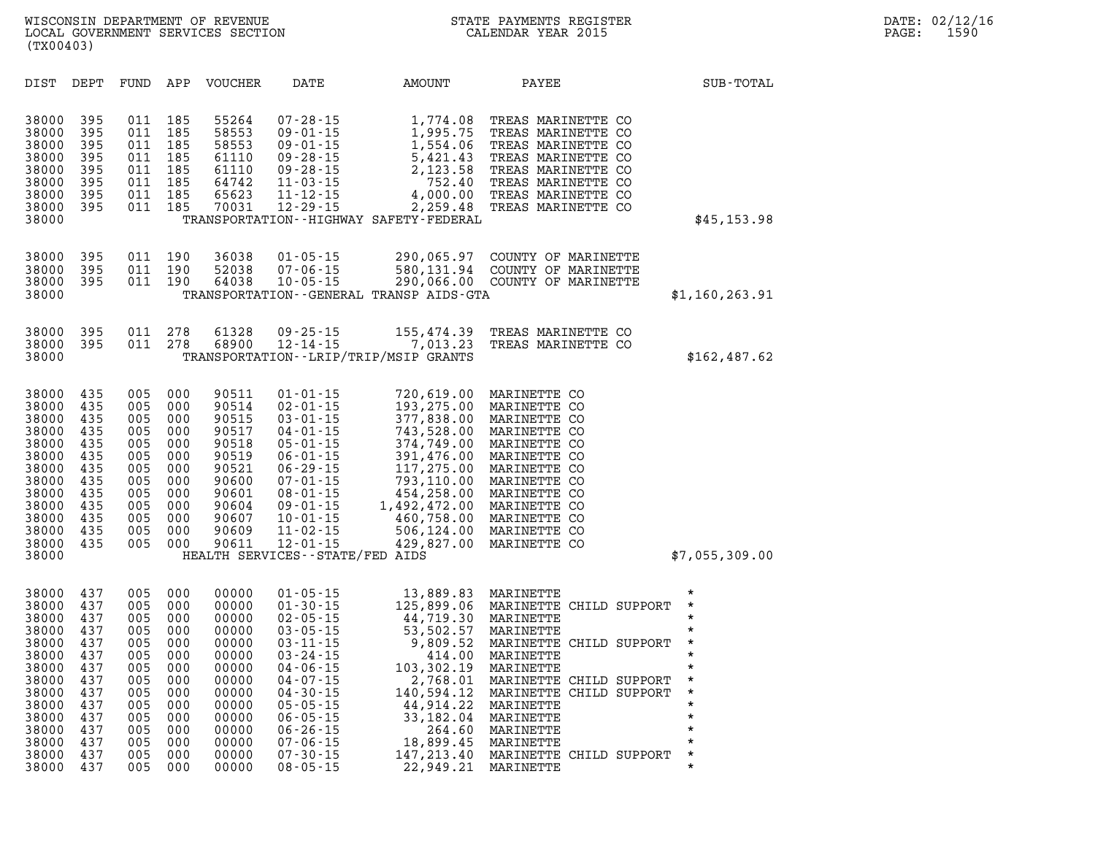| DIST                                                                                                                       | DEPT                                                                                           | FUND                                                                                           | APP                                                                                            | <b>VOUCHER</b>                                                                                                             | DATE                                                                                                                                                                                                                                                                      | AMOUNT                                                                                                                                                                               | PAYEE                                                                                                                                                                                                                                                       | SUB-TOTAL                                                                                                                             |
|----------------------------------------------------------------------------------------------------------------------------|------------------------------------------------------------------------------------------------|------------------------------------------------------------------------------------------------|------------------------------------------------------------------------------------------------|----------------------------------------------------------------------------------------------------------------------------|---------------------------------------------------------------------------------------------------------------------------------------------------------------------------------------------------------------------------------------------------------------------------|--------------------------------------------------------------------------------------------------------------------------------------------------------------------------------------|-------------------------------------------------------------------------------------------------------------------------------------------------------------------------------------------------------------------------------------------------------------|---------------------------------------------------------------------------------------------------------------------------------------|
| 38000<br>38000<br>38000<br>38000<br>38000<br>38000<br>38000<br>38000<br>38000                                              | 395<br>395<br>395<br>395<br>395<br>395<br>395<br>395                                           | 011<br>011<br>011<br>011<br>011<br>011<br>011<br>011                                           | 185<br>185<br>185<br>185<br>185<br>185<br>185<br>185                                           | 55264<br>58553<br>58553<br>61110<br>61110<br>64742<br>65623<br>70031                                                       | $07 - 28 - 15$<br>$09 - 01 - 15$<br>$09 - 01 - 15$<br>$09 - 28 - 15$<br>$09 - 28 - 15$<br>$11 - 03 - 15$<br>$11 - 12 - 15$<br>$12 - 29 - 15$                                                                                                                              | 1,774.08<br>1,995.75<br>1,554.06<br>5,421.43<br>2,123.58<br>752.40<br>4,000.00<br>2,259.48<br>TRANSPORTATION - - HIGHWAY SAFETY - FEDERAL                                            | TREAS MARINETTE CO<br>TREAS MARINETTE CO<br>TREAS MARINETTE CO<br>TREAS MARINETTE CO<br>TREAS MARINETTE CO<br>TREAS MARINETTE CO<br>TREAS MARINETTE CO<br>TREAS MARINETTE CO                                                                                | \$45,153.98                                                                                                                           |
| 38000<br>38000<br>38000<br>38000                                                                                           | 395<br>395<br>395                                                                              | 011<br>011<br>011                                                                              | 190<br>190<br>190                                                                              | 36038<br>52038<br>64038                                                                                                    | $01 - 05 - 15$<br>$07 - 06 - 15$<br>$10 - 05 - 15$                                                                                                                                                                                                                        | 290,065.97<br>580,131.94<br>TRANSPORTATION - - GENERAL TRANSP AIDS - GTA                                                                                                             | COUNTY OF MARINETTE<br>COUNTY OF MARINETTE<br>290,066.00 COUNTY OF MARINETTE                                                                                                                                                                                | \$1,160,263.91                                                                                                                        |
| 38000<br>38000<br>38000                                                                                                    | 395<br>395                                                                                     | 011<br>011                                                                                     | 278<br>278                                                                                     | 61328<br>68900                                                                                                             | $09 - 25 - 15$<br>$12 - 14 - 15$                                                                                                                                                                                                                                          | 155,474.39<br>7,013.23<br>TRANSPORTATION - - LRIP/TRIP/MSIP GRANTS                                                                                                                   | TREAS MARINETTE CO<br>TREAS MARINETTE CO                                                                                                                                                                                                                    | \$162, 487.62                                                                                                                         |
| 38000<br>38000<br>38000<br>38000<br>38000<br>38000<br>38000<br>38000<br>38000<br>38000<br>38000<br>38000<br>38000<br>38000 | 435<br>435<br>435<br>435<br>435<br>435<br>435<br>435<br>435<br>435<br>435<br>435<br>435        | 005<br>005<br>005<br>005<br>005<br>005<br>005<br>005<br>005<br>005<br>005<br>005<br>005        | 000<br>000<br>000<br>000<br>000<br>000<br>000<br>000<br>000<br>000<br>000<br>000<br>000        | 90511<br>90514<br>90515<br>90517<br>90518<br>90519<br>90521<br>90600<br>90601<br>90604<br>90607<br>90609<br>90611          | $01 - 01 - 15$<br>$02 - 01 - 15$<br>$03 - 01 - 15$<br>$04 - 01 - 15$<br>$05 - 01 - 15$<br>$06 - 01 - 15$<br>$06 - 29 - 15$<br>$07 - 01 - 15$<br>$08 - 01 - 15$<br>$09 - 01 - 15$<br>$10 - 01 - 15$<br>$11 - 02 - 15$<br>$12 - 01 - 15$<br>HEALTH SERVICES--STATE/FED AIDS | 720,619.00<br>193,275.00<br>377,838.00<br>743,528.00<br>374,749.00<br>391,476.00<br>117,275.00<br>793,110.00<br>454,258.00<br>1,492,472.00<br>460,758.00<br>506,124.00<br>429,827.00 | MARINETTE CO<br>MARINETTE CO<br>MARINETTE CO<br>MARINETTE CO<br>MARINETTE CO<br>MARINETTE CO<br>MARINETTE CO<br>MARINETTE CO<br>MARINETTE<br>CO.<br>MARINETTE<br>CO<br>MARINETTE<br>CO<br>MARINETTE CO<br>MARINETTE CO                                      | \$7,055,309.00                                                                                                                        |
| 38000<br>38000<br>38000<br>38000<br>38000<br>38000<br>38000<br>38000<br>38000<br>38000<br>38000<br>38000<br>38000<br>38000 | 437<br>437<br>437<br>437<br>437<br>437<br>437<br>437<br>437<br>437<br>437<br>437<br>437<br>437 | 005<br>005<br>005<br>005<br>005<br>005<br>005<br>005<br>005<br>005<br>005<br>005<br>005<br>005 | 000<br>000<br>000<br>000<br>000<br>000<br>000<br>000<br>000<br>000<br>000<br>000<br>000<br>000 | 00000<br>00000<br>00000<br>00000<br>00000<br>00000<br>00000<br>00000<br>00000<br>00000<br>00000<br>00000<br>00000<br>00000 | $01 - 05 - 15$<br>$01 - 30 - 15$<br>$02 - 05 - 15$<br>$03 - 05 - 15$<br>$03 - 11 - 15$<br>$03 - 24 - 15$<br>04-06-15<br>$04 - 07 - 15$<br>$04 - 30 - 15$<br>$05 - 05 - 15$<br>$06 - 05 - 15$<br>$06 - 26 - 15$<br>$07 - 06 - 15$<br>$07 - 30 - 15$                        | 13,889.83<br>125,899.06<br>44,719.30<br>53,502.57<br>9,809.52<br>414.00<br>103,302.19<br>2,768.01<br>140,594.12<br>44,914.22<br>33,182.04<br>264.60<br>18,899.45<br>147,213.40       | MARINETTE<br>MARINETTE<br>CHILD SUPPORT<br>MARINETTE<br>MARINETTE<br>MARINETTE CHILD SUPPORT<br>MARINETTE<br>MARINETTE<br>MARINETTE CHILD SUPPORT<br>MARINETTE CHILD SUPPORT<br>MARINETTE<br>MARINETTE<br>MARINETTE<br>MARINETTE<br>MARINETTE CHILD SUPPORT | $^\star$<br>$\star$<br>*<br>$\star$<br>*<br>*<br>$\star$<br>$\star$<br>$\star$<br>$\star$<br>$\star$<br>$\star$<br>$\star$<br>$\star$ |

**38000 437 005 000 00000 08-05-15 22,949.21 MARINETTE \***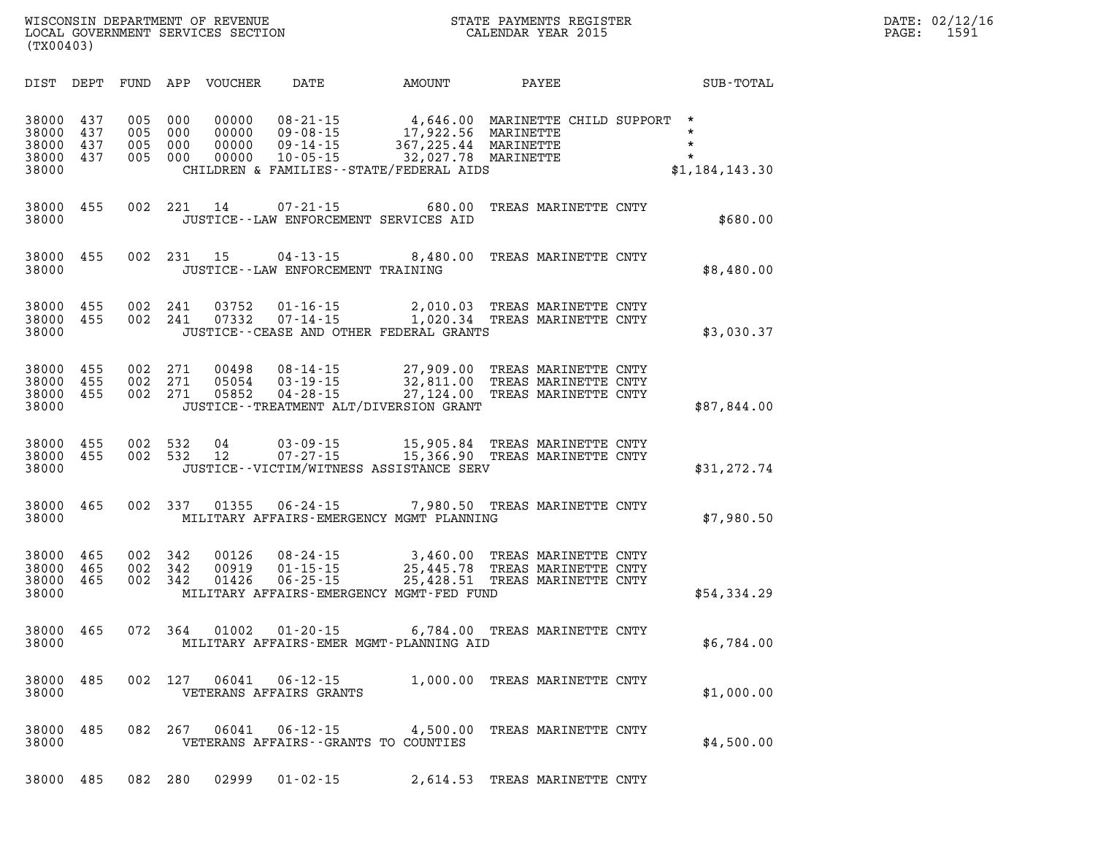| DATE: | 02/12/16 |
|-------|----------|
| PAGE: | 1591     |

| DIST                                      | DEPT                     | FUND                     | APP                      | <b>VOUCHER</b>                   | DATE                                                                 | AMOUNT                                                                                      | PAYEE                                                                | SUB-TOTAL                                                   |
|-------------------------------------------|--------------------------|--------------------------|--------------------------|----------------------------------|----------------------------------------------------------------------|---------------------------------------------------------------------------------------------|----------------------------------------------------------------------|-------------------------------------------------------------|
| 38000<br>38000<br>38000<br>38000<br>38000 | 437<br>437<br>437<br>437 | 005<br>005<br>005<br>005 | 000<br>000<br>000<br>000 | 00000<br>00000<br>00000<br>00000 | $08 - 21 - 15$<br>$09 - 08 - 15$<br>$09 - 14 - 15$<br>$10 - 05 - 15$ | 4,646.00<br>17,922.56<br>367,225.44<br>32,027.78<br>CHILDREN & FAMILIES--STATE/FEDERAL AIDS | MARINETTE CHILD SUPPORT<br>MARINETTE<br>MARINETTE<br>MARINETTE       | $^\star$<br>$\star$<br>$\star$<br>$\star$<br>\$1,184,143.30 |
| 38000<br>38000                            | 455                      | 002                      | 221                      | 14                               | $07 - 21 - 15$                                                       | 680.00<br>JUSTICE--LAW ENFORCEMENT SERVICES AID                                             | TREAS MARINETTE CNTY                                                 | \$680.00                                                    |
| 38000<br>38000                            | 455                      | 002                      | 231                      | 15                               | $04 - 13 - 15$<br>JUSTICE - - LAW ENFORCEMENT TRAINING               | 8,480.00                                                                                    | TREAS MARINETTE CNTY                                                 | \$8,480.00                                                  |
| 38000<br>38000<br>38000                   | 455<br>455               | 002<br>002               | 241<br>241               | 03752<br>07332                   | $01 - 16 - 15$<br>$07 - 14 - 15$                                     | 2,010.03<br>1,020.34<br>JUSTICE--CEASE AND OTHER FEDERAL GRANTS                             | TREAS MARINETTE CNTY<br>TREAS MARINETTE CNTY                         | \$3,030.37                                                  |
| 38000<br>38000<br>38000<br>38000          | 455<br>455<br>455        | 002<br>002<br>002        | 271<br>271<br>271        | 00498<br>05054<br>05852          | $08 - 14 - 15$<br>$03 - 19 - 15$<br>$04 - 28 - 15$                   | 27,909.00<br>32,811.00<br>27,124.00<br>JUSTICE - - TREATMENT ALT/DIVERSION GRANT            | TREAS MARINETTE CNTY<br>TREAS MARINETTE CNTY<br>TREAS MARINETTE CNTY | \$87,844.00                                                 |
| 38000<br>38000<br>38000                   | 455<br>455               | 002<br>002               | 532<br>532               | 04<br>12                         | $03 - 09 - 15$<br>$07 - 27 - 15$                                     | 15,905.84<br>15,366.90<br>JUSTICE--VICTIM/WITNESS ASSISTANCE SERV                           | TREAS MARINETTE CNTY<br>TREAS MARINETTE CNTY                         | \$31,272.74                                                 |
| 38000<br>38000                            | 465                      | 002                      | 337                      | 01355                            | $06 - 24 - 15$                                                       | 7,980.50<br>MILITARY AFFAIRS-EMERGENCY MGMT PLANNING                                        | TREAS MARINETTE CNTY                                                 | \$7,980.50                                                  |
| 38000<br>38000<br>38000<br>38000          | 465<br>465<br>465        | 002<br>002<br>002        | 342<br>342<br>342        | 00126<br>00919<br>01426          | $08 - 24 - 15$<br>$01 - 15 - 15$<br>$06 - 25 - 15$                   | 3,460.00<br>25,445.78<br>25,428.51<br>MILITARY AFFAIRS-EMERGENCY MGMT-FED FUND              | TREAS MARINETTE CNTY<br>TREAS MARINETTE CNTY<br>TREAS MARINETTE CNTY | \$54,334.29                                                 |
| 38000<br>38000                            | 465                      | 072                      | 364                      | 01002                            | $01 - 20 - 15$                                                       | 6,784.00<br>MILITARY AFFAIRS-EMER MGMT-PLANNING AID                                         | TREAS MARINETTE CNTY                                                 | \$6,784.00                                                  |
| 38000<br>38000                            | 485                      | 002                      | 127                      | 06041                            | $06 - 12 - 15$<br>VETERANS AFFAIRS GRANTS                            | 1,000.00                                                                                    | TREAS MARINETTE CNTY                                                 | \$1,000.00                                                  |
| 38000<br>38000                            | 485                      | 082                      | 267                      | 06041                            | $06 - 12 - 15$                                                       | 4,500.00<br>VETERANS AFFAIRS - - GRANTS TO COUNTIES                                         | TREAS MARINETTE CNTY                                                 | \$4,500.00                                                  |
| 38000                                     | 485                      | 082                      | 280                      | 02999                            | $01 - 02 - 15$                                                       | 2,614.53                                                                                    | TREAS MARINETTE CNTY                                                 |                                                             |

**WISCONSIN DEPARTMENT OF REVENUE STATE STATE PAYMENTS REGISTER**<br>LOCAL GOVERNMENT SERVICES SECTION STATE: OF BALENDAR YEAR 2015

LOCAL GOVERNMENT SERVICES SECTION

**(TX00403)**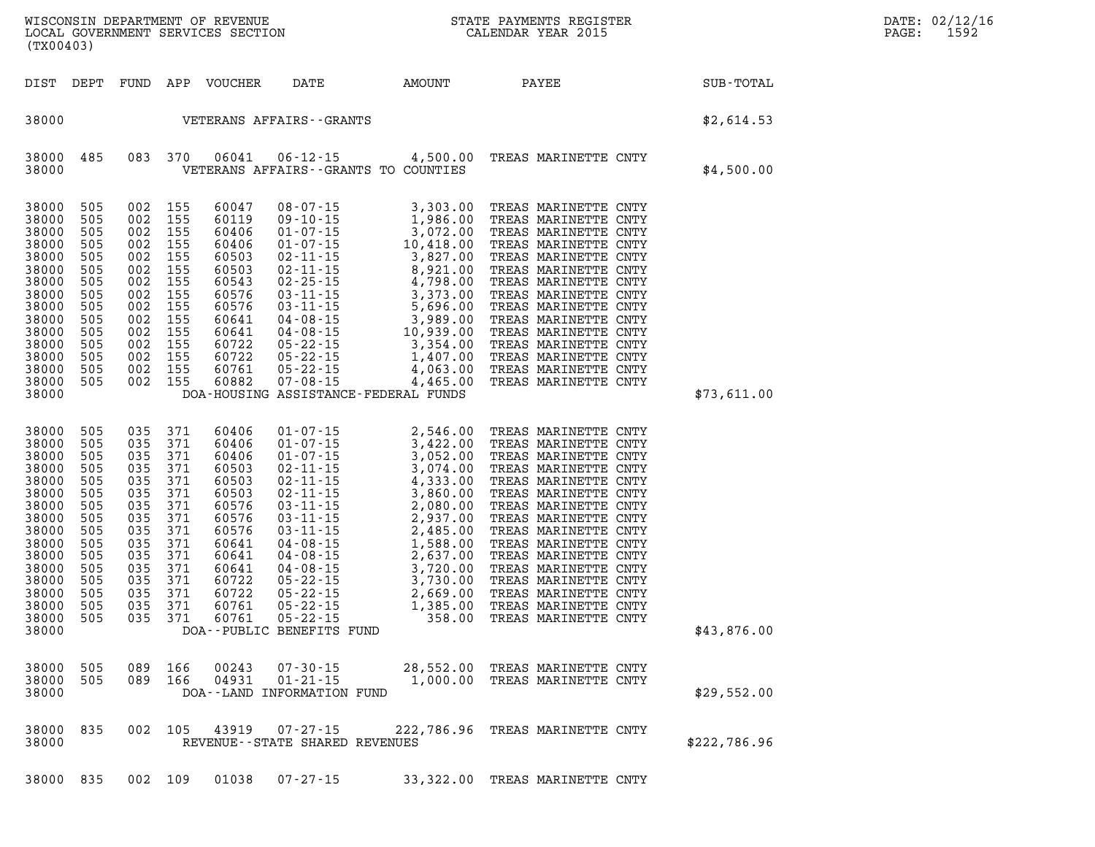| (TX00403)                                                                                                                                             |                                                                                                              |                                                                                                              |                                                                                                              |                                                                                                                                              |                                                          |                                                                                                                                                                                                                                                                                                                    |                                                                                                                                                                                                                                                                                                                                                                      |              |
|-------------------------------------------------------------------------------------------------------------------------------------------------------|--------------------------------------------------------------------------------------------------------------|--------------------------------------------------------------------------------------------------------------|--------------------------------------------------------------------------------------------------------------|----------------------------------------------------------------------------------------------------------------------------------------------|----------------------------------------------------------|--------------------------------------------------------------------------------------------------------------------------------------------------------------------------------------------------------------------------------------------------------------------------------------------------------------------|----------------------------------------------------------------------------------------------------------------------------------------------------------------------------------------------------------------------------------------------------------------------------------------------------------------------------------------------------------------------|--------------|
| DIST                                                                                                                                                  | DEPT                                                                                                         | FUND                                                                                                         | APP                                                                                                          |                                                                                                                                              | VOUCHER DATE AMOUNT                                      |                                                                                                                                                                                                                                                                                                                    | PAYEE                                                                                                                                                                                                                                                                                                                                                                | SUB-TOTAL    |
| 38000                                                                                                                                                 |                                                                                                              |                                                                                                              |                                                                                                              |                                                                                                                                              | VETERANS AFFAIRS - - GRANTS                              |                                                                                                                                                                                                                                                                                                                    |                                                                                                                                                                                                                                                                                                                                                                      | \$2,614.53   |
| 38000<br>38000                                                                                                                                        | 485                                                                                                          | 083                                                                                                          | 370                                                                                                          | 06041                                                                                                                                        |                                                          | VETERANS AFFAIRS -- GRANTS TO COUNTIES                                                                                                                                                                                                                                                                             | 06-12-15 4,500.00 TREAS MARINETTE CNTY                                                                                                                                                                                                                                                                                                                               | \$4,500.00   |
| 38000<br>38000<br>38000<br>38000<br>38000<br>38000<br>38000<br>38000<br>38000<br>38000<br>38000<br>38000<br>38000<br>38000<br>38000<br>38000          | 505<br>505<br>505<br>505<br>505<br>505<br>505<br>505<br>505<br>505<br>505<br>505<br>505<br>505<br>505        | 002<br>002<br>002<br>002<br>002<br>002<br>002<br>002<br>002<br>002<br>002<br>002<br>002<br>002<br>002        | 155<br>155<br>155<br>155<br>155<br>155<br>155<br>155<br>155<br>155<br>155<br>155<br>155<br>155<br>155        | 60047<br>60119<br>60406<br>60406<br>60503<br>60503<br>60543<br>60576<br>60576<br>60641<br>60641<br>60722<br>60722<br>60761<br>60882          |                                                          | 08-07-15<br>09-10-15<br>1,986.00<br>01-07-15<br>3,072.00<br>01-07-15<br>10,418.00<br>02-11-15<br>3,827.00<br>02-11-15<br>3,827.00<br>02-25-15<br>4,798.00<br>03-11-15<br>5,696.00<br>04-08-15<br>3,989.00<br>04-08-15<br>5,696.00<br>04-08-15<br>3,989.00<br>05-22-15<br>3<br>DOA-HOUSING ASSISTANCE-FEDERAL FUNDS | TREAS MARINETTE CNTY<br>TREAS MARINETTE CNTY<br>TREAS MARINETTE CNTY<br>TREAS MARINETTE CNTY<br>TREAS MARINETTE CNTY<br>TREAS MARINETTE CNTY<br>TREAS MARINETTE CNTY<br>TREAS MARINETTE CNTY<br>TREAS MARINETTE CNTY<br>TREAS MARINETTE CNTY<br>TREAS MARINETTE CNTY<br>TREAS MARINETTE CNTY<br>TREAS MARINETTE CNTY<br>TREAS MARINETTE CNTY<br>TREAS MARINETTE CNTY | \$73,611.00  |
| 38000<br>38000<br>38000<br>38000<br>38000<br>38000<br>38000<br>38000<br>38000<br>38000<br>38000<br>38000<br>38000<br>38000<br>38000<br>38000<br>38000 | 505<br>505<br>505<br>505<br>505<br>505<br>505<br>505<br>505<br>505<br>505<br>505<br>505<br>505<br>505<br>505 | 035<br>035<br>035<br>035<br>035<br>035<br>035<br>035<br>035<br>035<br>035<br>035<br>035<br>035<br>035<br>035 | 371<br>371<br>371<br>371<br>371<br>371<br>371<br>371<br>371<br>371<br>371<br>371<br>371<br>371<br>371<br>371 | 60406<br>60406<br>60406<br>60503<br>60503<br>60503<br>60576<br>60576<br>60576<br>60641<br>60641<br>60641<br>60722<br>60722<br>60761<br>60761 | DOA--PUBLIC BENEFITS FUND                                |                                                                                                                                                                                                                                                                                                                    |                                                                                                                                                                                                                                                                                                                                                                      | \$43,876.00  |
| 38000<br>38000<br>38000                                                                                                                               | 505<br>505                                                                                                   | 089<br>089                                                                                                   | 166<br>166                                                                                                   | 00243<br>04931                                                                                                                               | 07-30-15<br>$01 - 21 - 15$<br>DOA--LAND INFORMATION FUND |                                                                                                                                                                                                                                                                                                                    | 28,552.00 TREAS MARINETTE CNTY<br>1,000.00 TREAS MARINETTE CNTY                                                                                                                                                                                                                                                                                                      | \$29,552.00  |
| 38000<br>38000                                                                                                                                        | 835                                                                                                          | 002                                                                                                          | 105                                                                                                          | 43919                                                                                                                                        | 07-27-15<br>REVENUE - - STATE SHARED REVENUES            |                                                                                                                                                                                                                                                                                                                    | 222,786.96 TREAS MARINETTE CNTY                                                                                                                                                                                                                                                                                                                                      | \$222,786.96 |

**DATE: 02/12/16<br>PAGE: 1592** 

**38000 835 002 109 01038 07-27-15 33,322.00 TREAS MARINETTE CNTY**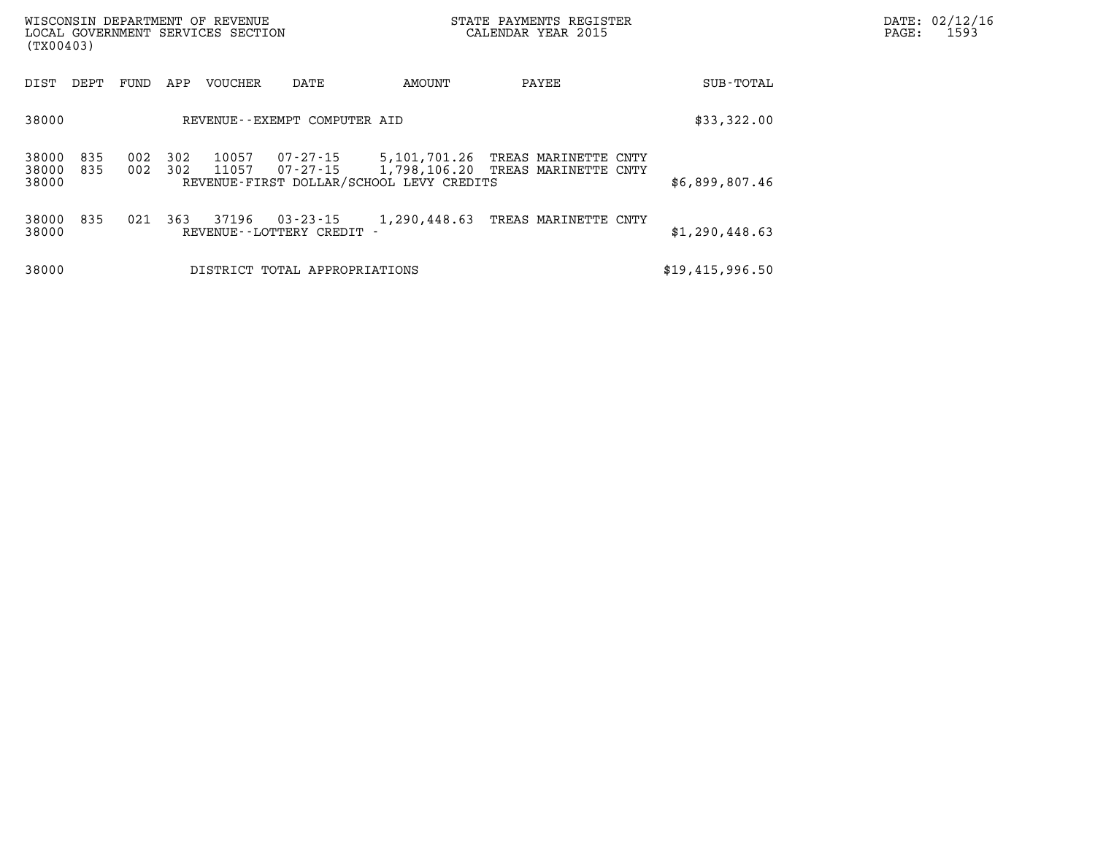| WISCONSIN DEPARTMENT OF REVENUE<br>LOCAL GOVERNMENT SERVICES SECTION<br>(TX00403) |            |            |            |                |                                        |                                          | STATE PAYMENTS REGISTER<br>CALENDAR YEAR 2015                          | DATE: 02/12/16<br>$\mathtt{PAGE:}$<br>1593 |  |
|-----------------------------------------------------------------------------------|------------|------------|------------|----------------|----------------------------------------|------------------------------------------|------------------------------------------------------------------------|--------------------------------------------|--|
| DIST                                                                              | DEPT       | FUND       | APP        | VOUCHER        | DATE                                   | AMOUNT                                   | PAYEE                                                                  | SUB-TOTAL                                  |  |
| 38000                                                                             |            |            |            |                | REVENUE--EXEMPT COMPUTER AID           |                                          |                                                                        | \$33,322.00                                |  |
| 38000<br>38000<br>38000                                                           | 835<br>835 | 002<br>002 | 302<br>302 | 10057<br>11057 | 07-27-15<br>07-27-15                   | REVENUE-FIRST DOLLAR/SCHOOL LEVY CREDITS | 5,101,701.26 TREAS MARINETTE CNTY<br>1,798,106.20 TREAS MARINETTE CNTY | \$6,899,807.46                             |  |
| 38000 835<br>38000                                                                |            | 021        | 363        | 37196          | 03-23-15<br>REVENUE - - LOTTERY CREDIT | 1,290,448.63                             | TREAS MARINETTE CNTY                                                   | \$1,290,448.63                             |  |
| 38000                                                                             |            |            |            |                | DISTRICT TOTAL APPROPRIATIONS          |                                          |                                                                        | \$19,415,996.50                            |  |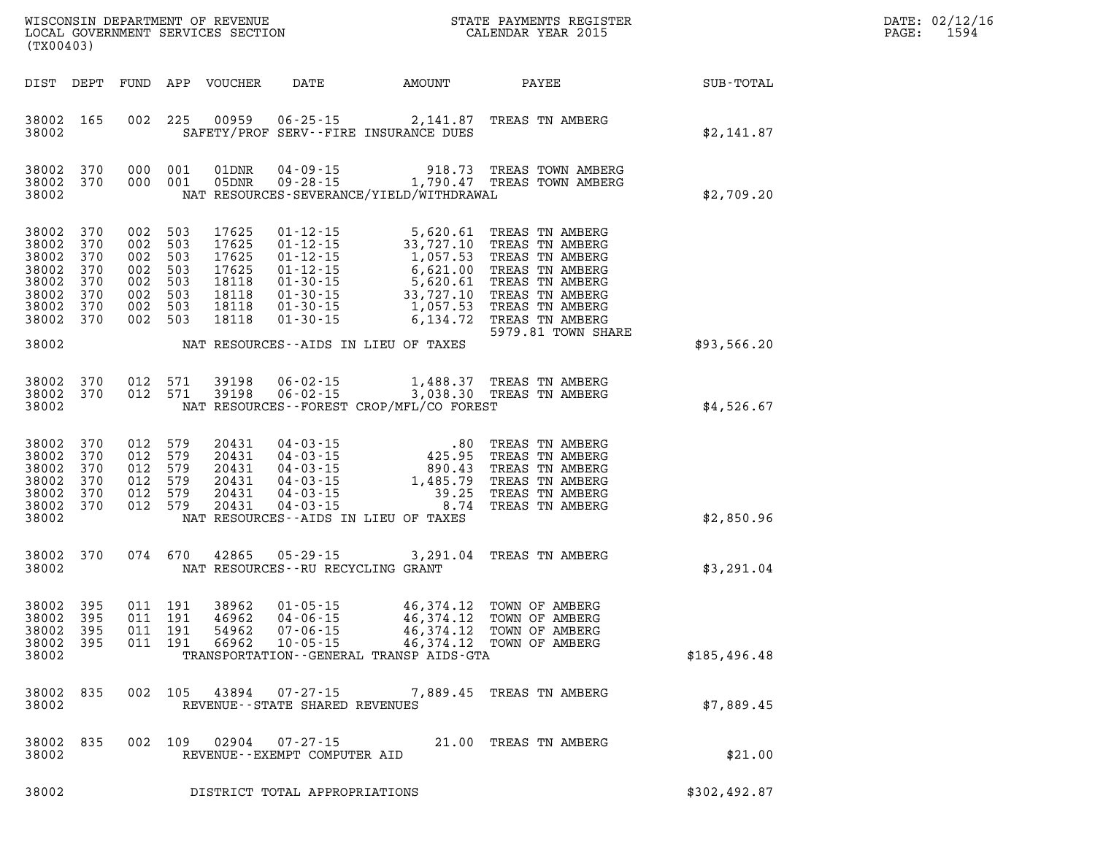| DATE: | 02/12/16 |
|-------|----------|
| PAGE: | 1594     |

| (TX00403)                                                                                         |                         |                               |                                                                |                                                                      |                                     |                                                                                                                                                                                                                                       |                                                                                                                                                                                                                                                                            |                  | DATE: 02/12/1<br>1594<br>PAGE: |
|---------------------------------------------------------------------------------------------------|-------------------------|-------------------------------|----------------------------------------------------------------|----------------------------------------------------------------------|-------------------------------------|---------------------------------------------------------------------------------------------------------------------------------------------------------------------------------------------------------------------------------------|----------------------------------------------------------------------------------------------------------------------------------------------------------------------------------------------------------------------------------------------------------------------------|------------------|--------------------------------|
|                                                                                                   |                         |                               |                                                                | DIST DEPT FUND APP VOUCHER                                           |                                     | DATE AMOUNT PAYEE                                                                                                                                                                                                                     |                                                                                                                                                                                                                                                                            | <b>SUB-TOTAL</b> |                                |
| 38002 165<br>38002                                                                                |                         |                               |                                                                |                                                                      |                                     | SAFETY/PROF SERV--FIRE INSURANCE DUES                                                                                                                                                                                                 | 002 225 00959 06-25-15 2,141.87 TREAS TN AMBERG                                                                                                                                                                                                                            | \$2,141.87       |                                |
| 38002 370<br>38002                                                                                | 38002 370               |                               | 000 001<br>000 001                                             |                                                                      |                                     | NAT RESOURCES-SEVERANCE/YIELD/WITHDRAWAL                                                                                                                                                                                              | 01DNR  04-09-15  918.73  TREAS TOWN AMBERG<br>05DNR  09-28-15   1,790.47  TREAS TOWN AMBERG                                                                                                                                                                                | \$2,709.20       |                                |
| 38002 370<br>38002 370<br>38002<br>38002<br>38002 370<br>38002<br>38002 370<br>38002 370<br>38002 | 370<br>370<br>370       | 002 503<br>002 503<br>002 503 | 002 503<br>002 503<br>002 503<br>002 503<br>002 503            | 17625<br>17625<br>17625<br>17625<br>18118<br>18118<br>18118<br>18118 |                                     | NAT RESOURCES--AIDS IN LIEU OF TAXES                                                                                                                                                                                                  | 01-12-15 5,620.61 TREAS TN AMBERG<br>01-12-15 33,727.10 TREAS TN AMBERG<br>01-12-15 1,057.53 TREAS TN AMBERG<br>01-12-15 6,621.00 TREAS TN AMBERG<br>01-30-15 5,620.61 TREAS TN AMBERG<br>01-30-15 33,727.10 TREAS TN AMBERG<br>01-30-15 1<br>5979.81 TOWN SHARE           | \$93,566.20      |                                |
| 38002 370<br>38002 370<br>38002                                                                   |                         |                               |                                                                | 012 571 39198<br>012 571 39198                                       |                                     | NAT RESOURCES--FOREST CROP/MFL/CO FOREST                                                                                                                                                                                              | 06-02-15 1,488.37 TREAS TN AMBERG<br>06-02-15 3,038.30 TREAS TN AMBERG                                                                                                                                                                                                     | \$4,526.67       |                                |
| 38002<br>38002<br>38002 370<br>38002 370<br>38002 370<br>38002                                    | 38002 370<br>370<br>370 |                               | 012 579<br>012 579<br>012 579<br>012 579<br>012 579<br>012 579 | 20431<br>20431<br>20431<br>20431<br>20431<br>20431                   |                                     | NAT RESOURCES--AIDS IN LIEU OF TAXES                                                                                                                                                                                                  | 04-03-15<br>04-03-15<br>04-03-15<br>04-03-15<br>04-03-15<br>04-03-15<br>04-03-15<br>04-03-15<br>04-03-15<br>04-03-15<br>04-03-15<br>04-03-15<br>04-03-15<br>04-03-15<br>04-03-15<br>04-03-15<br>04-03-15<br>04-03-15<br>04-03-15<br>04-03-15<br>04-03-15<br>04-03-15<br>04 | \$2,850.96       |                                |
| 38002 370<br>38002                                                                                |                         |                               |                                                                | 074 670 42865                                                        | NAT RESOURCES -- RU RECYCLING GRANT |                                                                                                                                                                                                                                       | 05-29-15 3,291.04 TREAS TN AMBERG                                                                                                                                                                                                                                          | \$3,291.04       |                                |
| 38002 395<br>38002 395<br>38002 395<br>38002                                                      | 38002 395               |                               | 011 191<br>011 191<br>011 191                                  | 38962<br>46962<br>54962                                              | $07 - 06 - 15$                      | 01-05-15 46,374.12 TOWN OF AMBERG<br>04-06-15 46,374.12 TOWN OF AMBERG<br>07-06-15 46.374.12 TOWN OF AMBERG<br>46,374.12 TOWN OF AMBERG<br>011 191 66962 10-05-15 46,374.12 TOWN OF AMBERG<br>TRANSPORTATION--GENERAL TRANSP AIDS-GTA |                                                                                                                                                                                                                                                                            | \$185,496.48     |                                |
| 38002 835<br>38002                                                                                |                         |                               |                                                                |                                                                      | REVENUE - - STATE SHARED REVENUES   |                                                                                                                                                                                                                                       | 002 105 43894 07-27-15 7,889.45 TREAS TN AMBERG                                                                                                                                                                                                                            | \$7,889.45       |                                |
| 38002                                                                                             | 38002 835               |                               |                                                                |                                                                      | REVENUE--EXEMPT COMPUTER AID        |                                                                                                                                                                                                                                       | 002 109 02904 07-27-15 21.00 TREAS TN AMBERG                                                                                                                                                                                                                               | \$21.00          |                                |
| 38002                                                                                             |                         |                               |                                                                |                                                                      | DISTRICT TOTAL APPROPRIATIONS       |                                                                                                                                                                                                                                       |                                                                                                                                                                                                                                                                            | \$302,492.87     |                                |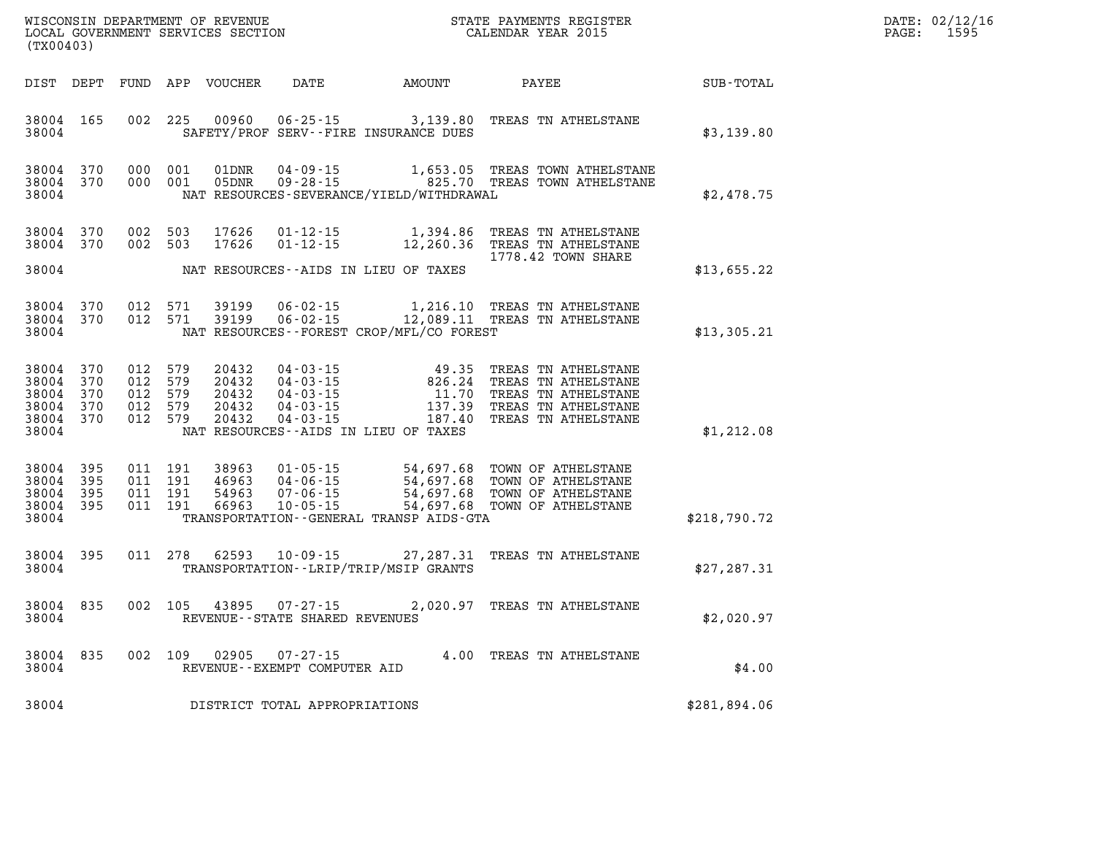| DATE: | 02/12/16 |
|-------|----------|
| PAGE: | 1595     |

| WISCONSIN DEPARTMENT OF REVENUE<br>LOCAL GOVERNMENT SERVICES SECTION<br>(TX00403) |                                       |         |                                          |                                           |                                                     |                                                                                                                                                                                                             | STATE PAYMENTS REGISTER<br>CALENDAR YEAR 2015       |                  | DATE: 02/12/1<br>PAGE:<br>1595 |
|-----------------------------------------------------------------------------------|---------------------------------------|---------|------------------------------------------|-------------------------------------------|-----------------------------------------------------|-------------------------------------------------------------------------------------------------------------------------------------------------------------------------------------------------------------|-----------------------------------------------------|------------------|--------------------------------|
|                                                                                   | DIST DEPT                             |         |                                          | FUND APP VOUCHER                          |                                                     | DATE AMOUNT PAYEE                                                                                                                                                                                           |                                                     | <b>SUB-TOTAL</b> |                                |
| 38004                                                                             | 38004 165                             |         | 002 225                                  | 00960                                     |                                                     | 06-25-15 3,139.80 TREAS TN ATHELSTANE<br>SAFETY/PROF SERV--FIRE INSURANCE DUES                                                                                                                              |                                                     | \$3,139.80       |                                |
| 38004                                                                             | 38004 370<br>38004 370                |         | 000 001<br>000 001                       | 01DNR<br>05DNR                            |                                                     | NAT RESOURCES-SEVERANCE/YIELD/WITHDRAWAL                                                                                                                                                                    |                                                     | \$2,478.75       |                                |
|                                                                                   | 38004 370<br>38004 370                |         | 002 503<br>002 503                       | 17626<br>17626                            | $01 - 12 - 15$                                      | 01-12-15 1,394.86 TREAS TN ATHELSTANE                                                                                                                                                                       | 12,260.36 TREAS TN ATHELSTANE<br>1778.42 TOWN SHARE |                  |                                |
| 38004                                                                             |                                       |         |                                          |                                           |                                                     | NAT RESOURCES--AIDS IN LIEU OF TAXES                                                                                                                                                                        |                                                     | \$13,655.22      |                                |
| 38004                                                                             | 38004 370<br>38004 370                |         | 012 571<br>012 571                       | 39199<br>39199                            |                                                     | 06-02-15 1,216.10 TREAS TN ATHELSTANE<br>06-02-15 12,089.11 TREAS TN ATHELSTANE<br>NAT RESOURCES--FOREST CROP/MFL/CO FOREST                                                                                 |                                                     | \$13,305.21      |                                |
| 38004<br>38004<br>38004<br>38004<br>38004                                         | 370<br>370<br>370<br>370<br>38004 370 | 012 579 | 012 579<br>012 579<br>012 579<br>012 579 | 20432<br>20432<br>20432<br>20432<br>20432 |                                                     | 04-03-15<br>04-03-15<br>04-03-15<br>04-03-15<br>04-03-15<br>04-03-15<br>04-03-15<br>137.39 TREAS TN ATHELSTANE<br>04-03-15<br>187.40 TREAS TN ATHELSTANE<br>NAT RESOURCES--AIDS IN LIEU OF TAXES            |                                                     | \$1,212.08       |                                |
| 38004<br>38004<br>38004<br>38004                                                  | 395<br>395<br>395<br>38004 395        |         | 011 191<br>011 191<br>011 191<br>011 191 | 38963<br>46963<br>54963<br>66963          | $10 - 05 - 15$                                      | 01-05-15 54,697.68 TOWN OF ATHELSTANE<br>04-06-15 54,697.68 TOWN OF ATHELSTANE<br>07-06-15 54,697.68 TOWN OF ATHELSTANE<br>10-05-15 54,697.68 TOWN OF ATHELSTANE<br>TRANSPORTATION--GENERAL TRANSP AIDS-GTA | 54,697.68 TOWN OF ATHELSTANE                        | \$218,790.72     |                                |
| 38004                                                                             | 38004 395                             |         | 011 278                                  | 62593                                     |                                                     | 10-09-15 27, 287.31 TREAS TN ATHELSTANE<br>TRANSPORTATION - - LRIP/TRIP/MSIP GRANTS                                                                                                                         |                                                     | \$27,287.31      |                                |
| 38004<br>38004                                                                    | 835                                   |         | 002 105                                  | 43895                                     | $07 - 27 - 15$<br>REVENUE - - STATE SHARED REVENUES |                                                                                                                                                                                                             | 2,020.97 TREAS TN ATHELSTANE                        | \$2,020.97       |                                |
| 38004<br>38004                                                                    | 835                                   |         | 002 109                                  | 02905                                     | $07 - 27 - 15$<br>REVENUE--EXEMPT COMPUTER AID      | 4.00 TREAS TN ATHELSTANE                                                                                                                                                                                    |                                                     | \$4.00           |                                |
| 38004                                                                             |                                       |         |                                          |                                           | DISTRICT TOTAL APPROPRIATIONS                       |                                                                                                                                                                                                             |                                                     | \$281,894.06     |                                |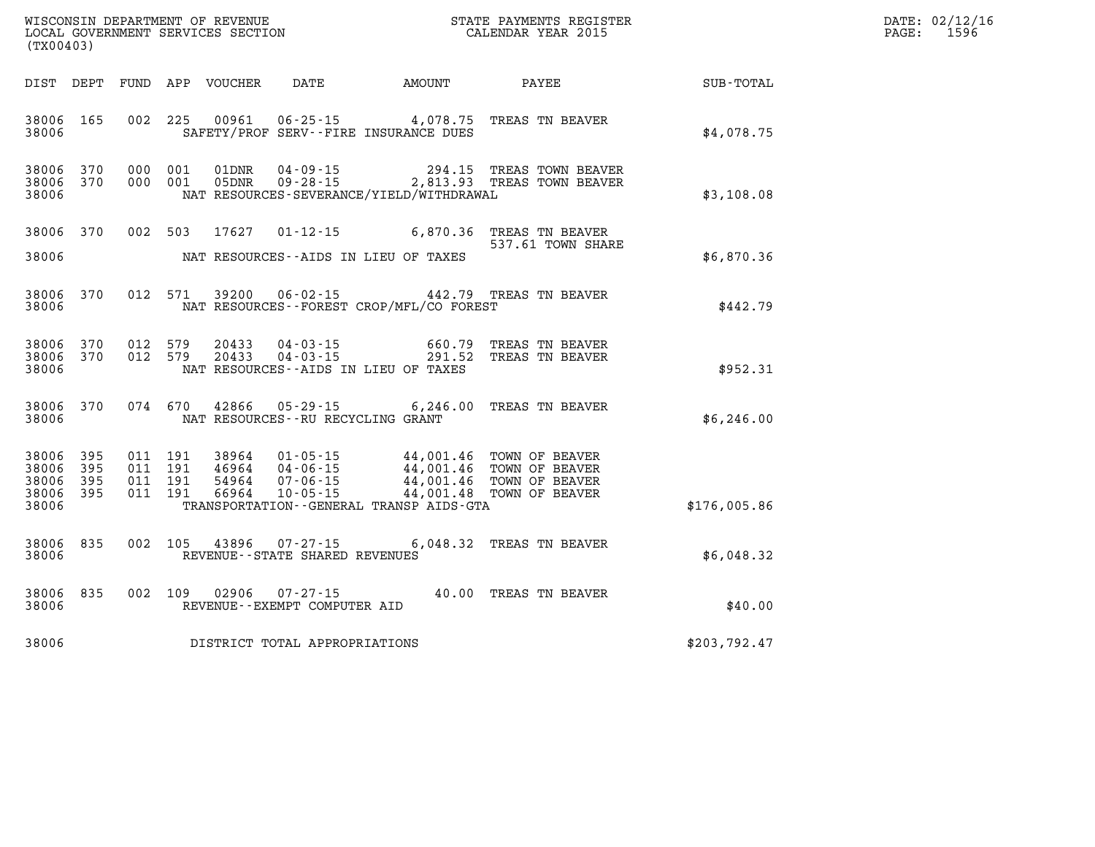| WISCONSIN DEPARTMENT OF REVENUE         | PAYMENTS REGISTER<br>3TATE | DATE: | 02/12/16 |
|-----------------------------------------|----------------------------|-------|----------|
| SERVICES SECTION<br>LOCAL<br>GOVERNMENT | CALENDAR YEAR 2015         | PAGE  | 1596     |

| (TX00403)                                             |     |         |                                          | LOCAL GOVERNMENT SERVICES SECTION |                                  |                                                                                                                                                                                                  | CALENDAR YEAR 2015                                                       |                             | PAGE: | 1596 |
|-------------------------------------------------------|-----|---------|------------------------------------------|-----------------------------------|----------------------------------|--------------------------------------------------------------------------------------------------------------------------------------------------------------------------------------------------|--------------------------------------------------------------------------|-----------------------------|-------|------|
| DIST DEPT                                             |     |         |                                          | FUND APP VOUCHER                  |                                  |                                                                                                                                                                                                  |                                                                          | DATE AMOUNT PAYEE SUB-TOTAL |       |      |
| 38006 165<br>38006                                    |     |         | 002 225                                  | 00961                             |                                  | SAFETY/PROF SERV--FIRE INSURANCE DUES                                                                                                                                                            | 06-25-15 4,078.75 TREAS TN BEAVER                                        | \$4.078.75                  |       |      |
| 38006 370<br>38006<br>38006                           | 370 |         | 000 001<br>000 001                       | 01DNR<br>05DNR                    |                                  | NAT RESOURCES-SEVERANCE/YIELD/WITHDRAWAL                                                                                                                                                         | 04-09-15 294.15 TREAS TOWN BEAVER<br>09-28-15 2,813.93 TREAS TOWN BEAVER | \$3,108.08                  |       |      |
| 38006 370                                             |     | 002 503 |                                          | 17627                             |                                  |                                                                                                                                                                                                  | 01-12-15 6,870.36 TREAS TN BEAVER<br>537.61 TOWN SHARE                   |                             |       |      |
| 38006                                                 |     |         |                                          |                                   |                                  | NAT RESOURCES--AIDS IN LIEU OF TAXES                                                                                                                                                             |                                                                          | \$6,870.36                  |       |      |
| 38006 370<br>38006                                    |     |         | 012 571                                  | 39200                             |                                  | NAT RESOURCES - - FOREST CROP/MFL/CO FOREST                                                                                                                                                      | 06-02-15 442.79 TREAS TN BEAVER                                          | \$442.79                    |       |      |
| 38006 370<br>38006 370<br>38006                       |     | 012 579 | 012 579                                  | 20433<br>20433                    | $04 - 03 - 15$<br>$04 - 03 - 15$ | NAT RESOURCES -- AIDS IN LIEU OF TAXES                                                                                                                                                           | 660.79 TREAS TN BEAVER<br>291.52 TREAS TN BEAVER                         | \$952.31                    |       |      |
| 38006 370<br>38006                                    |     |         |                                          | 074 670 42866                     |                                  | NAT RESOURCES - - RU RECYCLING GRANT                                                                                                                                                             | 05-29-15 6,246.00 TREAS TN BEAVER                                        | \$6,246.00                  |       |      |
| 38006 395<br>38006 395<br>38006<br>38006 395<br>38006 | 395 |         | 011 191<br>011 191<br>011 191<br>011 191 | 38964<br>46964<br>54964<br>66964  |                                  | 01-05-15 44,001.46 TOWN OF BEAVER<br>04-06-15 44,001.46 TOWN OF BEAVER<br>07-06-15 44,001.46 TOWN OF BEAVER<br>10-05-15 44,001.48 TOWN OF BEAVER<br>TRANSPORTATION - - GENERAL TRANSP AIDS - GTA |                                                                          | \$176,005.86                |       |      |
| 38006 835<br>38006                                    |     |         | 002 105                                  | 43896                             | REVENUE--STATE SHARED REVENUES   |                                                                                                                                                                                                  | 07-27-15 6,048.32 TREAS TN BEAVER                                        | \$6,048.32                  |       |      |
| 38006 835<br>38006                                    |     |         | 002 109                                  | 02906                             | REVENUE--EXEMPT COMPUTER AID     |                                                                                                                                                                                                  | 07-27-15 40.00 TREAS TN BEAVER                                           | \$40.00                     |       |      |
| 38006                                                 |     |         |                                          |                                   | DISTRICT TOTAL APPROPRIATIONS    |                                                                                                                                                                                                  |                                                                          | \$203,792.47                |       |      |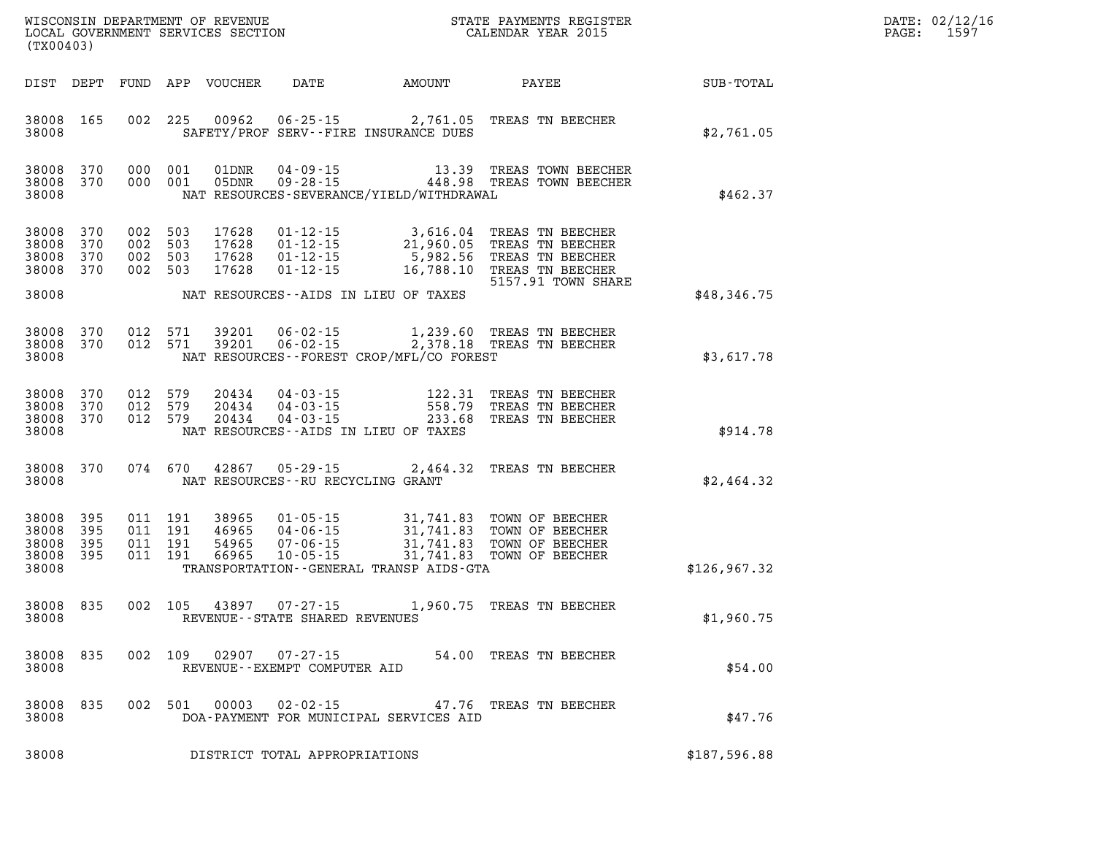| DATE: | 02/12/16 |
|-------|----------|
| PAGE: | 1597     |

| (TX00403)                                 |                          |            |                                          | WISCONSIN DEPARTMENT OF REVENUE<br>LOCAL GOVERNMENT SERVICES SECTION |                                                        |                                                | STATE PAYMENTS REGISTER<br>CALENDAR YEAR 2015                                                                                                                                |               | DATE: 02/12/1<br>PAGE:<br>1597 |
|-------------------------------------------|--------------------------|------------|------------------------------------------|----------------------------------------------------------------------|--------------------------------------------------------|------------------------------------------------|------------------------------------------------------------------------------------------------------------------------------------------------------------------------------|---------------|--------------------------------|
| DIST DEPT                                 |                          |            |                                          | FUND APP VOUCHER                                                     | DATE                                                   | AMOUNT                                         | PAYEE                                                                                                                                                                        | SUB-TOTAL     |                                |
| 38008 165<br>38008                        |                          |            | 002 225                                  | 00962                                                                |                                                        | SAFETY/PROF SERV--FIRE INSURANCE DUES          | 06-25-15 2,761.05 TREAS TN BEECHER                                                                                                                                           | \$2,761.05    |                                |
| 38008 370<br>38008 370<br>38008           |                          |            | 000 001<br>000 001                       | 01DNR<br>05DNR                                                       |                                                        | NAT RESOURCES-SEVERANCE/YIELD/WITHDRAWAL       | 04-09-15 13.39 TREAS TOWN BEECHER<br>09-28-15 448.98 TREAS TOWN BEECHER                                                                                                      | \$462.37      |                                |
| 38008<br>38008<br>38008<br>38008<br>38008 | 370<br>370<br>370<br>370 | 002<br>002 | 503<br>002 503<br>503<br>002 503         | 17628<br>17628<br>17628<br>17628                                     |                                                        | NAT RESOURCES--AIDS IN LIEU OF TAXES           | 01-12-15 3,616.04 TREAS TN BEECHER<br>01-12-15 21,960.05 TREAS TN BEECHER<br>01-12-15 5,982.56 TREAS TN BEECHER<br>01-12-15 16,788.10 TREAS TN BEECHER<br>5157.91 TOWN SHARE | \$48,346.75   |                                |
| 38008<br>38008 370<br>38008               | 370                      | 012        | 571<br>012 571                           | 39201<br>39201                                                       | $06 - 02 - 15$<br>$06 - 02 - 15$                       | NAT RESOURCES--FOREST CROP/MFL/CO FOREST       | 1,239.60 TREAS TN BEECHER<br>2,378.18 TREAS TN BEECHER                                                                                                                       | \$3,617.78    |                                |
| 38008<br>38008 370<br>38008               | 38008 370<br>370         | 012        | 012 579<br>579<br>012 579                | 20434<br>20434<br>20434                                              | 04 - 03 - 15<br>04 - 03 - 15<br>04 - 03 - 15           | 558.79<br>NAT RESOURCES--AIDS IN LIEU OF TAXES | 122.31 TREAS TN BEECHER<br>TREAS TN BEECHER<br>233.68 TREAS TN BEECHER                                                                                                       | \$914.78      |                                |
| 38008 370<br>38008                        |                          |            | 074 670                                  | 42867                                                                | $05 - 29 - 15$<br>NAT RESOURCES -- RU RECYCLING GRANT  | 2,464.32                                       | TREAS TN BEECHER                                                                                                                                                             | \$2,464.32    |                                |
| 38008<br>38008<br>38008<br>38008<br>38008 | 395<br>395<br>395<br>395 |            | 011 191<br>011 191<br>011 191<br>011 191 | 38965<br>46965<br>54965<br>66965                                     | 04-06-15<br>$07 - 06 - 15$<br>$10 - 05 - 15$           | TRANSPORTATION--GENERAL TRANSP AIDS-GTA        | 01-05-15 31,741.83 TOWN OF BEECHER<br>31,741.83 TOWN OF BEECHER<br>31,741.83 TOWN OF BEECHER<br>31,741.83 TOWN OF BEECHER<br>31,741.83 TOWN OF BEECHER                       | \$126, 967.32 |                                |
| 38008<br>38008                            | 835                      |            | 002 105                                  | 43897                                                                | $07 - 27 - 15$<br>REVENUE--STATE SHARED REVENUES       |                                                | 1,960.75 TREAS TN BEECHER                                                                                                                                                    | \$1,960.75    |                                |
| 38008 835<br>38008                        |                          |            |                                          |                                                                      | 002 109 02907 07-27-15<br>REVENUE--EXEMPT COMPUTER AID |                                                | 54.00 TREAS TN BEECHER                                                                                                                                                       | \$54.00       |                                |
| 38008<br>38008                            | 835                      |            | 002 501                                  | 00003                                                                | 02-02-15                                               | DOA-PAYMENT FOR MUNICIPAL SERVICES AID         | 47.76 TREAS TN BEECHER                                                                                                                                                       | \$47.76       |                                |
| 38008                                     |                          |            |                                          |                                                                      | DISTRICT TOTAL APPROPRIATIONS                          |                                                |                                                                                                                                                                              | \$187,596.88  |                                |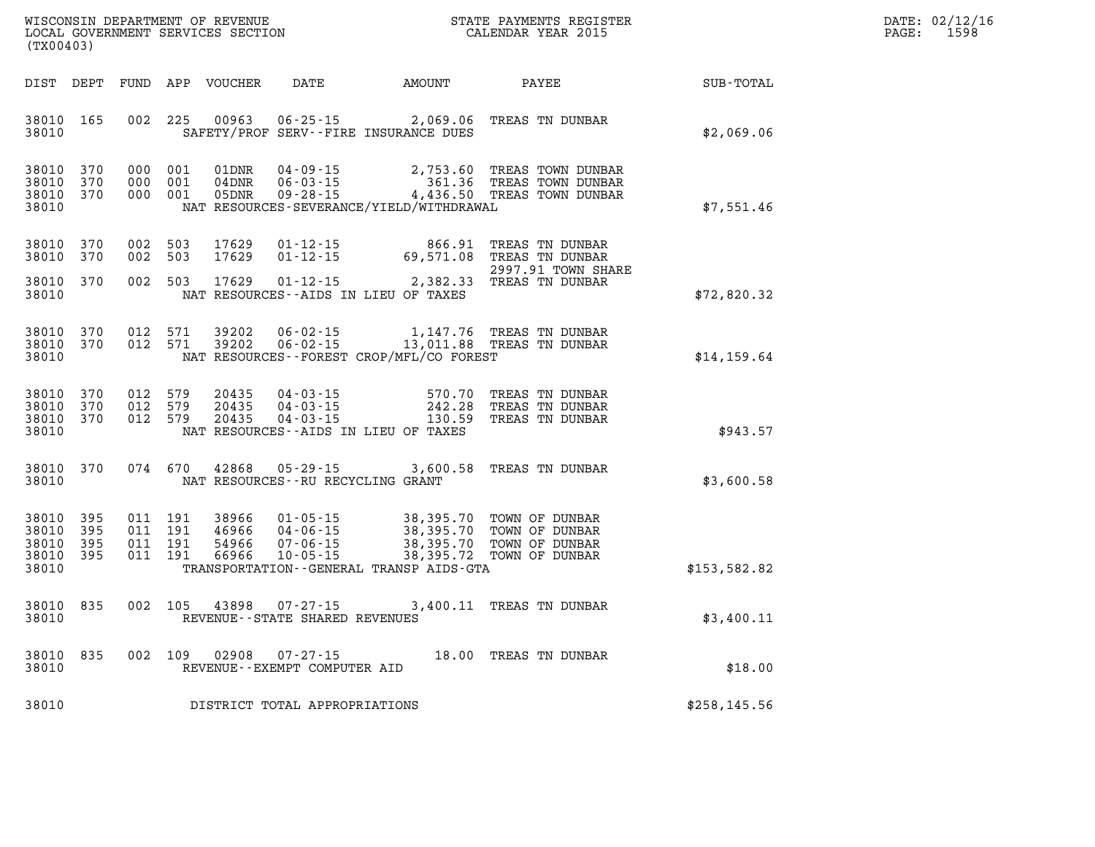| $\mathtt{DATE}$ : | 02/12/16 |
|-------------------|----------|
| PAGE:             | 1598     |

| WISCONSIN DEPARTMENT OF REVENUE<br>(TX00403)                                                      | LOCAL GOVERNMENT SERVICES SECTION                                                                                                                                               |                                                  | STATE PAYMENTS REGISTER<br>CALENDAR YEAR 2015                        |              |
|---------------------------------------------------------------------------------------------------|---------------------------------------------------------------------------------------------------------------------------------------------------------------------------------|--------------------------------------------------|----------------------------------------------------------------------|--------------|
| DIST<br>DEPT<br>FUND                                                                              | APP<br><b>VOUCHER</b><br>DATE                                                                                                                                                   | AMOUNT                                           | PAYEE                                                                | SUB-TOTAL    |
| 165<br>002<br>38010<br>38010                                                                      | 225<br>00963<br>$06 - 25 - 15$<br>SAFETY/PROF SERV--FIRE INSURANCE DUES                                                                                                         | 2,069.06                                         | TREAS TN DUNBAR                                                      | \$2,069.06   |
| 38010<br>370<br>000<br>38010<br>370<br>000<br>38010<br>370<br>000<br>38010                        | 001<br>01DNR<br>$04 - 09 - 15$<br>001<br>04DNR<br>$06 - 03 - 15$<br>$09 - 28 - 15$<br>001<br>05DNR<br>NAT RESOURCES-SEVERANCE/YIELD/WITHDRAWAL                                  | 2,753.60<br>361.36<br>4,436.50                   | TREAS TOWN DUNBAR<br>TREAS TOWN DUNBAR<br>TREAS TOWN DUNBAR          | \$7,551.46   |
| 370<br>002<br>38010<br>38010<br>370<br>002                                                        | 503<br>17629<br>$01 - 12 - 15$<br>503<br>17629<br>$01 - 12 - 15$                                                                                                                | 866.91<br>69,571.08                              | TREAS TN DUNBAR<br>TREAS TN DUNBAR<br>2997.91 TOWN SHARE             |              |
| 370<br>002<br>38010<br>38010                                                                      | 17629<br>503<br>$01 - 12 - 15$<br>NAT RESOURCES - AIDS IN LIEU OF TAXES                                                                                                         | 2,382.33                                         | TREAS TN DUNBAR                                                      | \$72,820.32  |
| 012<br>38010<br>370<br>38010<br>370<br>012<br>38010                                               | 571<br>$06 - 02 - 15$<br>39202<br>571<br>39202<br>$06 - 02 - 15$<br>NAT RESOURCES - - FOREST CROP/MFL/CO FOREST                                                                 | 1,147.76<br>13,011.88                            | TREAS TN DUNBAR<br>TREAS TN DUNBAR                                   | \$14, 159.64 |
| 38010<br>370<br>012<br>012<br>38010<br>370<br>38010<br>012<br>370<br>38010                        | 579<br>20435<br>$04 - 03 - 15$<br>579<br>20435<br>$04 - 03 - 15$<br>579<br>20435<br>$04 - 03 - 15$<br>NAT RESOURCES -- AIDS IN LIEU OF TAXES                                    | 570.70<br>242.28<br>130.59                       | TREAS TN DUNBAR<br>TREAS TN DUNBAR<br>TREAS TN DUNBAR                | \$943.57     |
| 074<br>38010<br>370<br>38010                                                                      | 670<br>42868<br>$05 - 29 - 15$<br>NAT RESOURCES - - RU RECYCLING GRANT                                                                                                          | 3,600.58                                         | TREAS TN DUNBAR                                                      | \$3,600.58   |
| 38010<br>395<br>011<br>395<br>011<br>38010<br>011<br>38010<br>395<br>38010<br>395<br>011<br>38010 | 191<br>38966<br>$01 - 05 - 15$<br>191<br>46966<br>$04 - 06 - 15$<br>191<br>54966<br>$07 - 06 - 15$<br>191<br>66966<br>$10 - 05 - 15$<br>TRANSPORTATION--GENERAL TRANSP AIDS-GTA | 38,395.70<br>38,395.70<br>38,395.70<br>38,395.72 | TOWN OF DUNBAR<br>TOWN OF DUNBAR<br>TOWN OF DUNBAR<br>TOWN OF DUNBAR | \$153,582.82 |
| 002<br>38010<br>835<br>38010                                                                      | 105<br>$07 - 27 - 15$<br>43898<br>REVENUE - - STATE SHARED REVENUES                                                                                                             | 3,400.11                                         | TREAS TN DUNBAR                                                      | \$3,400.11   |
| 002<br>38010<br>835<br>38010                                                                      | 109<br>02908<br>$07 - 27 - 15$<br>REVENUE--EXEMPT COMPUTER AID                                                                                                                  | 18.00                                            | TREAS TN DUNBAR                                                      | \$18.00      |
| 38010                                                                                             | DISTRICT TOTAL APPROPRIATIONS                                                                                                                                                   |                                                  |                                                                      | \$258,145.56 |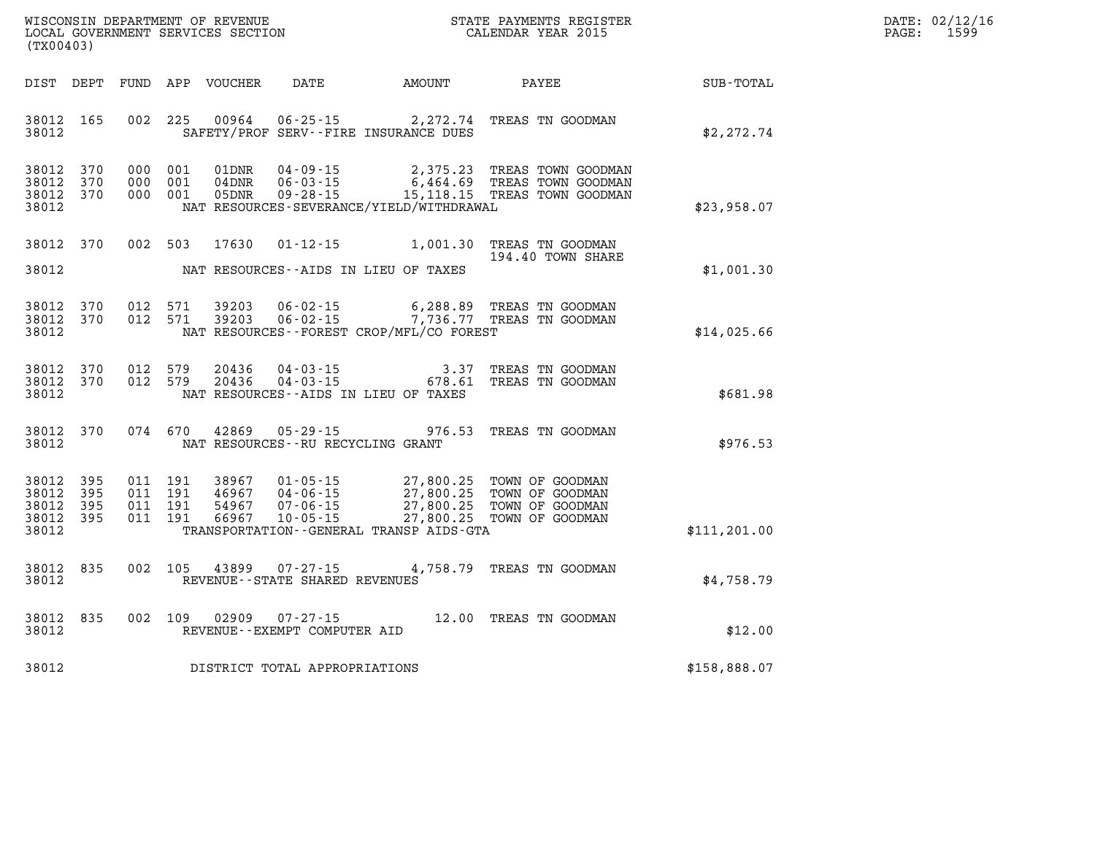| WISCONSIN DEPARTMENT OF REVENUE   | PAYMENTS REGISTER<br>3TATE | : 02/12/16<br>DATE:       |
|-----------------------------------|----------------------------|---------------------------|
| LOCAL GOVERNMENT SERVICES SECTION | CALENDAR YEAR 2015         | 150C<br>PAGE:<br>-- J J - |

| (TX00403)                                     |                   |                                          | LOCAL GOVERNMENT SERVICES SECTION |                                   |                                              | CALENDAR YEAR 2015                                                                                                                                                                       |               | PAGE: | 1599 |
|-----------------------------------------------|-------------------|------------------------------------------|-----------------------------------|-----------------------------------|----------------------------------------------|------------------------------------------------------------------------------------------------------------------------------------------------------------------------------------------|---------------|-------|------|
|                                               |                   |                                          |                                   |                                   |                                              |                                                                                                                                                                                          |               |       |      |
| 38012 165<br>38012                            |                   |                                          |                                   |                                   | SAFETY/PROF SERV--FIRE INSURANCE DUES        | 002 225 00964 06-25-15 2,272.74 TREAS TN GOODMAN                                                                                                                                         | \$2,272.74    |       |      |
| 38012<br>38012<br>38012 370<br>38012          | 370<br>370        | 000 001<br>000 001<br>000 001            |                                   |                                   | NAT RESOURCES-SEVERANCE/YIELD/WITHDRAWAL     | 01DNR  04-09-15  2,375.23 TREAS TOWN GOODMAN<br>04DNR  06-03-15  6,464.69 TREAS TOWN GOODMAN<br>05DNR  09-28-15  15,118.15 TREAS TOWN GOODMAN                                            | \$23,958.07   |       |      |
| 38012 370<br>38012                            |                   |                                          |                                   |                                   | NAT RESOURCES--AIDS IN LIEU OF TAXES         | 002 503 17630 01-12-15 1,001.30 TREAS TN GOODMAN<br>194.40 TOWN SHARE                                                                                                                    | \$1,001.30    |       |      |
| 38012<br>38012 370<br>38012                   | 370               |                                          |                                   |                                   | NAT RESOURCES - - FOREST CROP/MFL/CO FOREST  | 012 571 39203 06-02-15 6,288.89 TREAS TN GOODMAN<br>012 571 39203 06-02-15 7,736.77 TREAS TN GOODMAN                                                                                     | \$14,025.66   |       |      |
| 38012 370<br>38012 370<br>38012               |                   | 012 579                                  | 20436<br>012 579 20436            |                                   | NAT RESOURCES--AIDS IN LIEU OF TAXES         | 04-03-15                           3.37   TREAS TN GOODMAN<br>04-03-15                       678.61   TREAS TN GOODMAN                                                                   | \$681.98      |       |      |
| 38012                                         | 38012 370         | 074 670                                  |                                   | NAT RESOURCES--RU RECYCLING GRANT |                                              | 42869  05-29-15  976.53  TREAS TN GOODMAN                                                                                                                                                | \$976.53      |       |      |
| 38012<br>38012<br>38012<br>38012 395<br>38012 | 395<br>395<br>395 | 011 191<br>011 191<br>011 191<br>011 191 |                                   |                                   | TRANSPORTATION - - GENERAL TRANSP AIDS - GTA | 38967  01-05-15  27,800.25  TOWN OF GOODMAN<br>46967  04-06-15  27,800.25  TOWN OF GOODMAN<br>54967  07-06-15  27,800.25  TOWN OF GOODMAN<br>66967  10-05-15  27,800.25  TOWN OF GOODMAN | \$111, 201.00 |       |      |
| 38012 835<br>38012                            |                   |                                          |                                   | REVENUE - - STATE SHARED REVENUES |                                              | 002 105 43899 07-27-15 4,758.79 TREAS TN GOODMAN                                                                                                                                         | \$4,758.79    |       |      |
| 38012                                         | 38012 835         |                                          |                                   | REVENUE--EXEMPT COMPUTER AID      |                                              | 002 109 02909 07-27-15 12.00 TREAS TN GOODMAN                                                                                                                                            | \$12.00       |       |      |
| 38012                                         |                   |                                          |                                   | DISTRICT TOTAL APPROPRIATIONS     |                                              |                                                                                                                                                                                          | \$158,888.07  |       |      |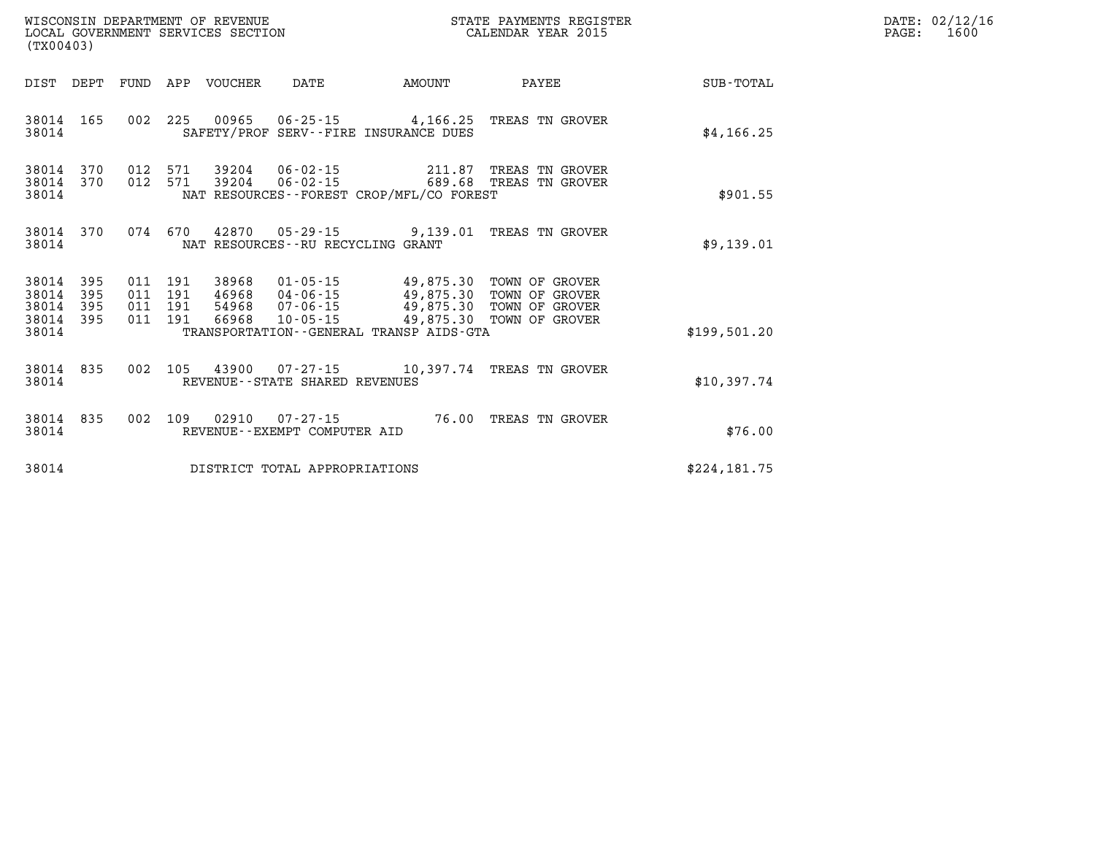| (TX00403)                                                 |  |                    |         |                                          |                                   |                                          | STATE PAYMENTS REGISTER                                                                                                                          |              | DATE: 02/12/16<br>1600<br>PAGE: |
|-----------------------------------------------------------|--|--------------------|---------|------------------------------------------|-----------------------------------|------------------------------------------|--------------------------------------------------------------------------------------------------------------------------------------------------|--------------|---------------------------------|
|                                                           |  |                    |         | DIST DEPT FUND APP VOUCHER DATE          |                                   | <b>EXAMPLE TO AMOUNT</b>                 | PAYEE                                                                                                                                            | SUB-TOTAL    |                                 |
| 38014                                                     |  |                    |         |                                          |                                   | SAFETY/PROF SERV--FIRE INSURANCE DUES    | 38014 165 002 225 00965 06-25-15 4,166.25 TREAS TN GROVER                                                                                        | \$4, 166.25  |                                 |
| 38014 370<br>38014                                        |  |                    | 012 571 | 38014 370 012 571 39204<br>39204         |                                   | NAT RESOURCES--FOREST CROP/MFL/CO FOREST | 06-02-15 211.87 TREAS TN GROVER<br>06-02-15 689.68 TREAS TN GROVER                                                                               | \$901.55     |                                 |
| 38014                                                     |  |                    |         |                                          | NAT RESOURCES--RU RECYCLING GRANT |                                          | 38014 370 074 670 42870 05-29-15 9,139.01 TREAS TN GROVER                                                                                        | \$9,139.01   |                                 |
| 38014 395<br>38014 395<br>38014 395<br>38014 395<br>38014 |  | 011 191<br>011 191 | 011 191 | 38968<br>011 191 46968<br>54968<br>66968 |                                   | TRANSPORTATION--GENERAL TRANSP AIDS-GTA  | 01-05-15 49,875.30 TOWN OF GROVER<br>04-06-15 49,875.30 TOWN OF GROVER<br>07-06-15 49,875.30 TOWN OF GROVER<br>10-05-15 49,875.30 TOWN OF GROVER | \$199,501.20 |                                 |
| 38014 835<br>38014                                        |  |                    |         |                                          | REVENUE - - STATE SHARED REVENUES |                                          | 002 105 43900 07-27-15 10,397.74 TREAS TN GROVER                                                                                                 | \$10,397.74  |                                 |
| 38014 835<br>38014                                        |  |                    |         | 002 109 02910                            | REVENUE--EXEMPT COMPUTER AID      |                                          | 07-27-15 76.00 TREAS TN GROVER                                                                                                                   | \$76.00      |                                 |
| 38014                                                     |  |                    |         |                                          | DISTRICT TOTAL APPROPRIATIONS     |                                          |                                                                                                                                                  | \$224,181.75 |                                 |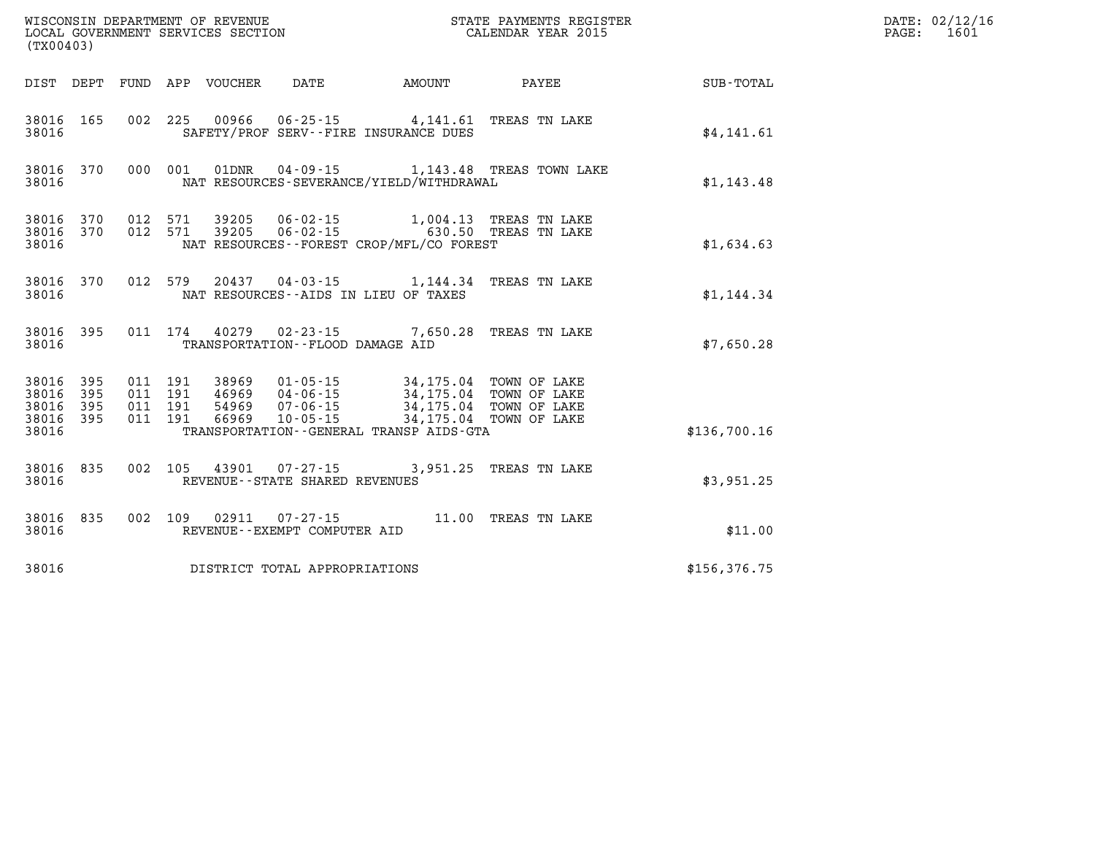| (TX00403)               |                                      |         |                               |                                 |                                  |                                                                                                                                                                                                                                                  |                                                           |               | DATE: 02/12/16<br>1601<br>$\mathtt{PAGE:}$ |
|-------------------------|--------------------------------------|---------|-------------------------------|---------------------------------|----------------------------------|--------------------------------------------------------------------------------------------------------------------------------------------------------------------------------------------------------------------------------------------------|-----------------------------------------------------------|---------------|--------------------------------------------|
|                         |                                      |         |                               | DIST DEPT FUND APP VOUCHER DATE |                                  |                                                                                                                                                                                                                                                  | AMOUNT PAYEE                                              | SUB-TOTAL     |                                            |
| 38016                   | 38016 165                            |         |                               |                                 |                                  | 002 225 00966 06-25-15 4,141.61 TREAS TN LAKE<br>SAFETY/PROF SERV--FIRE INSURANCE DUES                                                                                                                                                           |                                                           | \$4,141.61    |                                            |
| 38016                   |                                      |         |                               |                                 |                                  | NAT RESOURCES-SEVERANCE/YIELD/WITHDRAWAL                                                                                                                                                                                                         | 38016 370 000 001 01DNR 04-09-15 1,143.48 TREAS TOWN LAKE | \$1,143.48    |                                            |
| 38016                   |                                      |         |                               |                                 |                                  | $\begin{array}{cccccccc} 38016 & 370 & 012 & 571 & 39205 & 06-02-15 & & 1,004.13 & \text{TREAS TN LAKE} \\ 38016 & 370 & 012 & 571 & 39205 & 06-02-15 & & 630.50 & \text{TREAS TN LAKE} \end{array}$<br>NAT RESOURCES--FOREST CROP/MFL/CO FOREST |                                                           | \$1,634.63    |                                            |
| 38016                   |                                      |         |                               |                                 |                                  | 38016 370 012 579 20437 04-03-15 1,144.34 TREAS TN LAKE<br>NAT RESOURCES--AIDS IN LIEU OF TAXES                                                                                                                                                  |                                                           | \$1,144.34    |                                            |
| 38016                   |                                      |         |                               |                                 | TRANSPORTATION--FLOOD DAMAGE AID | 38016 395 011 174 40279 02-23-15 7,650.28 TREAS TN LAKE                                                                                                                                                                                          |                                                           | \$7,650.28    |                                            |
| 38016<br>38016<br>38016 | 38016 395<br>395<br>395<br>38016 395 | 011 191 | 011 191<br>011 191<br>011 191 |                                 |                                  | 38969  01-05-15  34,175.04  TOWN OF LAKE<br>46969 04-06-15 34,175.04 TOWN OF LAKE<br>54969 07-06-15 34,175.04 TOWN OF LAKE<br>66969 10-05-15 34,175.04 TOWN OF LAKE<br>TRANSPORTATION--GENERAL TRANSP AIDS-GTA                                   |                                                           | \$136,700.16  |                                            |
| 38016                   | 38016 835                            |         |                               |                                 | REVENUE--STATE SHARED REVENUES   | 002 105 43901 07-27-15 3,951.25 TREAS TN LAKE                                                                                                                                                                                                    |                                                           | \$3,951.25    |                                            |
| 38016                   | 38016 835                            |         |                               |                                 | REVENUE--EXEMPT COMPUTER AID     | 002 109 02911 07-27-15 11.00 TREAS TN LAKE                                                                                                                                                                                                       |                                                           | \$11.00       |                                            |
| 38016                   |                                      |         |                               |                                 | DISTRICT TOTAL APPROPRIATIONS    |                                                                                                                                                                                                                                                  |                                                           | \$156, 376.75 |                                            |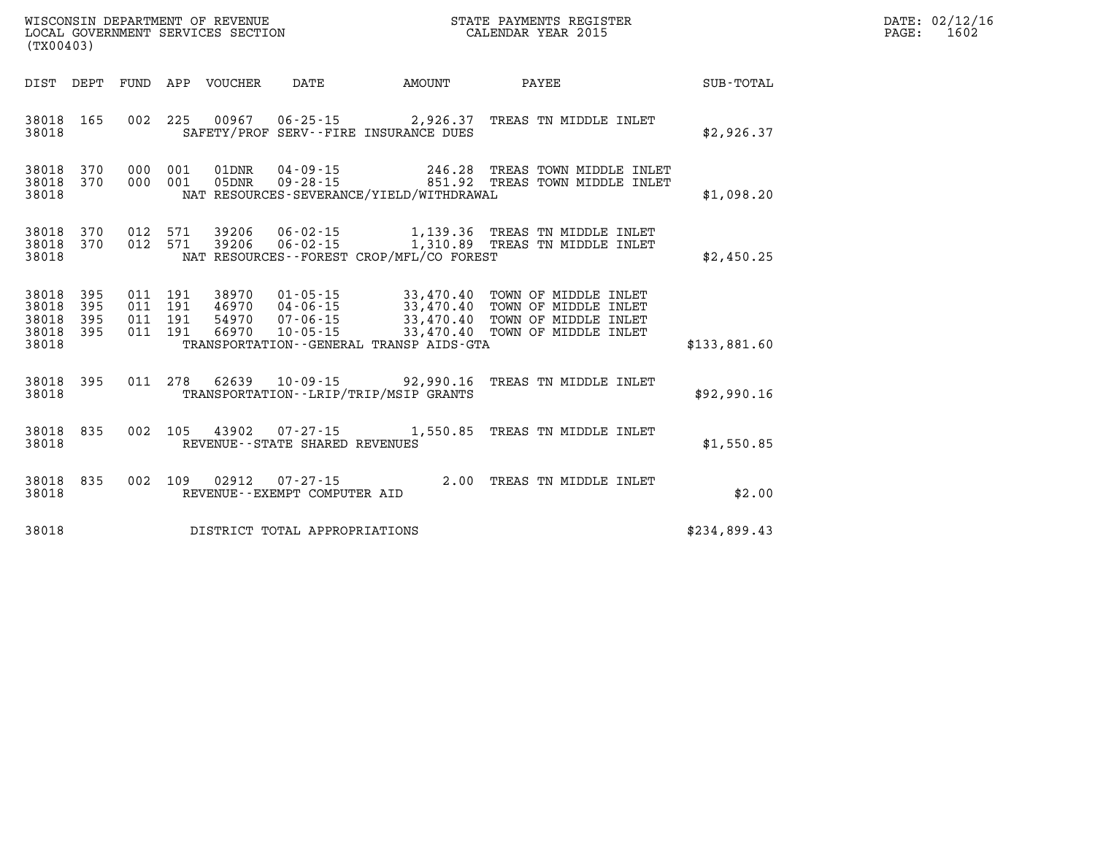| (TX00403)                                 |                          |                          |                          | WISCONSIN DEPARTMENT OF REVENUE<br>LOCAL GOVERNMENT SERVICES SECTION |                                                                |                                                                                             | STATE PAYMENTS REGISTER<br>CALENDAR YEAR 2015                                                |              |  |  |
|-------------------------------------------|--------------------------|--------------------------|--------------------------|----------------------------------------------------------------------|----------------------------------------------------------------|---------------------------------------------------------------------------------------------|----------------------------------------------------------------------------------------------|--------------|--|--|
| DIST                                      | DEPT                     | FUND                     | APP                      | VOUCHER                                                              | <b>DATE</b>                                                    | AMOUNT                                                                                      | PAYEE                                                                                        | SUB-TOTAL    |  |  |
| 38018<br>38018                            | 165                      | 002                      | 225                      | 00967                                                                | $06 - 25 - 15$                                                 | 2,926.37<br>SAFETY/PROF SERV--FIRE INSURANCE DUES                                           | TREAS TN MIDDLE INLET                                                                        | \$2,926.37   |  |  |
| 38018<br>38018<br>38018                   | 370<br>370               | 000<br>000               | 001<br>001               | 01DNR<br>05DNR                                                       | $04 - 09 - 15$<br>$09 - 28 - 15$                               | 246.28<br>NAT RESOURCES-SEVERANCE/YIELD/WITHDRAWAL                                          | TREAS TOWN MIDDLE INLET<br>851.92 TREAS TOWN MIDDLE INLET                                    | \$1,098.20   |  |  |
| 38018<br>38018<br>38018                   | 370<br>370               | 012<br>012               | 571<br>571               | 39206<br>39206                                                       | $06 - 02 - 15$<br>$06 - 02 - 15$                               | NAT RESOURCES - - FOREST CROP/MFL/CO FOREST                                                 | 1,139.36 TREAS TN MIDDLE INLET<br>1,139.30 IREAD IN (1991)<br>1,310.89 TREAS TN MIDDLE INLET | \$2,450.25   |  |  |
| 38018<br>38018<br>38018<br>38018<br>38018 | 395<br>395<br>395<br>395 | 011<br>011<br>011<br>011 | 191<br>191<br>191<br>191 | 38970<br>46970<br>54970<br>66970                                     | $01 - 05 - 15$<br>04-06-15<br>$07 - 06 - 15$<br>$10 - 05 - 15$ | 33,470.40<br>33,470.40<br>33,470.40<br>33,470.40<br>TRANSPORTATION--GENERAL TRANSP AIDS-GTA | TOWN OF MIDDLE INLET<br>TOWN OF MIDDLE INLET<br>TOWN OF MIDDLE INLET<br>TOWN OF MIDDLE INLET | \$133,881.60 |  |  |
| 38018<br>38018                            | 395                      | 011                      | 278                      | 62639                                                                |                                                                | 10-09-15 92,990.16<br>TRANSPORTATION - - LRIP/TRIP/MSIP GRANTS                              | TREAS TN MIDDLE INLET                                                                        | \$92,990.16  |  |  |
| 38018<br>38018                            | 835                      | 002                      | 105                      | 43902                                                                | $07 - 27 - 15$<br>REVENUE - - STATE SHARED REVENUES            | 1,550.85                                                                                    | TREAS TN MIDDLE INLET                                                                        | \$1,550.85   |  |  |
| 38018<br>38018                            | 835                      | 002                      | 109                      | 02912                                                                | $07 - 27 - 15$<br>REVENUE--EXEMPT COMPUTER AID                 | 2.00                                                                                        | TREAS TN MIDDLE INLET                                                                        | \$2.00       |  |  |
| 38018                                     |                          |                          |                          |                                                                      | DISTRICT TOTAL APPROPRIATIONS                                  |                                                                                             |                                                                                              | \$234,899.43 |  |  |

**DATE: 02/12/16<br>PAGE: 1602**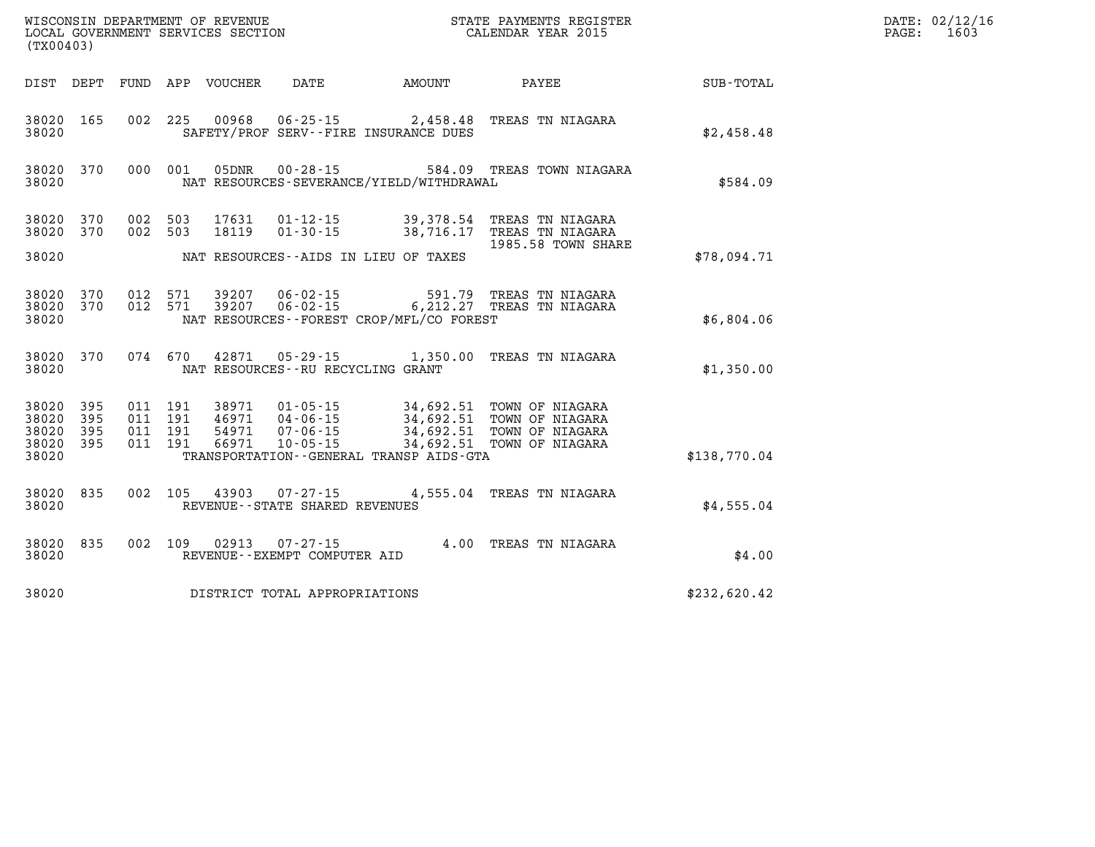| (TX00403)                            |                   |                                      |     | WISCONSIN DEPARTMENT OF REVENUE<br>LOCAL GOVERNMENT SERVICES SECTION |                                                          |                                                    | STATE PAYMENTS REGISTER<br>CALENDAR YEAR 2015                                                          |                  | DATE: 02/12/16<br>1603<br>PAGE: |
|--------------------------------------|-------------------|--------------------------------------|-----|----------------------------------------------------------------------|----------------------------------------------------------|----------------------------------------------------|--------------------------------------------------------------------------------------------------------|------------------|---------------------------------|
| DIST DEPT                            |                   |                                      |     | FUND APP VOUCHER                                                     | DATE                                                     | AMOUNT                                             | PAYEE                                                                                                  | <b>SUB-TOTAL</b> |                                 |
| 38020 165<br>38020                   |                   | 002 225                              |     | 00968                                                                | 06-25-15                                                 | 2,458.48<br>SAFETY/PROF SERV--FIRE INSURANCE DUES  | TREAS TN NIAGARA                                                                                       | \$2,458.48       |                                 |
| 38020 370<br>38020                   |                   | 000 001                              |     | 05DNR                                                                | 00-28-15                                                 | NAT RESOURCES-SEVERANCE/YIELD/WITHDRAWAL           | 584.09 TREAS TOWN NIAGARA                                                                              | \$584.09         |                                 |
| 38020 370<br>38020                   | 370               | 002 503<br>002 503                   |     | 17631<br>18119                                                       | $01 - 12 - 15$<br>$01 - 30 - 15$                         | 39,378.54<br>38,716.17                             | TREAS TN NIAGARA<br>TREAS TN NIAGARA<br>1985.58 TOWN SHARE                                             |                  |                                 |
| 38020                                |                   |                                      |     |                                                                      |                                                          | NAT RESOURCES -- AIDS IN LIEU OF TAXES             |                                                                                                        | \$78,094.71      |                                 |
| 38020<br>38020<br>38020              | 370<br>370        | 012 571<br>012 571                   |     | 39207<br>39207                                                       | $06 - 02 - 15$<br>$06 - 02 - 15$                         | 591.79<br>NAT RESOURCES--FOREST CROP/MFL/CO FOREST | TREAS TN NIAGARA<br>6, 212.27 TREAS TN NIAGARA                                                         | \$6,804.06       |                                 |
| 38020 370<br>38020                   |                   | 074 670                              |     | 42871                                                                | 05 - 29 - 15<br>NAT RESOURCES - - RU RECYCLING GRANT     | 1,350.00                                           | TREAS TN NIAGARA                                                                                       | \$1,350.00       |                                 |
| 38020 395<br>38020<br>38020<br>38020 | 395<br>395<br>395 | 011 191<br>011<br>011 191<br>011 191 | 191 | 38971<br>46971<br>54971<br>66971                                     | $01 - 05 - 15$<br>04-06-15<br>07-06-15<br>$10 - 05 - 15$ | 34,692.51                                          | 34,692.51 TOWN OF NIAGARA<br>34,692.51 TOWN OF NIAGARA<br>TOWN OF NIAGARA<br>34,692.51 TOWN OF NIAGARA |                  |                                 |
| 38020                                |                   |                                      |     |                                                                      |                                                          | TRANSPORTATION--GENERAL TRANSP AIDS-GTA            |                                                                                                        | \$138,770.04     |                                 |
| 38020 835<br>38020                   |                   | 002                                  | 105 | 43903                                                                | 07-27-15<br>REVENUE--STATE SHARED REVENUES               |                                                    | 4,555.04 TREAS TN NIAGARA                                                                              | \$4,555.04       |                                 |
| 38020<br>38020                       | 835               | 002 109                              |     | 02913                                                                | $07 - 27 - 15$<br>REVENUE--EXEMPT COMPUTER AID           |                                                    | 4.00 TREAS TN NIAGARA                                                                                  | \$4.00           |                                 |
| 38020                                |                   |                                      |     |                                                                      | DISTRICT TOTAL APPROPRIATIONS                            |                                                    |                                                                                                        | \$232,620.42     |                                 |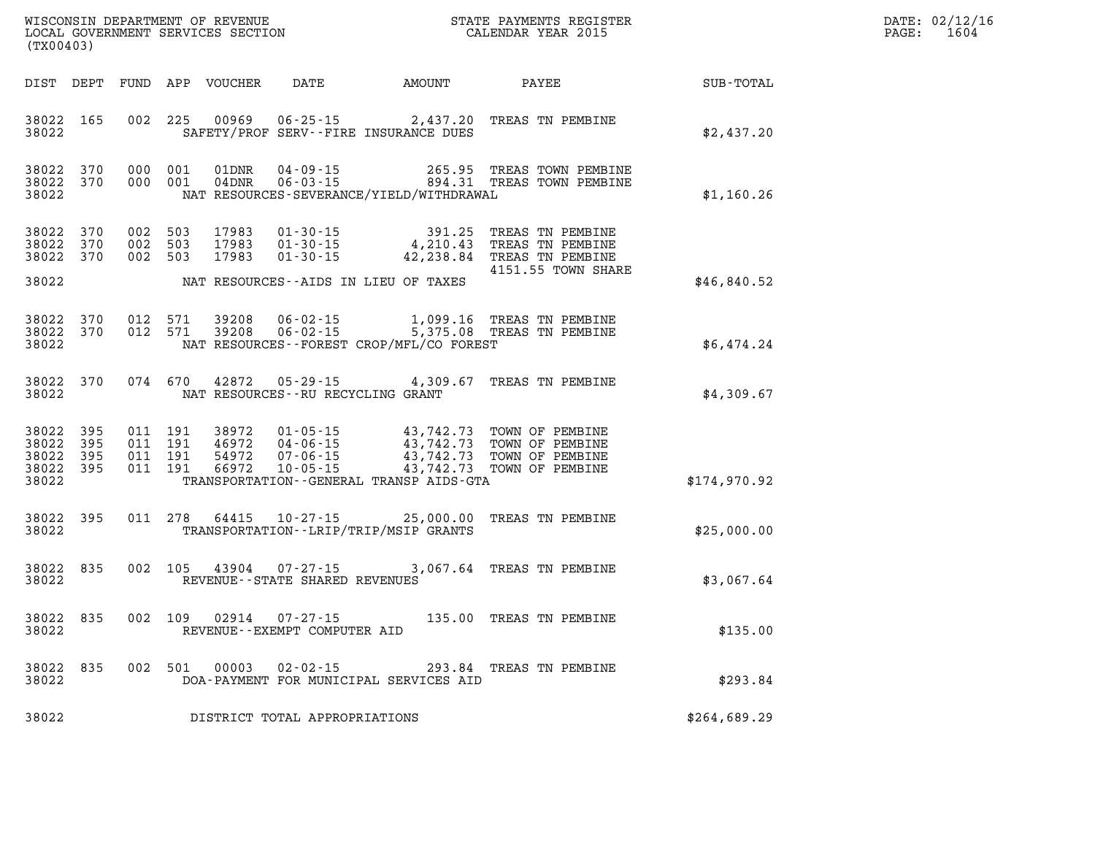|                 | $\mathtt{PAGE}$ : | DATE: 02/12/16<br>1604 |
|-----------------|-------------------|------------------------|
| UB-TOTAL        |                   |                        |
| <u>າ າາກ າດ</u> |                   |                        |

| DIST                                      | DEPT                     | FUND                     | APP                      | <b>VOUCHER</b>                   | <b>DATE</b>                                                          | <b>AMOUNT</b>                                                                               | PAYEE                                                                          | <b>SUB-TOTAL</b> |
|-------------------------------------------|--------------------------|--------------------------|--------------------------|----------------------------------|----------------------------------------------------------------------|---------------------------------------------------------------------------------------------|--------------------------------------------------------------------------------|------------------|
| 38022<br>38022                            | 165                      | 002                      | 225                      | 00969                            | $06 - 25 - 15$                                                       | 2,437.20<br>SAFETY/PROF SERV--FIRE INSURANCE DUES                                           | TREAS TN PEMBINE                                                               | \$2,437.20       |
| 38022<br>38022<br>38022                   | 370<br>370               | 000<br>000               | 001<br>001               | 01DNR<br>04DNR                   | $04 - 09 - 15$<br>$06 - 03 - 15$                                     | 265.95<br>894.31<br>NAT RESOURCES-SEVERANCE/YIELD/WITHDRAWAL                                | TREAS TOWN PEMBINE<br>TREAS TOWN PEMBINE                                       | \$1,160.26       |
| 38022<br>38022<br>38022                   | 370<br>370<br>370        | 002<br>002<br>002        | 503<br>503<br>503        | 17983<br>17983<br>17983          | $01 - 30 - 15$<br>$01 - 30 - 15$<br>$01 - 30 - 15$                   | 391.25<br>4,210.43<br>42,238.84                                                             | TREAS TN PEMBINE<br>TREAS TN PEMBINE<br>TREAS TN PEMBINE<br>4151.55 TOWN SHARE |                  |
| 38022                                     |                          |                          |                          |                                  |                                                                      | NAT RESOURCES -- AIDS IN LIEU OF TAXES                                                      |                                                                                | \$46,840.52      |
| 38022<br>38022<br>38022                   | 370<br>370               | 012<br>012               | 571<br>571               | 39208<br>39208                   | $06 - 02 - 15$<br>$06 - 02 - 15$                                     | 1,099.16<br>5,375.08<br>NAT RESOURCES - - FOREST CROP/MFL/CO FOREST                         | TREAS TN PEMBINE<br>TREAS TN PEMBINE                                           | \$6,474.24       |
| 38022<br>38022                            | 370                      | 074                      | 670                      | 42872                            | $05 - 29 - 15$<br>NAT RESOURCES -- RU RECYCLING GRANT                | 4,309.67                                                                                    | TREAS TN PEMBINE                                                               | \$4,309.67       |
| 38022<br>38022<br>38022<br>38022<br>38022 | 395<br>395<br>395<br>395 | 011<br>011<br>011<br>011 | 191<br>191<br>191<br>191 | 38972<br>46972<br>54972<br>66972 | $01 - 05 - 15$<br>$04 - 06 - 15$<br>$07 - 06 - 15$<br>$10 - 05 - 15$ | 43,742.73<br>43,742.73<br>43,742.73<br>43,742.73<br>TRANSPORTATION--GENERAL TRANSP AIDS-GTA | TOWN OF PEMBINE<br>TOWN OF PEMBINE<br>TOWN OF PEMBINE<br>TOWN OF PEMBINE       | \$174,970.92     |
| 38022<br>38022                            | 395                      | 011                      | 278                      | 64415                            | $10 - 27 - 15$                                                       | 25,000.00<br>TRANSPORTATION - - LRIP/TRIP/MSIP GRANTS                                       | TREAS TN PEMBINE                                                               | \$25,000.00      |
| 38022<br>38022                            | 835                      | 002                      | 105                      | 43904                            | $07 - 27 - 15$<br>REVENUE - - STATE SHARED REVENUES                  | 3,067.64                                                                                    | TREAS TN PEMBINE                                                               | \$3,067.64       |
| 38022<br>38022                            | 835                      | 002                      | 109                      | 02914                            | $07 - 27 - 15$<br>REVENUE--EXEMPT COMPUTER AID                       | 135.00                                                                                      | TREAS TN PEMBINE                                                               | \$135.00         |
| 38022<br>38022                            | 835                      | 002                      | 501                      | 00003                            | $02 - 02 - 15$                                                       | 293.84<br>DOA-PAYMENT FOR MUNICIPAL SERVICES AID                                            | TREAS TN PEMBINE                                                               | \$293.84         |
| 38022                                     |                          |                          |                          |                                  | DISTRICT TOTAL APPROPRIATIONS                                        |                                                                                             |                                                                                | \$264,689.29     |

**WISCONSIN DEPARTMENT OF REVENUE STATE STATE PAYMENTS REGISTER**<br>LOCAL GOVERNMENT SERVICES SECTION STATE: OF BALENDAR YEAR 2015

LOCAL GOVERNMENT SERVICES SECTION

**(TX00403)**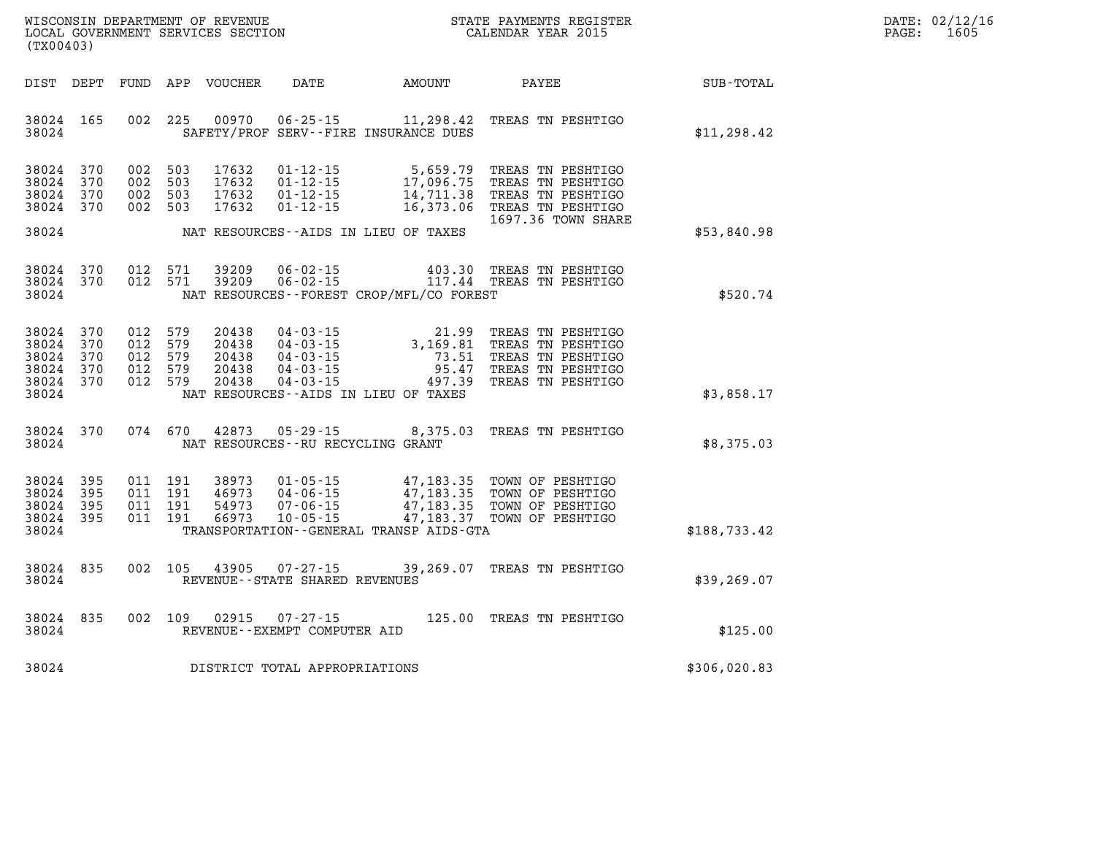| WISCONSIN DEPARTMENT OF REVENUE   | STATE PAYMENTS REGISTER | DATE: 02/12/16 |
|-----------------------------------|-------------------------|----------------|
| LOCAL GOVERNMENT SERVICES SECTION | CALENDAR YEAR 2015      | 1605<br>PAGE:  |

| (TX00403)                                                      |            |                               |                                          | LOCAL GOVERNMENT SERVICES SECTION         |                                     |                                             | CALENDAR YEAR 2015                                                                                                                                                                                                               |              | PAGE: | 1605 |
|----------------------------------------------------------------|------------|-------------------------------|------------------------------------------|-------------------------------------------|-------------------------------------|---------------------------------------------|----------------------------------------------------------------------------------------------------------------------------------------------------------------------------------------------------------------------------------|--------------|-------|------|
|                                                                |            |                               |                                          |                                           |                                     |                                             |                                                                                                                                                                                                                                  |              |       |      |
| 38024 165<br>38024                                             |            |                               | 002 225                                  |                                           |                                     | SAFETY/PROF SERV--FIRE INSURANCE DUES       | 00970  06-25-15  11,298.42  TREAS TN PESHTIGO                                                                                                                                                                                    | \$11, 298.42 |       |      |
| 38024 370<br>38024 370<br>38024 370<br>38024 370               |            |                               | 002 503<br>002 503<br>002 503<br>002 503 | 17632<br>17632<br>17632<br>17632          |                                     |                                             | 01-12-15 5,659.79 TREAS TN PESHTIGO<br>01-12-15 17,096.75 TREAS TN PESHTIGO<br>01-12-15 14,711.38 TREAS TN PESHTIGO<br>01-12-15 16,373.06 TREAS TN PESHTIGO                                                                      |              |       |      |
| 38024                                                          |            |                               |                                          |                                           |                                     | NAT RESOURCES--AIDS IN LIEU OF TAXES        | 1697.36 TOWN SHARE                                                                                                                                                                                                               | \$53,840.98  |       |      |
| 38024 370<br>38024 370<br>38024                                |            |                               | 012 571<br>012 571                       | 39209<br>39209                            |                                     | NAT RESOURCES - - FOREST CROP/MFL/CO FOREST | 06-02-15 403.30 TREAS TN PESHTIGO<br>06-02-15 117.44 TREAS TN PESHTIGO                                                                                                                                                           | \$520.74     |       |      |
| 38024 370<br>38024<br>38024<br>38024 370<br>38024 370<br>38024 | 370<br>370 | 012 579<br>012 579<br>012 579 | 012 579<br>012 579                       | 20438<br>20438<br>20438<br>20438<br>20438 |                                     | NAT RESOURCES--AIDS IN LIEU OF TAXES        | 04-03-15<br>04-03-15<br>04-03-15<br>04-03-15<br>04-03-15<br>04-03-15<br>04-03-15<br>04-03-15<br>04-03-15<br>04-03-15<br>04-03-15<br>04-03-15<br>04-03-15<br>04-03-15<br>04-03-15<br>04-03-15<br>04-03-15<br>04-03-15<br>04-03-15 | \$3,858.17   |       |      |
| 38024 370<br>38024                                             |            |                               |                                          |                                           | NAT RESOURCES--RU RECYCLING GRANT   |                                             | 074 670 42873 05-29-15 8,375.03 TREAS TN PESHTIGO                                                                                                                                                                                | \$8,375.03   |       |      |
| 38024 395<br>38024 395<br>38024 395<br>38024 395<br>38024      |            |                               | 011 191<br>011 191<br>011 191<br>011 191 |                                           |                                     | TRANSPORTATION--GENERAL TRANSP AIDS-GTA     | 38973  01-05-15  47,183.35  TOWN OF PESHTIGO<br>46973  04-06-15  47,183.35  TOWN OF PESHTIGO<br>54973  07-06-15  47,183.35  TOWN OF PESHTIGO<br>66973  10-05-15  47,183.37  TOWN OF PESHTIGO                                     | \$188,733.42 |       |      |
| 38024 835<br>38024                                             |            |                               |                                          | 002 105 43905                             | REVENUE--STATE SHARED REVENUES      |                                             | 07-27-15 39,269.07 TREAS TN PESHTIGO                                                                                                                                                                                             | \$39,269.07  |       |      |
| 38024 835<br>38024                                             |            |                               | 002 109                                  | 02915                                     | REVENUE--EXEMPT COMPUTER AID        |                                             | 07-27-15 125.00 TREAS TN PESHTIGO                                                                                                                                                                                                | \$125.00     |       |      |
|                                                                |            |                               |                                          |                                           | 38024 DISTRICT TOTAL APPROPRIATIONS |                                             |                                                                                                                                                                                                                                  | \$306,020.83 |       |      |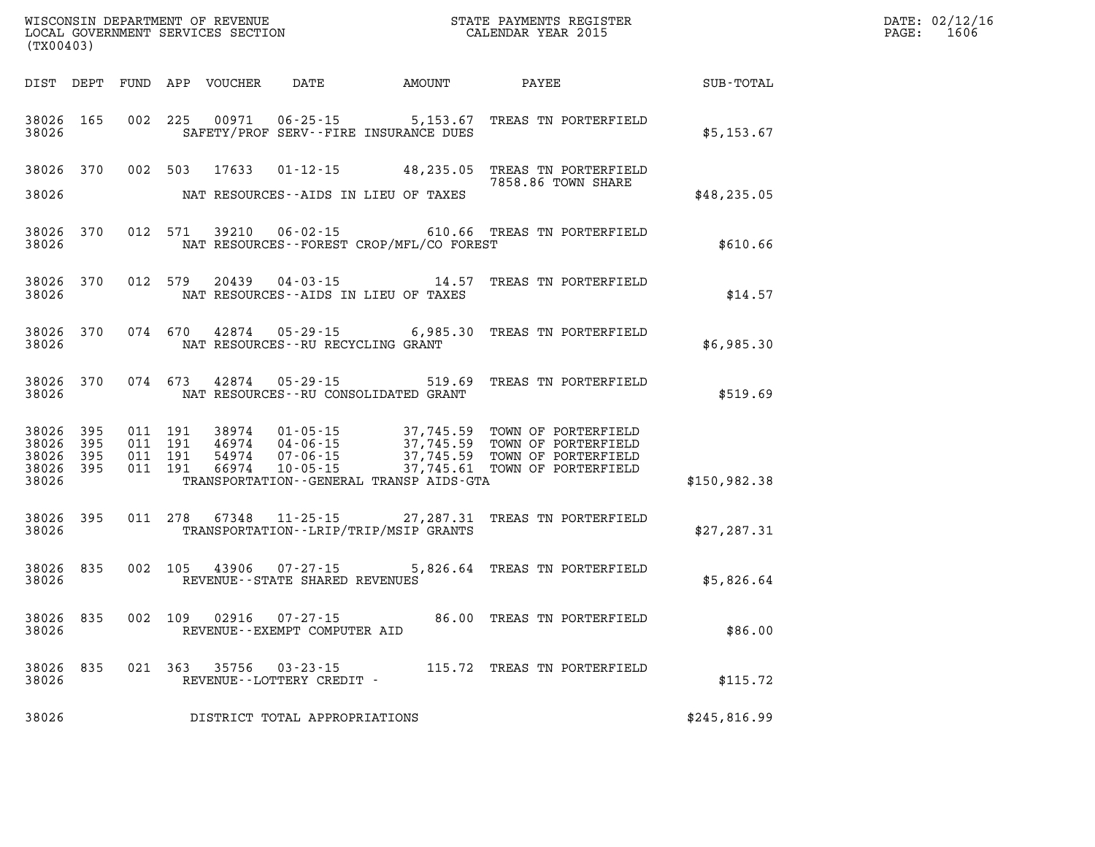| (TX00403)                                     |                     |                                          |         |                         |                                                          |                                                |                                                                                                                                                                                         |              | DATE: 02/12/16<br>PAGE: 1606 |
|-----------------------------------------------|---------------------|------------------------------------------|---------|-------------------------|----------------------------------------------------------|------------------------------------------------|-----------------------------------------------------------------------------------------------------------------------------------------------------------------------------------------|--------------|------------------------------|
|                                               |                     |                                          |         |                         |                                                          | DIST DEPT FUND APP VOUCHER DATE AMOUNT PAYEE   |                                                                                                                                                                                         | SUB-TOTAL    |                              |
| 38026 165<br>38026                            |                     |                                          | 002 225 | 00971                   |                                                          | SAFETY/PROF SERV--FIRE INSURANCE DUES          | 06-25-15 5,153.67 TREAS TN PORTERFIELD                                                                                                                                                  | \$5,153.67   |                              |
| 38026 370<br>38026                            |                     | 002 503                                  |         | 17633                   |                                                          | NAT RESOURCES--AIDS IN LIEU OF TAXES           | 01-12-15 48,235.05 TREAS TN PORTERFIELD<br>7858.86 TOWN SHARE                                                                                                                           | \$48, 235.05 |                              |
| 38026                                         | 38026 370           |                                          | 012 571 |                         |                                                          | NAT RESOURCES--FOREST CROP/MFL/CO FOREST       | 39210  06-02-15  610.66  TREAS TN PORTERFIELD                                                                                                                                           | \$610.66     |                              |
| 38026                                         | 38026 370           |                                          | 012 579 |                         |                                                          | NAT RESOURCES--AIDS IN LIEU OF TAXES           | 20439  04-03-15  14.57  TREAS TN PORTERFIELD                                                                                                                                            | \$14.57      |                              |
| 38026                                         | 38026 370           |                                          | 074 670 |                         | NAT RESOURCES -- RU RECYCLING GRANT                      |                                                | 42874  05-29-15  6,985.30  TREAS TN PORTERFIELD                                                                                                                                         | \$6,985.30   |                              |
| 38026                                         | 38026 370           |                                          | 074 673 |                         | 42874 05-29-15                                           | 519.69<br>NAT RESOURCES--RU CONSOLIDATED GRANT | TREAS TN PORTERFIELD                                                                                                                                                                    | \$519.69     |                              |
| 38026 395<br>38026<br>38026<br>38026<br>38026 | 395<br>- 395<br>395 | 011 191<br>011 191<br>011 191<br>011 191 |         | 46974<br>54974<br>66974 |                                                          | TRANSPORTATION--GENERAL TRANSP AIDS-GTA        | 38974  01-05-15  37,745.59  TOWN OF PORTERFIELD<br>04-06-15 37,745.59 TOWN OF PORTERFIELD<br>07-06-15 37,745.59 TOWN OF PORTERFIELD<br>10-05-15 - ------- 37,745.61 TOWN OF PORTERFIELD | \$150,982.38 |                              |
| 38026 395<br>38026                            |                     |                                          |         |                         |                                                          | TRANSPORTATION - - LRIP/TRIP/MSIP GRANTS       | 011  278  67348  11-25-15  27, 287.31  TREAS TN PORTERFIELD                                                                                                                             | \$27, 287.31 |                              |
| 38026 835<br>38026                            |                     |                                          |         |                         | 002 105 43906 07-27-15<br>REVENUE--STATE SHARED REVENUES |                                                | 5,826.64 TREAS TN PORTERFIELD                                                                                                                                                           | \$5,826.64   |                              |
| 38026                                         | 38026 835           |                                          |         | 002 109 02916 07-27-15  | REVENUE--EXEMPT COMPUTER AID                             |                                                | 86.00 TREAS TN PORTERFIELD                                                                                                                                                              | \$86.00      |                              |
| 38026 835<br>38026                            |                     |                                          | 021 363 | 35756                   | REVENUE--LOTTERY CREDIT -                                |                                                | 03-23-15 115.72 TREAS TN PORTERFIELD                                                                                                                                                    | \$115.72     |                              |
| 38026                                         |                     |                                          |         |                         | DISTRICT TOTAL APPROPRIATIONS                            |                                                |                                                                                                                                                                                         | \$245,816.99 |                              |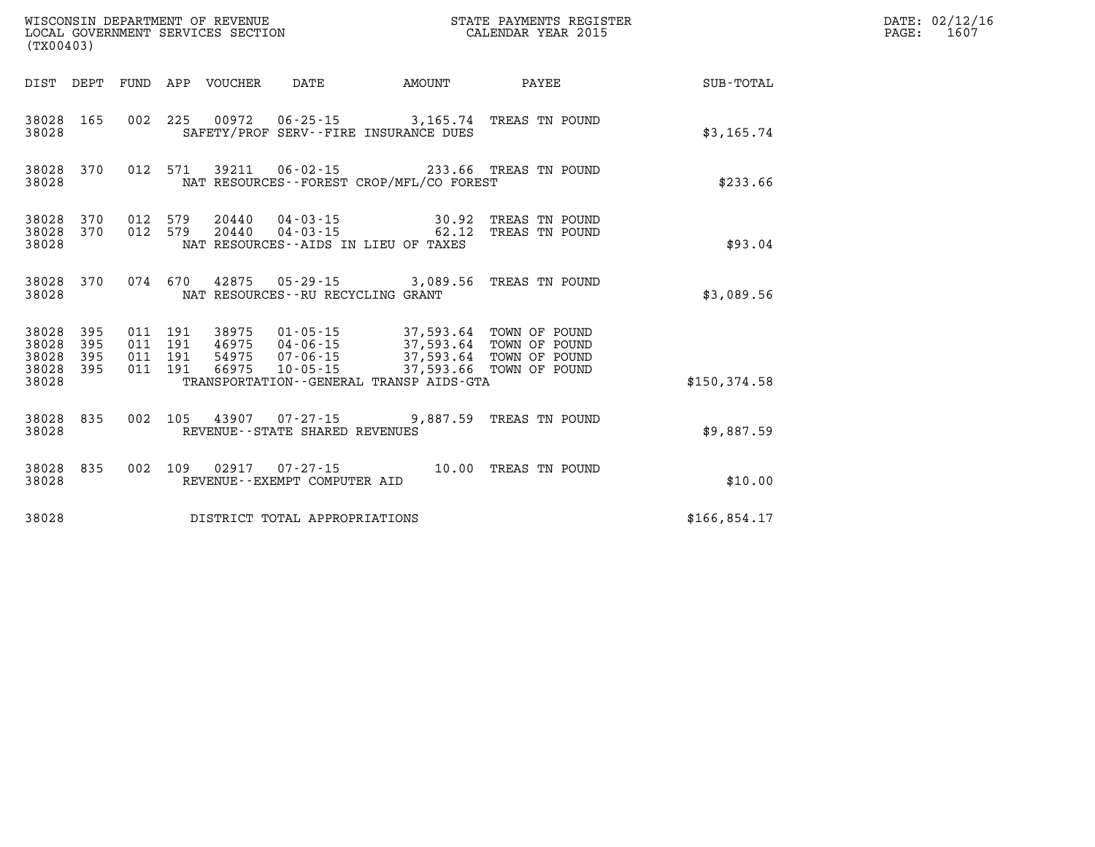| (TX00403)                        |                                  |                    |                    | WISCONSIN DEPARTMENT OF REVENUE<br>LOCAL GOVERNMENT SERVICES SECTION |                                      |                                                                                                                                                                                                        | STATE PAYMENTS REGISTER<br>CALENDAR YEAR 2015 |              | DATE: 02/12/16<br>$\mathtt{PAGE}$ :<br>1607 |
|----------------------------------|----------------------------------|--------------------|--------------------|----------------------------------------------------------------------|--------------------------------------|--------------------------------------------------------------------------------------------------------------------------------------------------------------------------------------------------------|-----------------------------------------------|--------------|---------------------------------------------|
|                                  |                                  |                    |                    | DIST DEPT FUND APP VOUCHER                                           | DATE                                 | AMOUNT                                                                                                                                                                                                 | PAYEE                                         | SUB-TOTAL    |                                             |
| 38028                            | 38028 165                        |                    |                    |                                                                      |                                      | 002 225 00972 06-25-15 3,165.74 TREAS TN POUND<br>SAFETY/PROF SERV--FIRE INSURANCE DUES                                                                                                                |                                               | \$3,165.74   |                                             |
| 38028                            | 38028 370                        |                    | 012 571            | 39211                                                                |                                      | 06-02-15 233.66 TREAS TN POUND<br>NAT RESOURCES - - FOREST CROP/MFL/CO FOREST                                                                                                                          |                                               | \$233.66     |                                             |
| 38028 370<br>38028               | 38028 370                        | 012 579            | 012 579            | 20440                                                                | 04-03-15<br>$20440$ $04 - 03 - 15$   | 62.12<br>NAT RESOURCES -- AIDS IN LIEU OF TAXES                                                                                                                                                        | 30.92 TREAS TN POUND<br>TREAS TN POUND        | \$93.04      |                                             |
| 38028                            | 38028 370                        |                    |                    |                                                                      | NAT RESOURCES - - RU RECYCLING GRANT | 074 670 42875 05-29-15 3,089.56 TREAS TN POUND                                                                                                                                                         |                                               | \$3,089.56   |                                             |
| 38028<br>38028<br>38028<br>38028 | - 395<br>395<br>395<br>38028 395 | 011 191<br>011 191 | 011 191<br>011 191 | 38975<br>66975                                                       | 01-05-15<br>46975 04-06-15           | 37,593.64 TOWN OF POUND<br>46975  04-06-15  37,593.64 TOWN OF POUND<br>54975  07-06-15  37,593.64 TOWN OF POUND<br>66975  10-05-15  37,593.66 TOWN OF POUND<br>TRANSPORTATION--GENERAL TRANSP AIDS-GTA |                                               | \$150.374.58 |                                             |
| 38028 835<br>38028               |                                  |                    |                    |                                                                      | REVENUE - - STATE SHARED REVENUES    | 002 105 43907 07-27-15 9,887.59 TREAS TN POUND                                                                                                                                                         |                                               | \$9,887.59   |                                             |
| 38028 835<br>38028               |                                  |                    | 002 109            |                                                                      | REVENUE--EXEMPT COMPUTER AID         |                                                                                                                                                                                                        | 10.00 TREAS TN POUND                          | \$10.00      |                                             |
| 38028                            |                                  |                    |                    |                                                                      | DISTRICT TOTAL APPROPRIATIONS        |                                                                                                                                                                                                        |                                               | \$166,854.17 |                                             |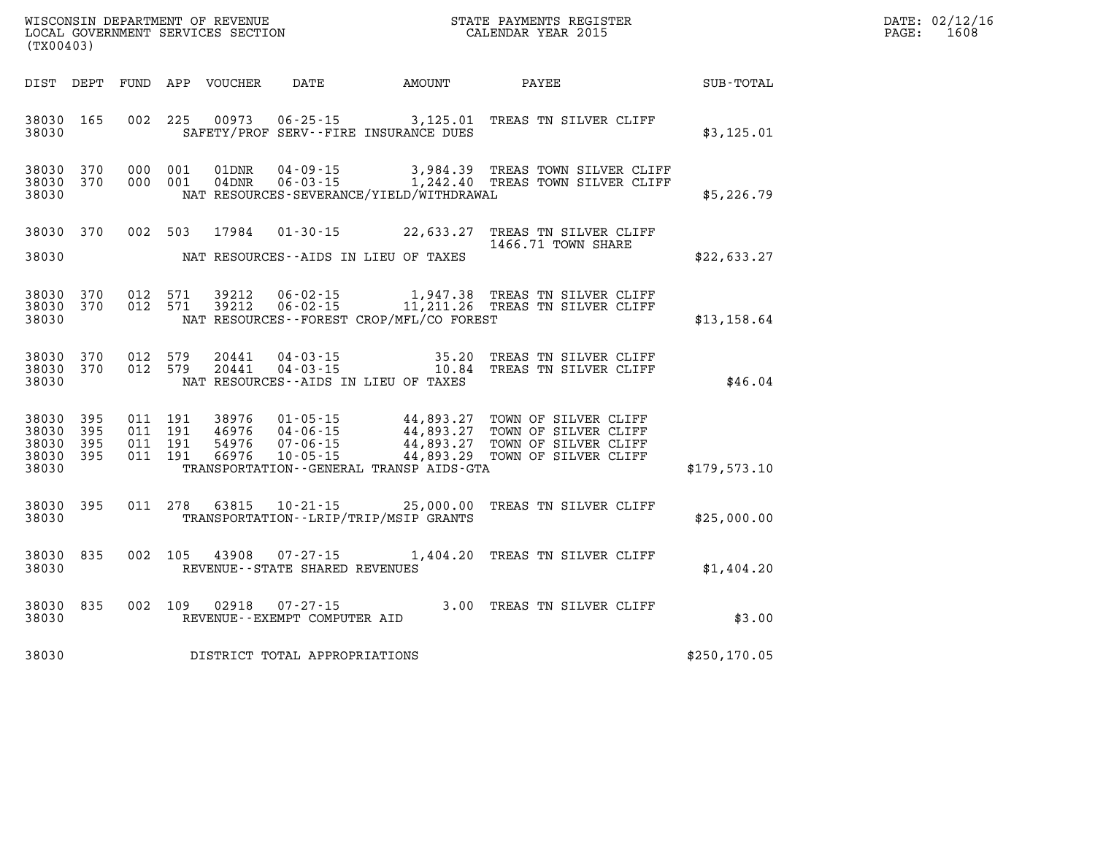| WISCONSIN DEPARTMENT OF REVENUE      | PAYMENTS REGISTER<br>3TATE | DATE: | 02/12/16 |
|--------------------------------------|----------------------------|-------|----------|
| GOVERNMENT SERVICES SECTION<br>LOCAL | CALENDAR YEAR 2015         | PAGE  | ⊥608     |

| (TX00403)                                     |                     |                                          | LOCAL GOVERNMENT SERVICES SECTION |                                |                                          | CALENDAR YEAR 2015                                                                                                                                                                                           |               | PAGE: | 1608 |
|-----------------------------------------------|---------------------|------------------------------------------|-----------------------------------|--------------------------------|------------------------------------------|--------------------------------------------------------------------------------------------------------------------------------------------------------------------------------------------------------------|---------------|-------|------|
|                                               |                     |                                          |                                   |                                |                                          | DIST DEPT FUND APP VOUCHER DATE AMOUNT PAYEE                                                                                                                                                                 | SUB-TOTAL     |       |      |
| 38030 165<br>38030                            |                     | 002 225                                  |                                   |                                | SAFETY/PROF SERV--FIRE INSURANCE DUES    | 00973  06-25-15  3,125.01 TREAS TN SILVER CLIFF                                                                                                                                                              | \$3,125.01    |       |      |
| 38030<br>38030 370<br>38030                   | 370                 | 000 001<br>000 001                       | 01DNR<br>$04$ DNR                 |                                | NAT RESOURCES-SEVERANCE/YIELD/WITHDRAWAL | 04-09-15 3,984.39 TREAS TOWN SILVER CLIFF<br>06-03-15 1,242.40 TREAS TOWN SILVER CLIFF                                                                                                                       | \$5,226.79    |       |      |
| 38030 370                                     |                     | 002 503                                  |                                   |                                |                                          | 17984  01-30-15  22,633.27  TREAS TN SILVER CLIFF<br>1466.71 TOWN SHARE                                                                                                                                      |               |       |      |
| 38030                                         |                     |                                          |                                   |                                | NAT RESOURCES--AIDS IN LIEU OF TAXES     |                                                                                                                                                                                                              | \$22,633.27   |       |      |
| 38030 370<br>38030 370<br>38030               |                     | 012 571<br>012 571                       |                                   |                                | NAT RESOURCES--FOREST CROP/MFL/CO FOREST | 39212  06-02-15   1,947.38  TREAS TN SILVER CLIFF<br>39212  06-02-15   11,211.26  TREAS TN SILVER CLIFF                                                                                                      | \$13,158.64   |       |      |
| 38030 370<br>38030 370<br>38030               |                     | 012 579<br>012 579                       | 20441<br>20441                    |                                | NAT RESOURCES--AIDS IN LIEU OF TAXES     | 04-03-15 35.20 TREAS TN SILVER CLIFF 04-03-15 10.84 TREAS TN SILVER CLIFF                                                                                                                                    | \$46.04       |       |      |
| 38030 395<br>38030<br>38030<br>38030<br>38030 | 395<br>395<br>- 395 | 011 191<br>011 191<br>011 191<br>011 191 |                                   |                                | TRANSPORTATION--GENERAL TRANSP AIDS-GTA  | 38976  01-05-15  44,893.27  TOWN OF SILVER CLIFF<br>46976  04-06-15  44,893.27  TOWN OF SILVER CLIFF<br>54976  07-06-15  44,893.27  TOWN OF SILVER CLIFF<br>66976  10-05-15  44,893.29  TOWN OF SILVER CLIFF | \$179,573.10  |       |      |
| 38030 395<br>38030                            |                     |                                          |                                   |                                | TRANSPORTATION--LRIP/TRIP/MSIP GRANTS    | 011 278 63815 10-21-15 25,000.00 TREAS TN SILVER CLIFF                                                                                                                                                       | \$25,000.00   |       |      |
| 38030 835<br>38030                            |                     |                                          |                                   | REVENUE--STATE SHARED REVENUES |                                          | 002 105 43908 07-27-15 1,404.20 TREAS TN SILVER CLIFF                                                                                                                                                        | \$1,404.20    |       |      |
| 38030 835<br>38030                            |                     | 002 109                                  |                                   | REVENUE--EXEMPT COMPUTER AID   |                                          |                                                                                                                                                                                                              | \$3.00        |       |      |
| 38030                                         |                     |                                          |                                   | DISTRICT TOTAL APPROPRIATIONS  |                                          |                                                                                                                                                                                                              | \$250, 170.05 |       |      |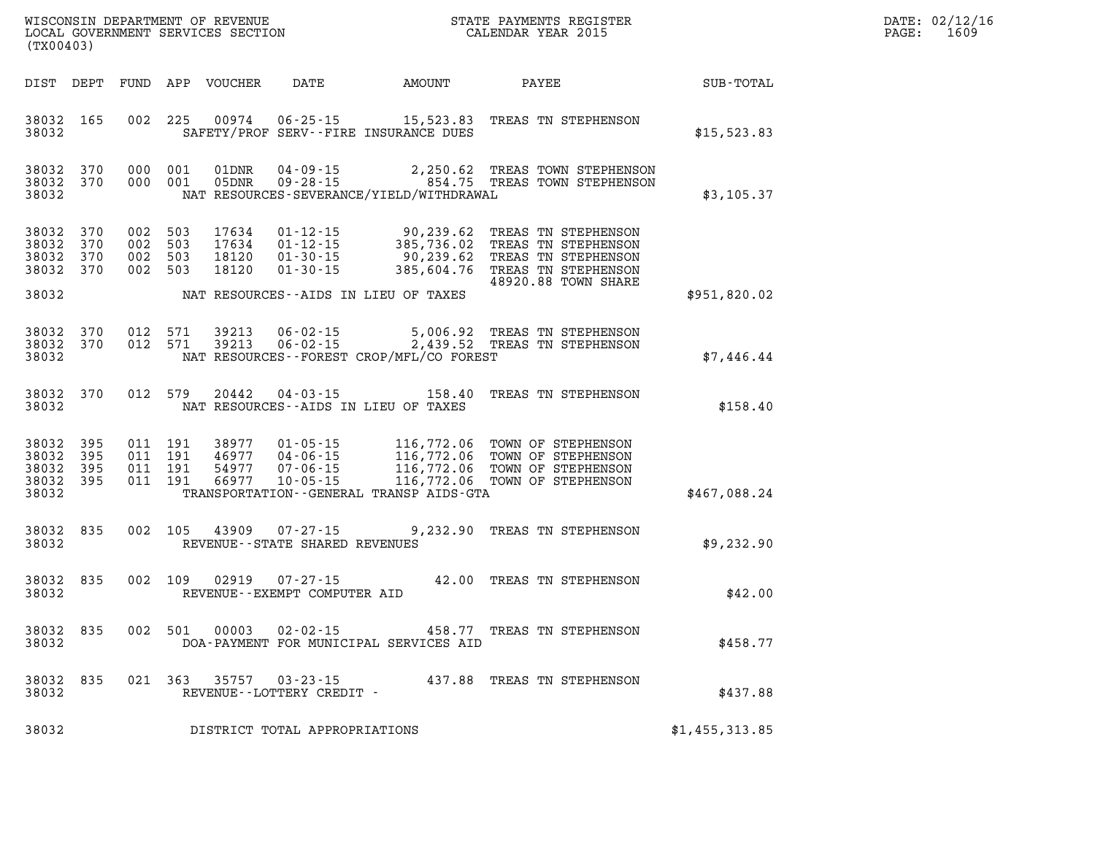| WISCONSIN DEPARTMENT OF REVENUE      | PAYMENTS REGISTER<br>3TATE | DATE: | 02/12/16 |
|--------------------------------------|----------------------------|-------|----------|
| GOVERNMENT SERVICES SECTION<br>LOCAL | CALENDAR YEAR 2015         | PAGE  | 1609     |

|                                           | (TX00403)                            |                                          | LOCAL GOVERNMENT SERVICES SECTION |                                             | CALENDAR YEAR 2015                       |                                                                                                                                                                                               |                | PAGE: | 1609 |
|-------------------------------------------|--------------------------------------|------------------------------------------|-----------------------------------|---------------------------------------------|------------------------------------------|-----------------------------------------------------------------------------------------------------------------------------------------------------------------------------------------------|----------------|-------|------|
|                                           |                                      |                                          | DIST DEPT FUND APP VOUCHER        |                                             | DATE AMOUNT PAYEE                        |                                                                                                                                                                                               | SUB-TOTAL      |       |      |
| 38032<br>38032                            | 165                                  | 002 225                                  | 00974                             |                                             | SAFETY/PROF SERV--FIRE INSURANCE DUES    | 06-25-15 15,523.83 TREAS TN STEPHENSON                                                                                                                                                        | \$15,523.83    |       |      |
| 38032                                     | 38032 370<br>38032 370               | 000 001<br>000 001                       | 01DNR<br>05DNR                    |                                             | NAT RESOURCES-SEVERANCE/YIELD/WITHDRAWAL | 2,250.62 TREAS TOWN STEPHENSON<br>04-09-15 2,250.62 TREAS TOWN STEPHENSON<br>09-28-15 854.75 TREAS TOWN STEPHENSON                                                                            | \$3,105.37     |       |      |
| 38032<br>38032<br>38032                   | 38032 370<br>370<br>370<br>38032 370 | 002 503<br>002 503<br>002 503<br>002 503 | 17634<br>17634<br>18120<br>18120  |                                             | NAT RESOURCES--AIDS IN LIEU OF TAXES     | 01-12-15 90,239.62 TREAS TN STEPHENSON<br>01-12-15 385,736.02 TREAS TN STEPHENSON<br>01-30-15 90,239.62 TREAS TN STEPHENSON<br>01-30-15 385,604.76 TREAS TN STEPHENSON<br>48920.88 TOWN SHARE | \$951,820.02   |       |      |
| 38032<br>38032<br>38032                   | 370<br>370                           | 012 571<br>012 571                       | 39213<br>39213                    | $06 - 02 - 15$                              | NAT RESOURCES--FOREST CROP/MFL/CO FOREST | 5,006.92 TREAS TN STEPHENSON<br>06-02-15 2,439.52 TREAS TN STEPHENSON                                                                                                                         | \$7,446.44     |       |      |
| 38032<br>38032                            | 370                                  | 012 579                                  | 20442                             |                                             | NAT RESOURCES--AIDS IN LIEU OF TAXES     | 04-03-15 158.40 TREAS TN STEPHENSON                                                                                                                                                           | \$158.40       |       |      |
| 38032<br>38032<br>38032<br>38032<br>38032 | 395<br>395<br>395<br>395             | 011 191<br>011 191<br>011 191<br>011 191 | 38977<br>46977<br>54977<br>66977  |                                             | TRANSPORTATION--GENERAL TRANSP AIDS-GTA  | 01-05-15 116,772.06 TOWN OF STEPHENSON<br>04-06-15 116,772.06 TOWN OF STEPHENSON<br>07-06-15 116,772.06 TOWN OF STEPHENSON<br>10-05-15 116,772.06 TOWN OF STEPHENSON                          | \$467,088.24   |       |      |
| 38032<br>38032                            | 835                                  | 002 105                                  | 43909                             | REVENUE--STATE SHARED REVENUES              |                                          | 07-27-15 9,232.90 TREAS TN STEPHENSON                                                                                                                                                         | \$9,232.90     |       |      |
| 38032<br>38032                            | 835                                  | 002 109                                  | 02919                             | REVENUE--EXEMPT COMPUTER AID                |                                          | 07-27-15 42.00 TREAS TN STEPHENSON                                                                                                                                                            | \$42.00        |       |      |
| 38032<br>38032                            | 835                                  | 002 501                                  | 00003                             | $02 - 02 - 15$                              | DOA-PAYMENT FOR MUNICIPAL SERVICES AID   | 458.77 TREAS TN STEPHENSON                                                                                                                                                                    | \$458.77       |       |      |
| 38032<br>38032                            | 835                                  | 021 363                                  |                                   | 35757 03-23-15<br>REVENUE--LOTTERY CREDIT - |                                          | 437.88 TREAS TN STEPHENSON                                                                                                                                                                    | \$437.88       |       |      |
| 38032                                     |                                      |                                          |                                   | DISTRICT TOTAL APPROPRIATIONS               |                                          |                                                                                                                                                                                               | \$1,455,313.85 |       |      |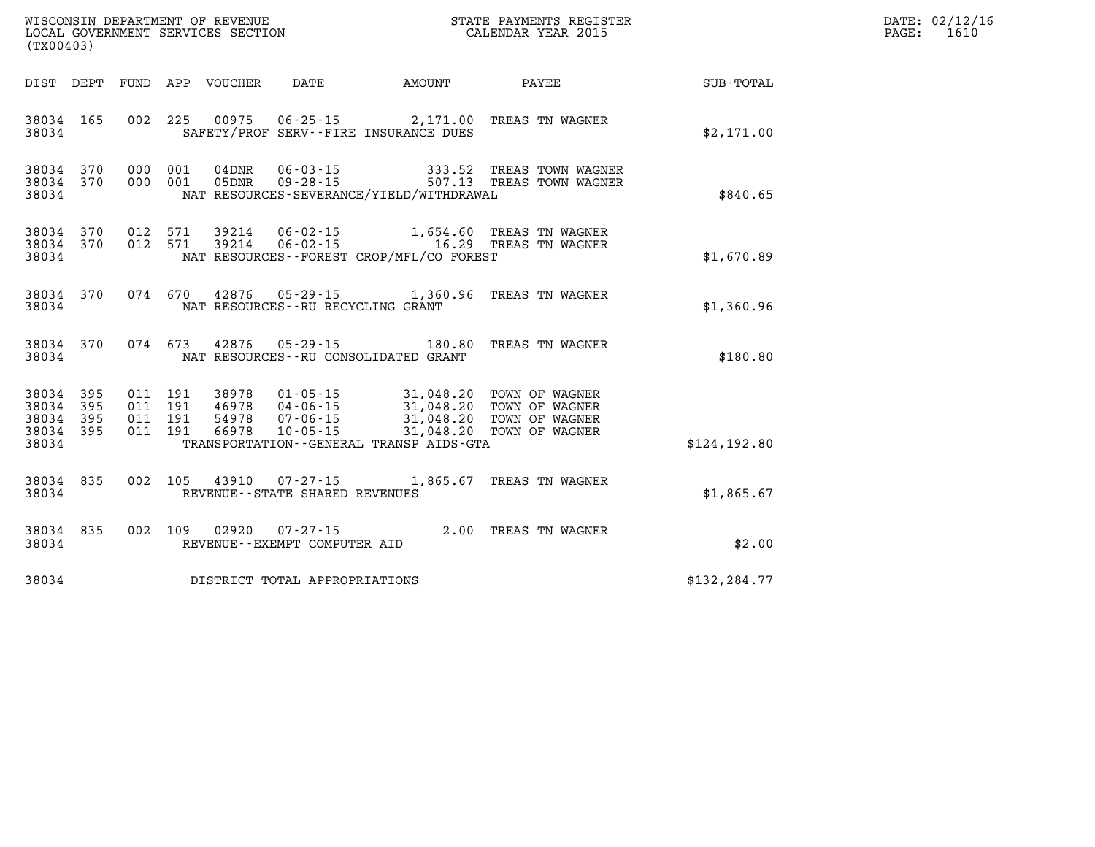| (TX00403)                                             |     |                               |         |                            |                                   |                                                                          |                                                                                                                                                                                       |               | DATE: 02/12/16<br>$\mathtt{PAGE:}$<br>1610 |
|-------------------------------------------------------|-----|-------------------------------|---------|----------------------------|-----------------------------------|--------------------------------------------------------------------------|---------------------------------------------------------------------------------------------------------------------------------------------------------------------------------------|---------------|--------------------------------------------|
|                                                       |     |                               |         | DIST DEPT FUND APP VOUCHER | DATE                              | AMOUNT                                                                   | <b>PAYEE</b>                                                                                                                                                                          | SUB-TOTAL     |                                            |
| 38034 165<br>38034                                    |     |                               |         |                            |                                   | 002 225 00975 06-25-15 2,171.00<br>SAFETY/PROF SERV--FIRE INSURANCE DUES | TREAS TN WAGNER                                                                                                                                                                       | \$2,171.00    |                                            |
| 38034 370<br>38034 370<br>38034                       |     |                               | 000 001 | 04DNR<br>000 001 05DNR     |                                   | NAT RESOURCES-SEVERANCE/YIELD/WITHDRAWAL                                 |                                                                                                                                                                                       | \$840.65      |                                            |
| 38034 370<br>38034 370<br>38034                       |     |                               |         |                            |                                   | NAT RESOURCES - - FOREST CROP/MFL/CO FOREST                              | 012 571 39214 06-02-15 1,654.60 TREAS TN WAGNER<br>012 571 39214 06-02-15 16.29 TREAS TN WAGNER                                                                                       | \$1,670.89    |                                            |
| 38034 370<br>38034                                    |     |                               |         |                            |                                   | NAT RESOURCES -- RU RECYCLING GRANT                                      | 074 670 42876 05-29-15 1,360.96 TREAS TN WAGNER                                                                                                                                       | \$1,360.96    |                                            |
| 38034 370<br>38034                                    |     |                               |         |                            |                                   | NAT RESOURCES -- RU CONSOLIDATED GRANT                                   | 074 673 42876 05-29-15 180.80 TREAS TN WAGNER                                                                                                                                         | \$180.80      |                                            |
| 38034 395<br>38034<br>38034 395<br>38034 395<br>38034 | 395 | 011 191<br>011 191<br>011 191 | 011 191 | 46978                      |                                   | TRANSPORTATION--GENERAL TRANSP AIDS-GTA                                  | 38978  01-05-15  31,048.20  TOWN OF WAGNER<br>46978  04-06-15  31,048.20  TOWN OF WAGNER<br>54978  07-06-15  31,048.20  TOWN OF WAGNER<br>66978  10-05-15   31,048.20  TOWN OF WAGNER | \$124, 192.80 |                                            |
| 38034 835<br>38034                                    |     |                               |         |                            | REVENUE - - STATE SHARED REVENUES |                                                                          | 002 105 43910 07-27-15 1,865.67 TREAS TN WAGNER                                                                                                                                       | \$1,865.67    |                                            |
| 38034 835<br>38034                                    |     |                               |         | 002 109 02920              | REVENUE--EXEMPT COMPUTER AID      |                                                                          | 07-27-15 2.00 TREAS TN WAGNER                                                                                                                                                         | \$2.00        |                                            |
| 38034                                                 |     |                               |         |                            | DISTRICT TOTAL APPROPRIATIONS     |                                                                          |                                                                                                                                                                                       | \$132, 284.77 |                                            |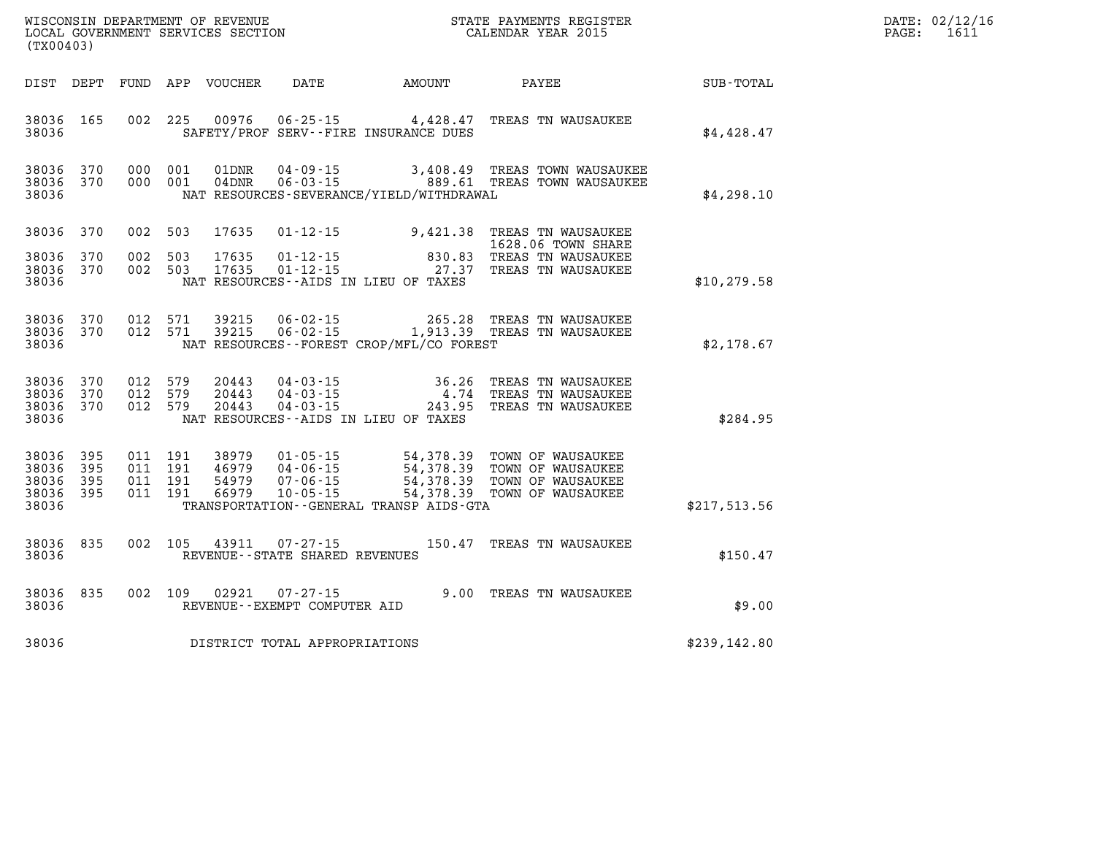| WISCONSIN DEPARTMENT OF REVENUE      | PAYMENTS REGISTER<br>3TATE | DATE: | 02/12/16       |
|--------------------------------------|----------------------------|-------|----------------|
| GOVERNMENT SERVICES SECTION<br>LOCAL | CALENDAR YEAR 2015         | PAGE  | $-1$<br>-p T T |

| (TX00403)                                     |                   |         |                                          | LOCAL GOVERNMENT SERVICES SECTION |                                                     |                                             | CALENDAR YEAR 2015                                                                                                                                                                               |              | PAGE: | 1611 |
|-----------------------------------------------|-------------------|---------|------------------------------------------|-----------------------------------|-----------------------------------------------------|---------------------------------------------|--------------------------------------------------------------------------------------------------------------------------------------------------------------------------------------------------|--------------|-------|------|
| DIST DEPT                                     |                   |         |                                          |                                   |                                                     |                                             |                                                                                                                                                                                                  |              |       |      |
| 38036 165<br>38036                            |                   |         |                                          |                                   |                                                     | SAFETY/PROF SERV--FIRE INSURANCE DUES       | 002 225 00976 06-25-15 4,428.47 TREAS TN WAUSAUKEE                                                                                                                                               | \$4,428.47   |       |      |
| 38036 370<br>38036 370<br>38036               |                   |         | 000 001<br>000 001                       | 01DNR<br>$04$ DNR                 |                                                     | NAT RESOURCES-SEVERANCE/YIELD/WITHDRAWAL    | 04-09-15 3,408.49 TREAS TOWN WAUSAUKEE<br>06-03-15 089.61 TREAS TOWN WAUSAUKEE                                                                                                                   | \$4,298.10   |       |      |
| 38036                                         | 370               |         | 002 503                                  | 17635                             |                                                     |                                             | 01-12-15 9,421.38 TREAS TN WAUSAUKEE<br>1628.06 TOWN SHARE                                                                                                                                       |              |       |      |
| 38036<br>38036 370<br>38036                   | 370               | 002 503 | 002 503                                  | 17635<br>17635                    |                                                     | NAT RESOURCES -- AIDS IN LIEU OF TAXES      | 1026.00 TOMM SHARE<br>01-12-15 01-12-15 01-12-15 27.37 TREAS TN WAUSAUKEE                                                                                                                        | \$10, 279.58 |       |      |
| 38036 370<br>38036 370<br>38036               |                   |         |                                          |                                   |                                                     | NAT RESOURCES - - FOREST CROP/MFL/CO FOREST | 012 571 39215 06-02-15 265.28 TREAS TN WAUSAUKEE<br>012 571 39215 06-02-15 1,913.39 TREAS TN WAUSAUKEE                                                                                           | \$2,178.67   |       |      |
| 38036<br>38036 370<br>38036 370<br>38036      | 370               | 012 579 | 012 579<br>012 579                       | 20443<br>20443<br>20443           |                                                     | NAT RESOURCES -- AIDS IN LIEU OF TAXES      | 04-03-15 36.26 TREAS TN WAUSAUKEE<br>04-03-15 4.74 TREAS TN WAUSAUKEE<br>04-03-15 243.95 TREAS TN WAUSAUKEE                                                                                      | \$284.95     |       |      |
| 38036<br>38036<br>38036<br>38036 395<br>38036 | 395<br>395<br>395 |         | 011 191<br>011 191<br>011 191<br>011 191 |                                   |                                                     | TRANSPORTATION--GENERAL TRANSP AIDS-GTA     | 38979  01-05-15  54,378.39  TOWN OF WAUSAUKEE<br>46979  04-06-15  54,378.39  TOWN OF WAUSAUKEE<br>54979  07-06-15  54,378.39  TOWN OF WAUSAUKEE<br>66979  10-05-15  54,378.39  TOWN OF WAUSAUKEE | \$217,513.56 |       |      |
| 38036<br>38036                                | 835               |         | 002 105                                  | 43911                             | $07 - 27 - 15$<br>REVENUE - - STATE SHARED REVENUES |                                             | 150.47 TREAS TN WAUSAUKEE                                                                                                                                                                        | \$150.47     |       |      |
| 38036<br>38036                                | 835               |         |                                          | 002 109 02921                     | 07-27-15<br>REVENUE--EXEMPT COMPUTER AID            |                                             | 9.00 TREAS TN WAUSAUKEE                                                                                                                                                                          | \$9.00       |       |      |
| 38036                                         |                   |         |                                          |                                   | DISTRICT TOTAL APPROPRIATIONS                       |                                             |                                                                                                                                                                                                  | \$239,142.80 |       |      |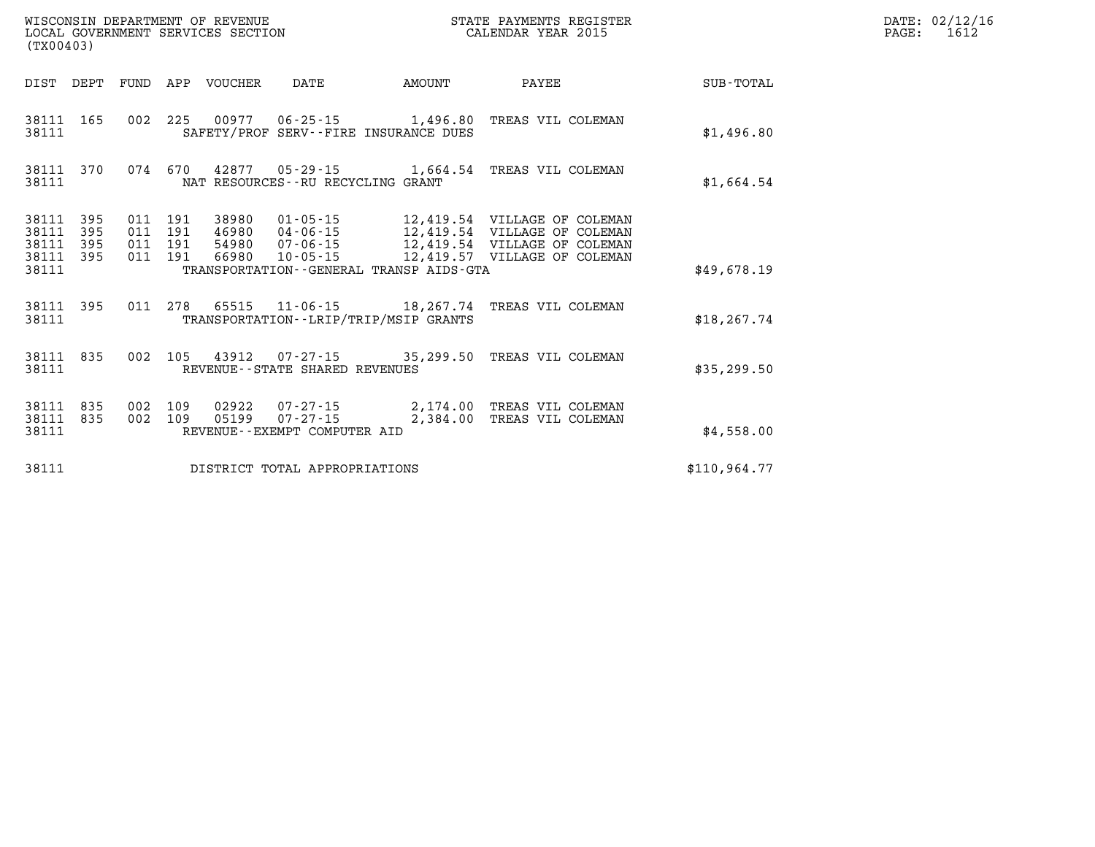|                                                   | LOCAL GOVERNMENT SERVICES SECTION<br>(TX00403) |  |  |                            |                                   |                                          | CALENDAR YEAR 2015                                                                                     |              | PAGE: | 1612 |
|---------------------------------------------------|------------------------------------------------|--|--|----------------------------|-----------------------------------|------------------------------------------|--------------------------------------------------------------------------------------------------------|--------------|-------|------|
|                                                   |                                                |  |  | DIST DEPT FUND APP VOUCHER |                                   | DATE AMOUNT                              | <b>PAYEE</b>                                                                                           | SUB - TOTAL  |       |      |
| 38111                                             |                                                |  |  |                            |                                   | SAFETY/PROF SERV--FIRE INSURANCE DUES    | 38111 165 002 225 00977 06-25-15 1,496.80 TREAS VIL COLEMAN                                            | \$1,496.80   |       |      |
| 38111                                             |                                                |  |  |                            | NAT RESOURCES--RU RECYCLING GRANT |                                          | 38111 370 074 670 42877 05-29-15 1,664.54 TREAS VIL COLEMAN                                            | \$1,664.54   |       |      |
| 38111 395<br>38111<br>38111<br>38111 395<br>38111 | 395<br>395                                     |  |  |                            |                                   | TRANSPORTATION--GENERAL TRANSP AIDS-GTA  |                                                                                                        | \$49,678.19  |       |      |
| 38111                                             |                                                |  |  |                            |                                   | TRANSPORTATION - - LRIP/TRIP/MSIP GRANTS | 38111 395 011 278 65515 11-06-15 18, 267.74 TREAS VIL COLEMAN                                          | \$18, 267.74 |       |      |
| 38111                                             |                                                |  |  |                            | REVENUE--STATE SHARED REVENUES    |                                          | 38111 835 002 105 43912 07-27-15 35,299.50 TREAS VIL COLEMAN                                           | \$35,299.50  |       |      |
| 38111                                             | 38111 835<br>38111 835                         |  |  |                            | REVENUE--EXEMPT COMPUTER AID      |                                          | 002 109 02922 07-27-15 2,174.00 TREAS VIL COLEMAN<br>002 109 05199 07-27-15 2,384.00 TREAS VIL COLEMAN | \$4,558.00   |       |      |
| 38111                                             |                                                |  |  |                            | DISTRICT TOTAL APPROPRIATIONS     |                                          |                                                                                                        | \$110.964.77 |       |      |

**WISCONSIN DEPARTMENT OF REVENUE STATE PAYMENTS REGISTER DATE: 02/12/16**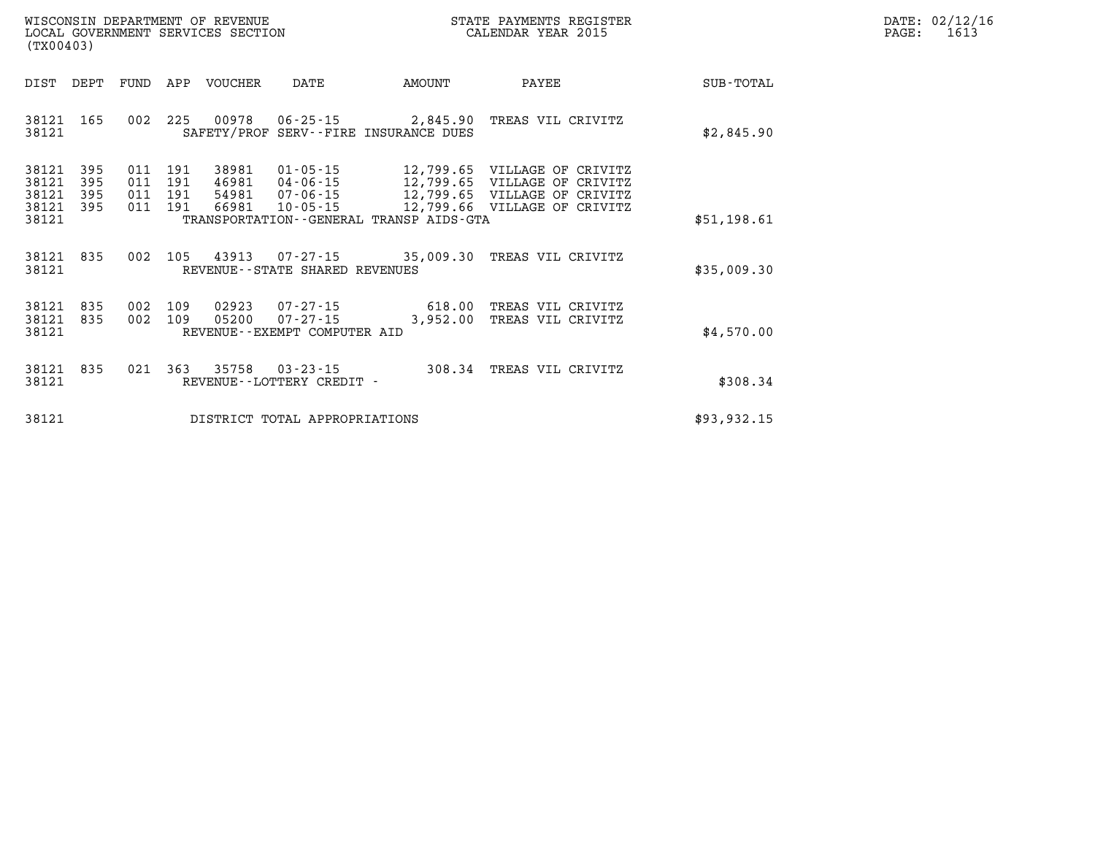| WISCONSIN DEPARTMENT OF REVENUE   | PAYMENTS REGISTER<br>3TATE | DATE: | 02/12/16            |
|-----------------------------------|----------------------------|-------|---------------------|
| LOCAL GOVERNMENT SERVICES SECTION | CALENDAR YEAR 2015         | PAGE  | . <i>.</i><br>L6 1. |

| LOCAL GOVERNMENT SERVICES SECTION<br>(TX00403) |                          |            |                                      |                                  |                                                          | CALENDAR YEAR 2015                      |                                                                                                                              |             | PAGE: | 1613 |
|------------------------------------------------|--------------------------|------------|--------------------------------------|----------------------------------|----------------------------------------------------------|-----------------------------------------|------------------------------------------------------------------------------------------------------------------------------|-------------|-------|------|
| DIST                                           | DEPT                     | FUND       | APP                                  | VOUCHER                          | DATE                                                     | AMOUNT                                  | PAYEE                                                                                                                        | SUB-TOTAL   |       |      |
| 38121 165<br>38121                             |                          |            | 002 225                              |                                  |                                                          | SAFETY/PROF SERV--FIRE INSURANCE DUES   | 2,845.90 TREAS VIL CRIVITZ                                                                                                   | \$2,845.90  |       |      |
| 38121<br>38121<br>38121<br>38121               | 395<br>395<br>395<br>395 | 011        | 191<br>011 191<br>011 191<br>011 191 | 38981<br>46981<br>54981<br>66981 | $01 - 05 - 15$<br>04-06-15<br>07-06-15<br>$10 - 05 - 15$ |                                         | 12,799.65 VILLAGE OF CRIVITZ<br>12,799.65 VILLAGE OF CRIVITZ<br>12,799.65 VILLAGE OF CRIVITZ<br>12,799.66 VILLAGE OF CRIVITZ |             |       |      |
| 38121                                          |                          |            |                                      |                                  |                                                          | TRANSPORTATION--GENERAL TRANSP AIDS-GTA |                                                                                                                              | \$51,198.61 |       |      |
| 38121<br>38121                                 | 835                      |            |                                      |                                  | REVENUE - - STATE SHARED REVENUES                        |                                         | 002 105 43913 07-27-15 35,009.30 TREAS VIL CRIVITZ                                                                           | \$35,009.30 |       |      |
| 38121<br>38121<br>38121                        | 835<br>835               | 002<br>002 | 109<br>109                           | 02923<br>05200                   | $07 - 27 - 15$<br>REVENUE--EXEMPT COMPUTER AID           |                                         | 07-27-15 618.00 TREAS VIL CRIVITZ<br>3,952.00 TREAS VIL CRIVITZ                                                              | \$4,570.00  |       |      |
| 38121<br>38121                                 | 835                      |            | 021 363                              | 35758                            | $03 - 23 - 15$<br>REVENUE - - LOTTERY CREDIT -           |                                         | 308.34 TREAS VIL CRIVITZ                                                                                                     | \$308.34    |       |      |
| 38121                                          |                          |            |                                      |                                  | DISTRICT TOTAL APPROPRIATIONS                            |                                         |                                                                                                                              | \$93,932.15 |       |      |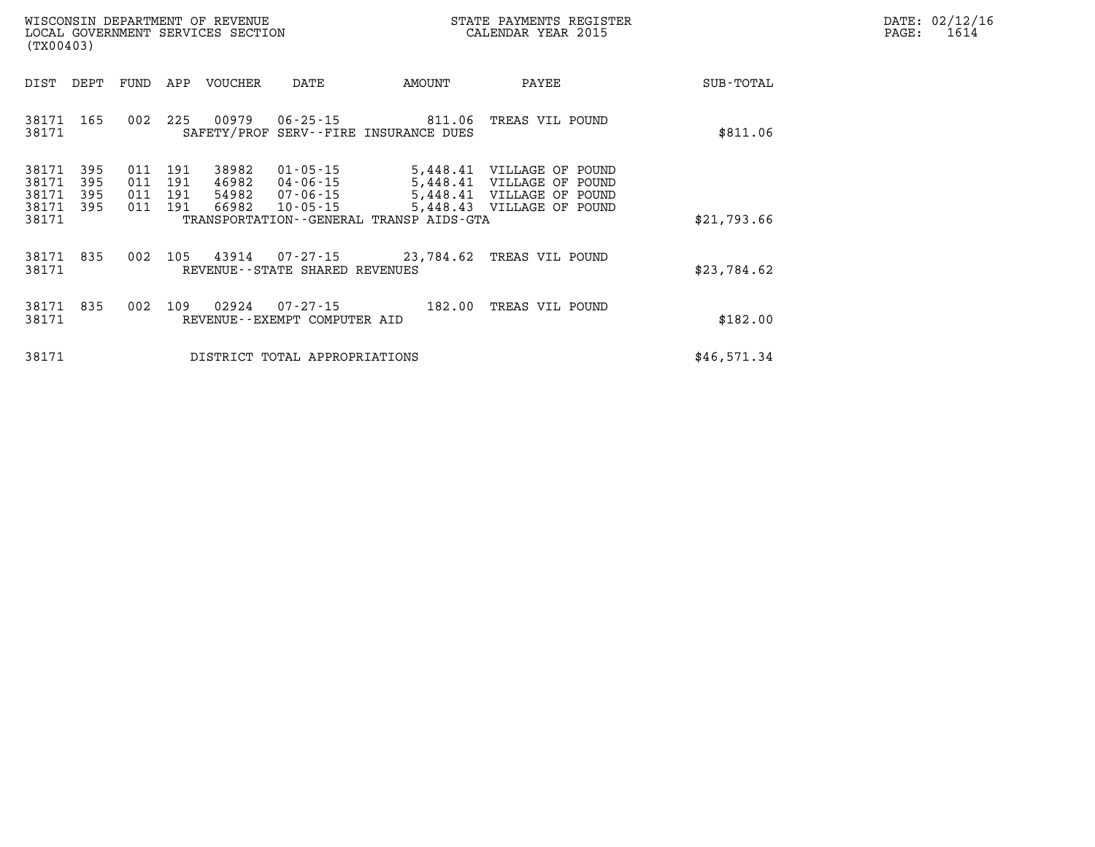| DATE: | 02/12/16 |
|-------|----------|
| PAGE: | 1614     |

| WISCONSIN DEPARTMENT OF REVENUE<br>LOCAL GOVERNMENT SERVICES SECTION<br>(TX00403)                                                                                                                                       |                                         | STATE PAYMENTS REGISTER<br>CALENDAR YEAR 2015                                                                    |             | DATE: 02/12/1<br>PAGE:<br>1614 |
|-------------------------------------------------------------------------------------------------------------------------------------------------------------------------------------------------------------------------|-----------------------------------------|------------------------------------------------------------------------------------------------------------------|-------------|--------------------------------|
| APP<br>VOUCHER<br>DIST<br>DEPT<br>FUND<br>DATE                                                                                                                                                                          | AMOUNT                                  | PAYEE                                                                                                            | SUB-TOTAL   |                                |
| 165<br>002<br>225<br>00979<br>$06 - 25 - 15$<br>38171<br>38171<br>SAFETY/PROF SERV--FIRE INSURANCE DUES                                                                                                                 | 811.06 TREAS VIL POUND                  |                                                                                                                  | \$811.06    |                                |
| 38171<br>395<br>191<br>38982<br>01-05-15<br>011<br>38171<br>395<br>011<br>191<br>46982<br>04-06-15<br>38171<br>395<br>011<br>191<br>54982<br>07-06-15<br>38171<br>66982<br>395<br>011<br>191<br>$10 - 05 - 15$<br>38171 | TRANSPORTATION--GENERAL TRANSP AIDS-GTA | 5,448.41 VILLAGE OF POUND<br>5,448.41 VILLAGE OF POUND<br>5,448.41 VILLAGE OF POUND<br>5,448.43 VILLAGE OF POUND | \$21,793.66 |                                |
| 105<br>43914<br>38171<br>835<br>002<br>38171<br>REVENUE--STATE SHARED REVENUES                                                                                                                                          | 07-27-15 23,784.62 TREAS VIL POUND      |                                                                                                                  | \$23,784.62 |                                |
| 38171<br>835<br>109<br>002<br>02924<br>07-27-15<br>38171<br>REVENUE--EXEMPT COMPUTER AID                                                                                                                                |                                         | 182.00 TREAS VIL POUND                                                                                           | \$182.00    |                                |
| 38171<br>DISTRICT TOTAL APPROPRIATIONS                                                                                                                                                                                  |                                         |                                                                                                                  | \$46,571.34 |                                |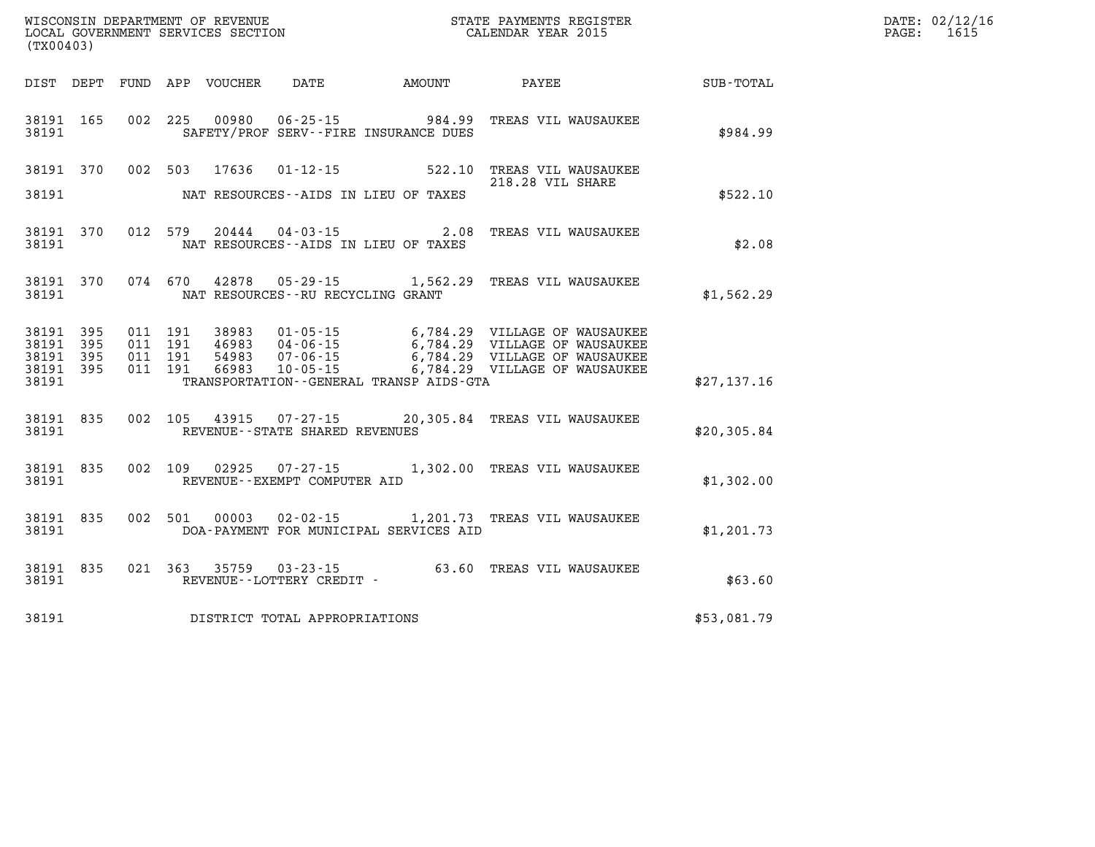| (TX00403)                       |           |  |                            |                                      |                                         |                                                                                                                                                                                                                                                                                                                                                           |             | DATE: 02/12/16<br>PAGE:<br>1615 |
|---------------------------------|-----------|--|----------------------------|--------------------------------------|-----------------------------------------|-----------------------------------------------------------------------------------------------------------------------------------------------------------------------------------------------------------------------------------------------------------------------------------------------------------------------------------------------------------|-------------|---------------------------------|
|                                 |           |  | DIST DEPT FUND APP VOUCHER |                                      |                                         | DATE AMOUNT PAYEE                                                                                                                                                                                                                                                                                                                                         | SUB-TOTAL   |                                 |
| 38191 165<br>38191              |           |  |                            |                                      | SAFETY/PROF SERV--FIRE INSURANCE DUES   | 002 225 00980 06-25-15 984.99 TREAS VIL WAUSAUKEE                                                                                                                                                                                                                                                                                                         | \$984.99    |                                 |
|                                 |           |  |                            |                                      |                                         | 38191 370 002 503 17636 01-12-15 522.10 TREAS VIL WAUSAUKEE<br>218.28 VIL SHARE                                                                                                                                                                                                                                                                           |             |                                 |
| 38191                           |           |  |                            | NAT RESOURCES--AIDS IN LIEU OF TAXES |                                         |                                                                                                                                                                                                                                                                                                                                                           | \$522.10    |                                 |
| 38191 370<br>38191              |           |  |                            | NAT RESOURCES--AIDS IN LIEU OF TAXES |                                         | 012 579 20444 04-03-15 2.08 TREAS VIL WAUSAUKEE                                                                                                                                                                                                                                                                                                           | \$2.08      |                                 |
| 38191 370<br>38191              |           |  |                            | NAT RESOURCES--RU RECYCLING GRANT    |                                         | 074 670 42878 05-29-15 1,562.29 TREAS VIL WAUSAUKEE                                                                                                                                                                                                                                                                                                       | \$1,562.29  |                                 |
| 38191 395<br>38191 395          |           |  |                            |                                      |                                         | $\begin{tabular}{cccc} 011 & 191 & 38983 & 01\text{-}05\text{-}15 & 6\text{,}784.29 & \text{VILLAGE OF WANGAUKEE} \\ 011 & 191 & 46983 & 04\text{-}06\text{-}15 & 6\text{-},784.29 & \text{VILLAGE OF WANGAUKEE} \\ 011 & 191 & 54983 & 07\text{-}06\text{-}15 & 6\text{-},784.29 & \text{VILLAGE OF WANGAUKEE} \\ 011 & 191 & 66983 & 10\text{-}05\text$ |             |                                 |
| 38191 395<br>38191 395<br>38191 |           |  |                            |                                      | TRANSPORTATION--GENERAL TRANSP AIDS-GTA |                                                                                                                                                                                                                                                                                                                                                           | \$27,137.16 |                                 |
| 38191                           | 38191 835 |  |                            | REVENUE--STATE SHARED REVENUES       |                                         | 002 105 43915 07-27-15 20,305.84 TREAS VIL WAUSAUKEE                                                                                                                                                                                                                                                                                                      | \$20,305.84 |                                 |
| 38191 835<br>38191              |           |  |                            | REVENUE--EXEMPT COMPUTER AID         |                                         | 002 109 02925 07-27-15 1,302.00 TREAS VIL WAUSAUKEE                                                                                                                                                                                                                                                                                                       | \$1,302.00  |                                 |
| 38191 835<br>38191              |           |  |                            |                                      | DOA-PAYMENT FOR MUNICIPAL SERVICES AID  | 002 501 00003 02-02-15 1,201.73 TREAS VIL WAUSAUKEE                                                                                                                                                                                                                                                                                                       | \$1,201.73  |                                 |
| 38191                           | 38191 835 |  |                            | REVENUE--LOTTERY CREDIT -            |                                         | 021 363 35759 03-23-15 63.60 TREAS VIL WAUSAUKEE                                                                                                                                                                                                                                                                                                          | \$63.60     |                                 |
| 38191                           |           |  |                            | DISTRICT TOTAL APPROPRIATIONS        |                                         |                                                                                                                                                                                                                                                                                                                                                           | \$53,081.79 |                                 |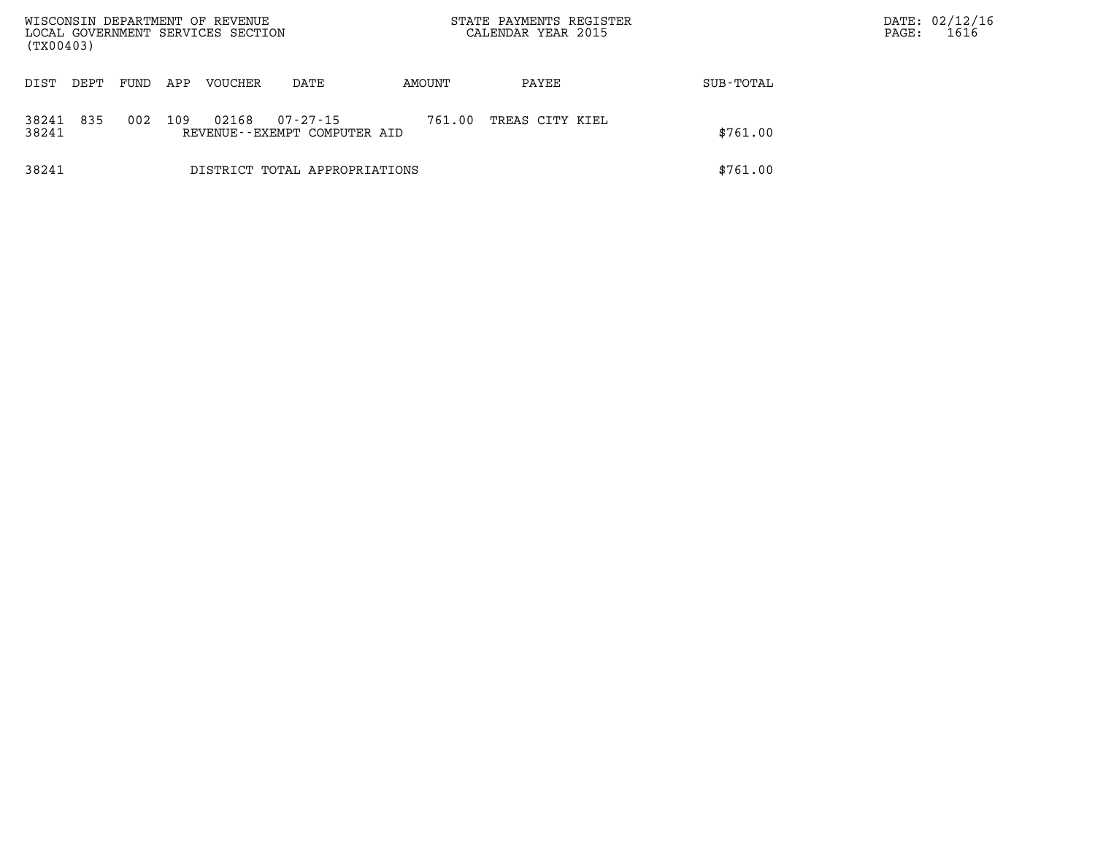| WISCONSIN DEPARTMENT OF REVENUE<br>LOCAL GOVERNMENT SERVICES SECTION<br>(TX00403) |      |      |     |                |                                                |        | STATE PAYMENTS REGISTER<br>CALENDAR YEAR 2015 |           | DATE: 02/12/16<br>1616<br>PAGE: |
|-----------------------------------------------------------------------------------|------|------|-----|----------------|------------------------------------------------|--------|-----------------------------------------------|-----------|---------------------------------|
| DIST                                                                              | DEPT | FUND | APP | <b>VOUCHER</b> | DATE                                           | AMOUNT | PAYEE                                         | SUB-TOTAL |                                 |
| 38241<br>38241                                                                    | 835  | 002  | 109 | 02168          | $07 - 27 - 15$<br>REVENUE--EXEMPT COMPUTER AID | 761.00 | TREAS CITY KIEL                               | \$761.00  |                                 |
| 38241                                                                             |      |      |     |                | DISTRICT TOTAL APPROPRIATIONS                  |        |                                               | \$761.00  |                                 |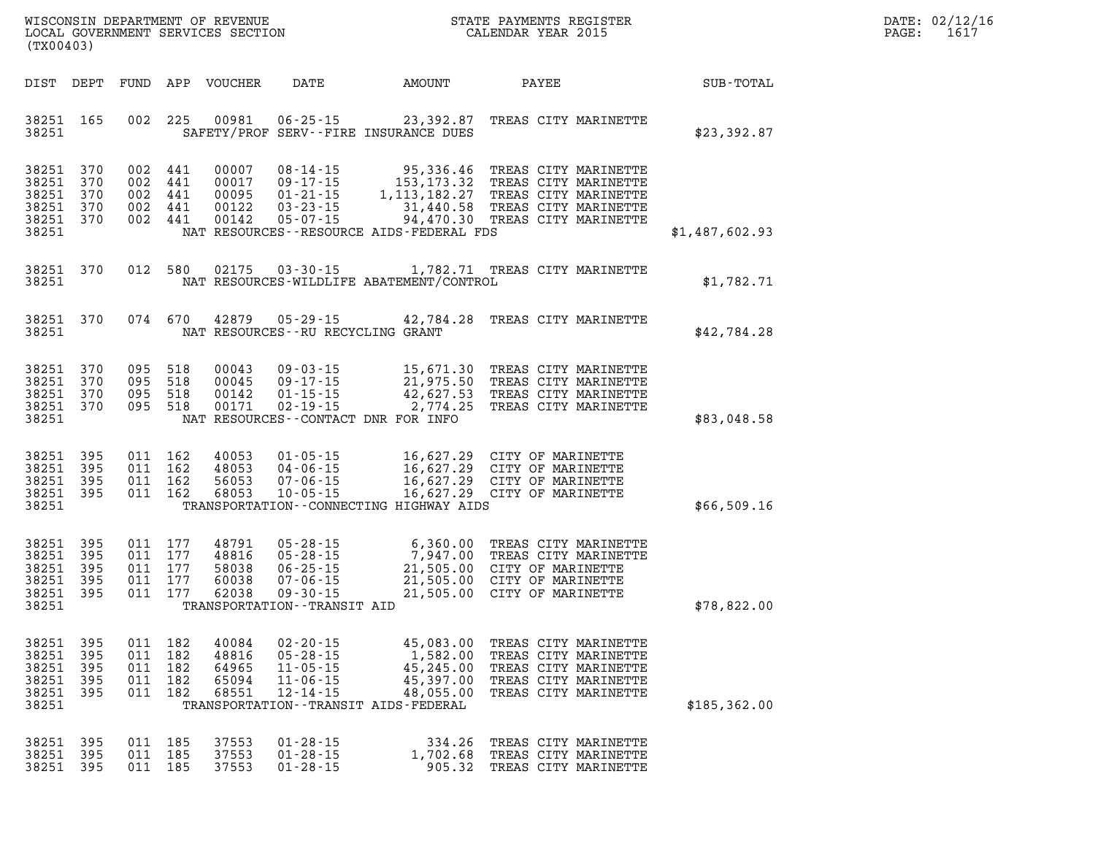| DATE: | 02/12/16 |
|-------|----------|
| PAGE: | 1617     |

| (TX00403)                                                          |                                  |                                                 |                                                     |                                           |                                                                                        | WISCONSIN DEPARTMENT OF REVENUE<br>LOCAL GOVERNMENT SERVICES SECTION<br>CALENDAR YEAR 2015                                                                                                                                                                                         | STATE PAYMENTS REGISTER                                                                                              |                | DATE: 02/12/1<br>PAGE:<br>1617 |
|--------------------------------------------------------------------|----------------------------------|-------------------------------------------------|-----------------------------------------------------|-------------------------------------------|----------------------------------------------------------------------------------------|------------------------------------------------------------------------------------------------------------------------------------------------------------------------------------------------------------------------------------------------------------------------------------|----------------------------------------------------------------------------------------------------------------------|----------------|--------------------------------|
| DIST DEPT                                                          |                                  |                                                 |                                                     | FUND APP VOUCHER                          | <b>DATE</b>                                                                            | AMOUNT                                                                                                                                                                                                                                                                             | PAYEE                                                                                                                | SUB-TOTAL      |                                |
| 38251 165<br>38251                                                 |                                  |                                                 |                                                     |                                           |                                                                                        | 002 225 00981 06-25-15 23,392.87 TREAS CITY MARINETTE<br>SAFETY/PROF SERV--FIRE INSURANCE DUES                                                                                                                                                                                     |                                                                                                                      | \$23,392.87    |                                |
| 38251 370<br>38251 370<br>38251<br>38251 370<br>38251 370<br>38251 | 370                              |                                                 | 002 441<br>002 441<br>002 441<br>002 441            | 00122                                     | 002 441 00142 05-07-15                                                                 | 00007 08-14-15 95,336.46 TREAS CITY MARINETTE<br>00017 09-17-15 153,173.32 TREAS CITY MARINETTE<br>00095 01-21-15 1,113,182.27 TREAS CITY MARINETTE<br>00122 03-23-15 31,440.58 TREAS CITY MARINETTE<br>94,470.30 TREAS CITY MARINETTE<br>NAT RESOURCES--RESOURCE AIDS-FEDERAL FDS |                                                                                                                      | \$1,487,602.93 |                                |
| 38251 370<br>38251                                                 |                                  |                                                 |                                                     |                                           |                                                                                        | 012 580 02175 03-30-15 1,782.71 TREAS CITY MARINETTE<br>NAT RESOURCES-WILDLIFE ABATEMENT/CONTROL                                                                                                                                                                                   |                                                                                                                      | \$1,782.71     |                                |
| 38251 370<br>38251                                                 |                                  |                                                 |                                                     |                                           | 074 670 42879 05-29-15<br>NAT RESOURCES - - RU RECYCLING GRANT                         | 42,784.28 TREAS CITY MARINETTE                                                                                                                                                                                                                                                     |                                                                                                                      | \$42,784.28    |                                |
| 38251 370<br>38251 370<br>38251 370<br>38251 370<br>38251          |                                  | 095 518<br>095 518                              |                                                     |                                           |                                                                                        | 095 518 00043 09-03-15 15,671.30 TREAS CITY MARINETTE<br>095 518 00045 09-17-15 21,975.50 TREAS CITY MARINETTE<br>095 518 00142 01-15-15 42,627.53 TREAS CITY MARINETTE<br>095 518 00171 02-19-15 - 10 2,774.25 TREAS CITY MARINETTE<br>NAT RESOURCES--CONTACT DNR FOR INFO        |                                                                                                                      | \$83,048.58    |                                |
| 38251 395<br>38251 395<br>38251 395<br>38251 395<br>38251          |                                  |                                                 | 011 162<br>011 162<br>011 162<br>011 162            |                                           |                                                                                        | 40053 01-05-15 16,627.29 CITY OF MARINETTE<br>48053 04-06-15 16,627.29 CITY OF MARINETTE<br>56053 07-06-15 16,627.29 CITY OF MARINETTE<br>68053 10-05-15 16,627.29 CITY OF MARINETTE<br>TRANSPORTATION--CONNECTING HIGHWAY AIDS                                                    |                                                                                                                      | \$66,509.16    |                                |
| 38251 395<br>38251 395<br>38251<br>38251 395<br>38251 395<br>38251 | 395                              |                                                 | 011 177<br>011 177<br>011 177<br>011 177<br>011 177 | 48791<br>48816<br>58038<br>60038          | $07 - 06 - 15$<br>62038 09-30-15<br>TRANSPORTATION - - TRANSIT AID                     | 05-28-15 6,360.00 TREAS CITY MARINETTE<br>05-28-15 7,947.00 TREAS CITY MARINETTE<br>06-25-15 21,505.00 CITY OF MARINETTE<br>07-06-15 21,505.00 CITY OF MARINETTE<br>09-30-15 ____ 21,505.00 CITY OF MARINETTE                                                                      |                                                                                                                      | \$78,822.00    |                                |
| 38251<br>38251<br>38251<br>38251<br>38251<br>38251                 | 395<br>395<br>395<br>-395<br>395 | 011 182<br>011 182<br>011<br>011 182<br>011 182 | 182                                                 | 40084<br>48816<br>64965<br>65094<br>68551 | $02 - 20 - 15$<br>$05 - 28 - 15$<br>$11 - 05 - 15$<br>$11 - 06 - 15$<br>$12 - 14 - 15$ | 45,083.00<br>1,582.00<br>45,245.00<br>45,397.00<br>48,055.00<br>TRANSPORTATION - - TRANSIT AIDS - FEDERAL                                                                                                                                                                          | TREAS CITY MARINETTE<br>TREAS CITY MARINETTE<br>TREAS CITY MARINETTE<br>TREAS CITY MARINETTE<br>TREAS CITY MARINETTE | \$185,362.00   |                                |
| 38251<br>38251<br>38251                                            | 395<br>- 395<br>395              | 011 185<br>011 185                              | 011 185                                             | 37553<br>37553<br>37553                   | $01 - 28 - 15$<br>$01 - 28 - 15$<br>$01 - 28 - 15$                                     | 334.26<br>1,702.68<br>905.32                                                                                                                                                                                                                                                       | TREAS CITY MARINETTE<br>TREAS CITY MARINETTE<br>TREAS CITY MARINETTE                                                 |                |                                |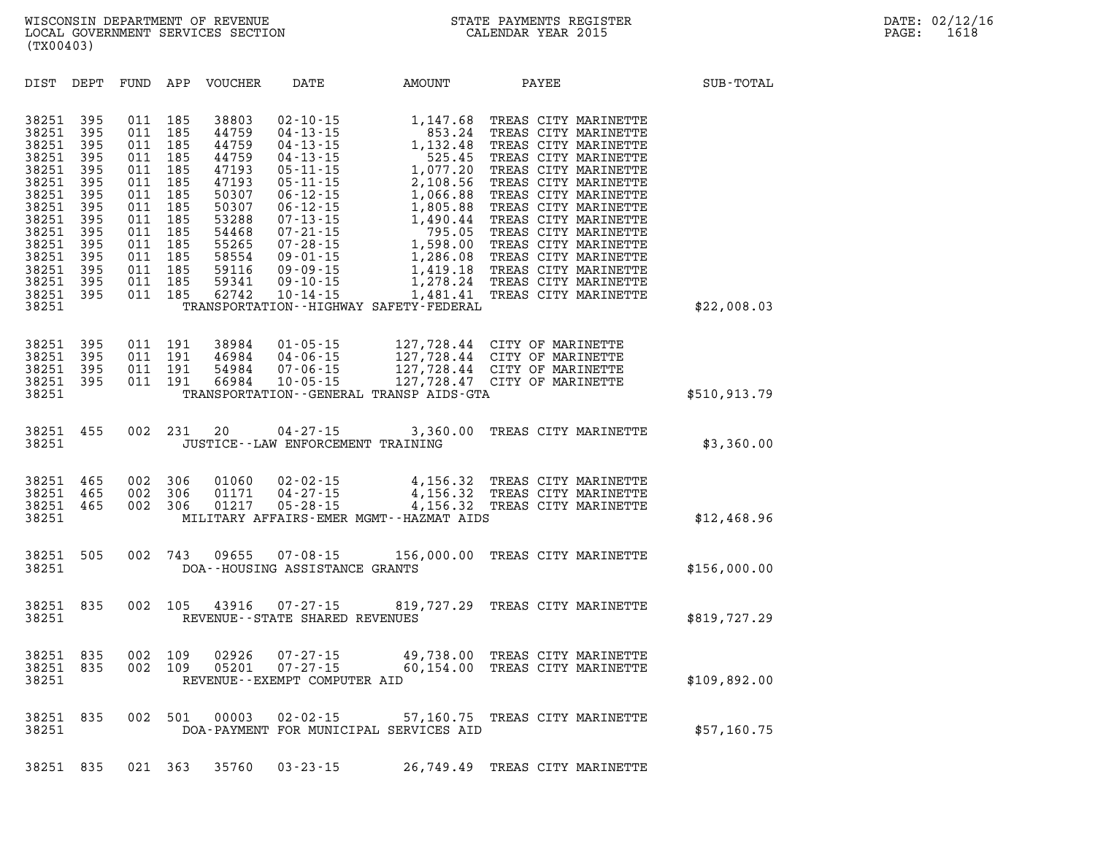**DIST DEPT FUND APP VOUCHER DATE AMOUNT PAYEE SUB-TOTAL 38251 395 011 185 38803 02-10-15 1,147.68 TREAS CITY MARINETTE 38251 395 011 185 44759 04-13-15 853.24 TREAS CITY MARINETTE 38251 395 011 185 44759 04-13-15 1,132.48 TREAS CITY MARINETTE 38251 395 011 185 44759 04-13-15 525.45 TREAS CITY MARINETTE 38251 395 011 185 47193 05-11-15 1,077.20 TREAS CITY MARINETTE 38251 395 011 185 47193 05-11-15 2,108.56 TREAS CITY MARINETTE 38251 395 011 185 50307 06-12-15 1,066.88 TREAS CITY MARINETTE 38251 395 011 185 50307 06-12-15 1,805.88 TREAS CITY MARINETTE 38251 395 011 185 53288 07-13-15 1,490.44 TREAS CITY MARINETTE 38251 395 011 185 54468 07-21-15 795.05 TREAS CITY MARINETTE 38251 395 011 185 55265 07-28-15 1,598.00 TREAS CITY MARINETTE 38251 395 011 185 58554 09-01-15 1,286.08 TREAS CITY MARINETTE 38251 395 011 185 59116 09-09-15 1,419.18 TREAS CITY MARINETTE 38251 395 011 185 59341 09-10-15 1,278.24 TREAS CITY MARINETTE 38251 395 011 185 62742 10-14-15 1,481.41 TREAS CITY MARINETTE 38251 TRANSPORTATION--HIGHWAY SAFETY-FEDERAL \$22,008.03 38251 395 011 191 38984 01-05-15 127,728.44 CITY OF MARINETTE 38251 395 011 191 46984 04-06-15 127,728.44 CITY OF MARINETTE 38251 395 011 191 54984 07-06-15 127,728.44 CITY OF MARINETTE 38251 395 011 191 66984 10-05-15 127,728.47 CITY OF MARINETTE 38251 TRANSPORTATION--GENERAL TRANSP AIDS-GTA \$510,913.79 38251 455 002 231 20 04-27-15 3,360.00 TREAS CITY MARINETTE**  38251 JUSTICE--LAW ENFORCEMENT TRAINING **38251 465 002 306 01060 02-02-15 4,156.32 TREAS CITY MARINETTE 38251 465 002 306 01171 04-27-15 4,156.32 TREAS CITY MARINETTE 38251 465 002 306 01217 05-28-15 4,156.32 TREAS CITY MARINETTE 38251 MILITARY AFFAIRS-EMER MGMT--HAZMAT AIDS \$12,468.96 38251 505 002 743 09655 07-08-15 156,000.00 TREAS CITY MARINETTE 38251 DOA--HOUSING ASSISTANCE GRANTS 38251 835 002 105 43916 07-27-15 819,727.29 TREAS CITY MARINETTE 38251 REVENUE--STATE SHARED REVENUES \$819,727.29 38251 835 002 109 02926 07-27-15 49,738.00 TREAS CITY MARINETTE 38251 835 002 109 05201 07-27-15 60,154.00 TREAS CITY MARINETTE 38251 REVENUE--EXEMPT COMPUTER AID \$109,892.00 38251 835 002 501 00003 02-02-15 57,160.75 TREAS CITY MARINETTE 38251 DOA-PAYMENT FOR MUNICIPAL SERVICES AID \$57,160.75** 

**38251 835 021 363 35760 03-23-15 26,749.49 TREAS CITY MARINETTE**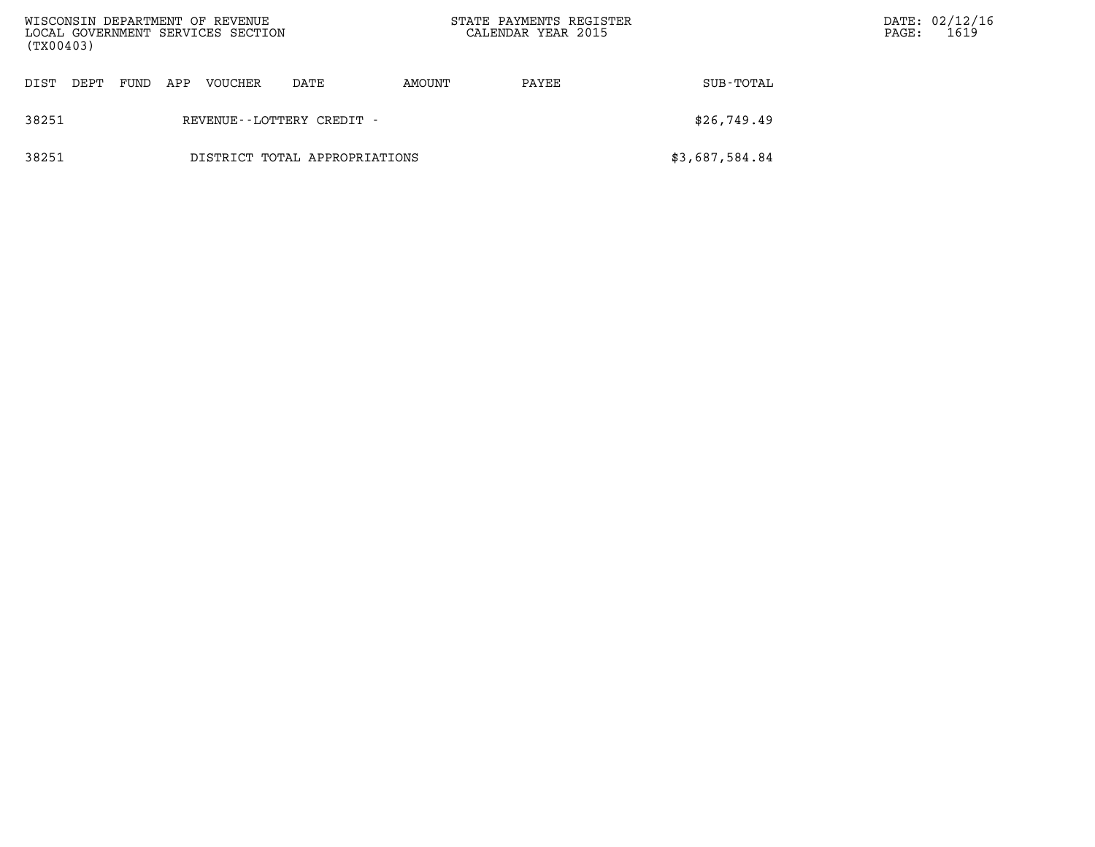| (TX00403)                              |      |     | WISCONSIN DEPARTMENT OF REVENUE<br>LOCAL GOVERNMENT SERVICES SECTION |      | STATE PAYMENTS REGISTER<br>CALENDAR YEAR 2015 |       | PAGE:          | DATE: 02/12/16<br>1619 |  |
|----------------------------------------|------|-----|----------------------------------------------------------------------|------|-----------------------------------------------|-------|----------------|------------------------|--|
| DIST<br>DEPT                           | FUND | APP | VOUCHER                                                              | DATE | AMOUNT                                        | PAYEE | SUB-TOTAL      |                        |  |
| 38251<br>REVENUE--LOTTERY CREDIT -     |      |     |                                                                      |      |                                               |       | \$26,749.49    |                        |  |
| 38251<br>DISTRICT TOTAL APPROPRIATIONS |      |     |                                                                      |      |                                               |       | \$3,687,584.84 |                        |  |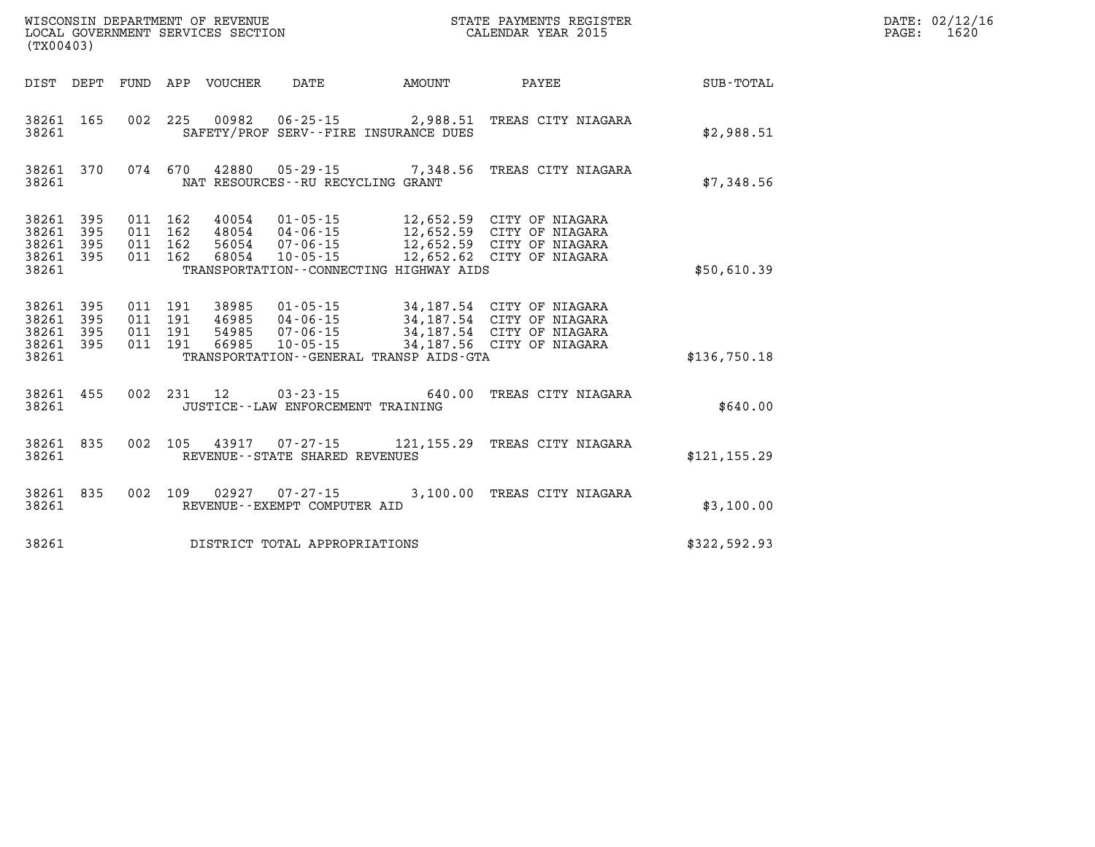| DATE: | 02/12/16 |
|-------|----------|
| PAGE: | 1620     |

| (TX00403)                                 |                          |                          |                          | WISCONSIN DEPARTMENT OF REVENUE<br>LOCAL GOVERNMENT SERVICES SECTION |                                                                  |                                                                   | STATE PAYMENTS REGISTER<br>CALENDAR YEAR 2015                                                          |                  |
|-------------------------------------------|--------------------------|--------------------------|--------------------------|----------------------------------------------------------------------|------------------------------------------------------------------|-------------------------------------------------------------------|--------------------------------------------------------------------------------------------------------|------------------|
| DIST                                      | DEPT                     | FUND                     | APP                      | VOUCHER                                                              | DATE                                                             | <b>AMOUNT</b>                                                     | PAYEE                                                                                                  | <b>SUB-TOTAL</b> |
| 38261<br>38261                            | 165                      | 002                      | 225                      |                                                                      | $00982$ $06 - 25 - 15$                                           | 2,988.51<br>SAFETY/PROF SERV--FIRE INSURANCE DUES                 | TREAS CITY NIAGARA                                                                                     | \$2,988.51       |
| 38261<br>38261                            | 370                      | 074                      | 670                      | 42880                                                                | $05 - 29 - 15$<br>NAT RESOURCES - - RU RECYCLING GRANT           | 7,348.56                                                          | TREAS CITY NIAGARA                                                                                     | \$7,348.56       |
| 38261<br>38261<br>38261<br>38261<br>38261 | 395<br>395<br>395<br>395 | 011<br>011<br>011<br>011 | 162<br>162<br>162<br>162 | 40054<br>48054<br>56054<br>68054                                     | $01 - 05 - 15$<br>04 - 06 - 15<br>07 - 06 - 15<br>$10 - 05 - 15$ | 12,652.59<br>12,652.62<br>TRANSPORTATION--CONNECTING HIGHWAY AIDS | 12,652.59 CITY OF NIAGARA<br>CITY OF NIAGARA<br>12,652.59 CITY OF NIAGARA<br>CITY OF NIAGARA           | \$50,610.39      |
| 38261<br>38261<br>38261<br>38261<br>38261 | 395<br>395<br>395<br>395 | 011<br>011<br>011<br>011 | 191<br>191<br>191<br>191 | 38985<br>46985<br>54985<br>66985                                     | $01 - 05 - 15$<br>04-06-15<br>$07 - 06 - 15$<br>$10 - 05 - 15$   | 34, 187.56<br>TRANSPORTATION--GENERAL TRANSP AIDS-GTA             | 34,187.54 CITY OF NIAGARA<br>34,187.54 CITY OF NIAGARA<br>34,187.54 CITY OF NIAGARA<br>CITY OF NIAGARA | \$136,750.18     |
| 38261<br>38261                            | 455                      | 002                      | 231                      | 12                                                                   | $03 - 23 - 15$<br>JUSTICE - - LAW ENFORCEMENT TRAINING           | 640.00                                                            | TREAS CITY NIAGARA                                                                                     | \$640.00         |
| 38261<br>38261                            | 835                      | 002                      | 105                      | 43917                                                                | $07 - 27 - 15$<br>REVENUE - - STATE SHARED REVENUES              | 121,155.29                                                        | TREAS CITY NIAGARA                                                                                     | \$121, 155.29    |
| 38261<br>38261                            | 835                      | 002                      | 109                      | 02927                                                                | $07 - 27 - 15$<br>REVENUE--EXEMPT COMPUTER AID                   | 3,100.00                                                          | TREAS CITY NIAGARA                                                                                     | \$3,100.00       |
| 38261                                     |                          |                          |                          |                                                                      | DISTRICT TOTAL APPROPRIATIONS                                    |                                                                   |                                                                                                        | \$322,592.93     |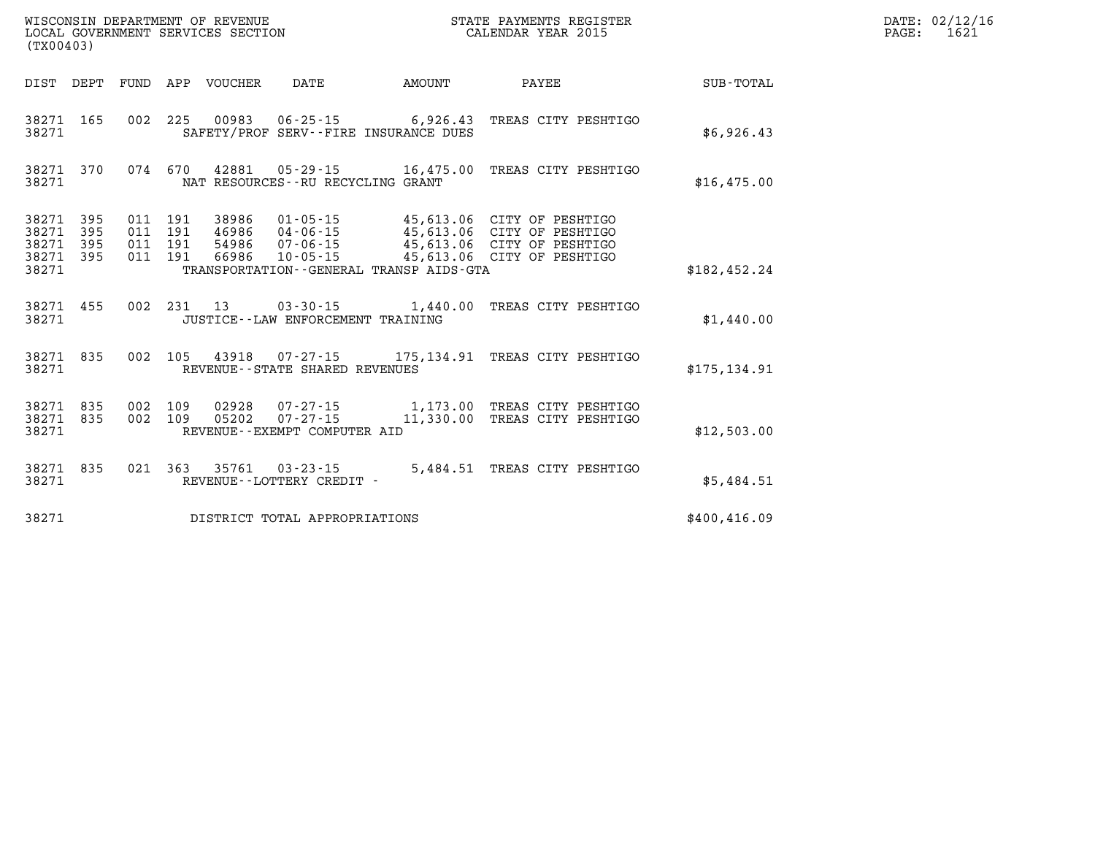| WISCONSIN DEPARTMENT OF REVENUE<br>LOCAL GOVERNMENT SERVICES SECTION<br>(TX00403) |                          |                          |                          |                                  |                                                                                                                 |                                     | STATE PAYMENTS REGISTER<br>CALENDAR YEAR 2015                                          |               |  |  |  |
|-----------------------------------------------------------------------------------|--------------------------|--------------------------|--------------------------|----------------------------------|-----------------------------------------------------------------------------------------------------------------|-------------------------------------|----------------------------------------------------------------------------------------|---------------|--|--|--|
| DIST                                                                              | DEPT                     | <b>FUND</b>              | APP                      | <b>VOUCHER</b>                   | <b>DATE</b>                                                                                                     | AMOUNT                              | PAYEE                                                                                  | SUB-TOTAL     |  |  |  |
| 38271<br>38271                                                                    | 165                      | 002                      | 225                      | 00983                            | $06 - 25 - 15$<br>SAFETY/PROF SERV--FIRE INSURANCE DUES                                                         | 6,926.43                            | TREAS CITY PESHTIGO                                                                    | \$6,926.43    |  |  |  |
| 38271<br>38271                                                                    | 370                      | 074                      | 670                      | 42881                            | NAT RESOURCES - - RU RECYCLING GRANT                                                                            |                                     | 05-29-15 16,475.00 TREAS CITY PESHTIGO                                                 | \$16,475.00   |  |  |  |
| 38271<br>38271<br>38271<br>38271<br>38271                                         | 395<br>395<br>395<br>395 | 011<br>011<br>011<br>011 | 191<br>191<br>191<br>191 | 38986<br>46986<br>54986<br>66986 | $01 - 05 - 15$<br>$04 - 06 - 15$<br>$07 - 06 - 15$<br>$10 - 05 - 15$<br>TRANSPORTATION--GENERAL TRANSP AIDS-GTA | 45,613.06<br>45,613.06<br>45,613.06 | CITY OF PESHTIGO<br>CITY OF PESHTIGO<br>45,613.06 CITY OF PESHTIGO<br>CITY OF PESHTIGO | \$182, 452.24 |  |  |  |
| 38271<br>38271                                                                    | 455                      | 002                      | 231                      | 13                               | $03 - 30 - 15$<br>JUSTICE - - LAW ENFORCEMENT TRAINING                                                          | 1,440.00                            | TREAS CITY PESHTIGO                                                                    | \$1,440.00    |  |  |  |
| 38271<br>38271                                                                    | 835                      | 002                      | 105                      | 43918                            | $07 - 27 - 15$ 175, 134.91<br>REVENUE - - STATE SHARED REVENUES                                                 |                                     | TREAS CITY PESHTIGO                                                                    | \$175,134.91  |  |  |  |
| 38271<br>38271<br>38271                                                           | 835<br>835               | 002<br>002               | 109<br>109               | 02928<br>05202                   | $07 - 27 - 15$<br>$07 - 27 - 15$<br>REVENUE - - EXEMPT COMPUTER AID                                             | 1,173.00<br>11,330.00               | TREAS CITY PESHTIGO<br>TREAS CITY PESHTIGO                                             | \$12,503.00   |  |  |  |
| 38271<br>38271                                                                    | 835                      | 021                      | 363                      | 35761                            | $03 - 23 - 15$<br>REVENUE - - LOTTERY CREDIT -                                                                  | 5,484.51                            | TREAS CITY PESHTIGO                                                                    | \$5,484.51    |  |  |  |
| 38271                                                                             |                          |                          |                          |                                  | DISTRICT TOTAL APPROPRIATIONS                                                                                   |                                     |                                                                                        | \$400, 416.09 |  |  |  |

**DATE: 02/12/16<br>PAGE: 1621**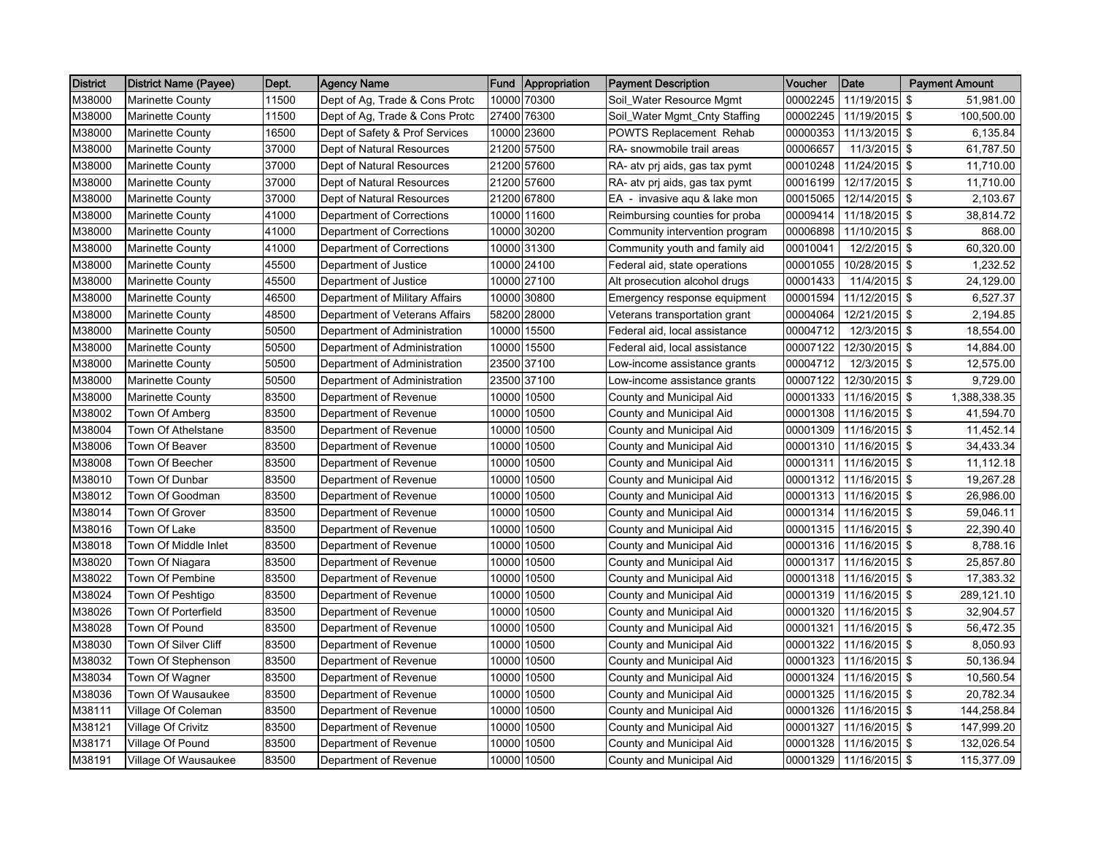| <b>District</b> | <b>District Name (Payee)</b> | Dept. | Agency Name                    | Fund  | Appropriation | <b>Payment Description</b>     | Voucher  | <b>Date</b>     | <b>Payment Amount</b> |
|-----------------|------------------------------|-------|--------------------------------|-------|---------------|--------------------------------|----------|-----------------|-----------------------|
| M38000          | <b>Marinette County</b>      | 11500 | Dept of Ag, Trade & Cons Protc | 10000 | 70300         | Soil Water Resource Mgmt       | 00002245 | 11/19/2015      | \$<br>51,981.00       |
| M38000          | <b>Marinette County</b>      | 11500 | Dept of Ag, Trade & Cons Protc |       | 27400 76300   | Soil_Water Mgmt_Cnty Staffing  | 00002245 | 11/19/2015      | \$<br>100,500.00      |
| M38000          | <b>Marinette County</b>      | 16500 | Dept of Safety & Prof Services | 10000 | 23600         | POWTS Replacement Rehab        | 00000353 | 11/13/2015 \$   | 6,135.84              |
| M38000          | <b>Marinette County</b>      | 37000 | Dept of Natural Resources      |       | 21200 57500   | RA- snowmobile trail areas     | 00006657 | 11/3/2015 \$    | 61,787.50             |
| M38000          | <b>Marinette County</b>      | 37000 | Dept of Natural Resources      | 21200 | 57600         | RA- atv pri aids, gas tax pymt | 00010248 | 11/24/2015      | \$<br>11,710.00       |
| M38000          | <b>Marinette County</b>      | 37000 | Dept of Natural Resources      |       | 21200 57600   | RA- atv prj aids, gas tax pymt | 00016199 | 12/17/2015 \$   | 11,710.00             |
| M38000          | <b>Marinette County</b>      | 37000 | Dept of Natural Resources      |       | 21200 67800   | EA - invasive agu & lake mon   | 00015065 | 12/14/2015 \$   | 2,103.67              |
| M38000          | Marinette County             | 41000 | Department of Corrections      |       | 10000 11600   | Reimbursing counties for proba | 00009414 | 11/18/2015 \$   | 38,814.72             |
| M38000          | <b>Marinette County</b>      | 41000 | Department of Corrections      | 10000 | 30200         | Community intervention program | 00006898 | 11/10/2015 \$   | 868.00                |
| M38000          | <b>Marinette County</b>      | 41000 | Department of Corrections      |       | 10000 31300   | Community youth and family aid | 00010041 | 12/2/2015 \$    | 60,320.00             |
| M38000          | Marinette County             | 45500 | Department of Justice          |       | 10000 24100   | Federal aid, state operations  | 00001055 | 10/28/2015 \$   | 1,232.52              |
| M38000          | <b>Marinette County</b>      | 45500 | Department of Justice          | 10000 | 27100         | Alt prosecution alcohol drugs  | 00001433 | $11/4/2015$ \$  | 24,129.00             |
| M38000          | <b>Marinette County</b>      | 46500 | Department of Military Affairs |       | 10000 30800   | Emergency response equipment   | 00001594 | 11/12/2015 \$   | 6,527.37              |
| M38000          | <b>Marinette County</b>      | 48500 | Department of Veterans Affairs | 58200 | 28000         | Veterans transportation grant  | 00004064 | 12/21/2015 \$   | 2,194.85              |
| M38000          | <b>Marinette County</b>      | 50500 | Department of Administration   | 10000 | 15500         | Federal aid, local assistance  | 00004712 | 12/3/2015 \$    | 18,554.00             |
| M38000          | Marinette County             | 50500 | Department of Administration   | 10000 | 15500         | Federal aid, local assistance  | 00007122 | 12/30/2015 \$   | 14,884.00             |
| M38000          | <b>Marinette County</b>      | 50500 | Department of Administration   |       | 23500 37100   | Low-income assistance grants   | 00004712 | 12/3/2015 \$    | 12,575.00             |
| M38000          | <b>Marinette County</b>      | 50500 | Department of Administration   | 23500 | 37100         | Low-income assistance grants   | 00007122 | 12/30/2015 \$   | 9,729.00              |
| M38000          | <b>Marinette County</b>      | 83500 | Department of Revenue          | 10000 | 10500         | County and Municipal Aid       | 00001333 | 11/16/2015 \$   | 1,388,338.35          |
| M38002          | Town Of Amberg               | 83500 | Department of Revenue          | 10000 | 10500         | County and Municipal Aid       | 00001308 | 11/16/2015 \$   | 41,594.70             |
| M38004          | Town Of Athelstane           | 83500 | Department of Revenue          | 10000 | 10500         | County and Municipal Aid       | 00001309 | 11/16/2015 \$   | 11,452.14             |
| M38006          | Town Of Beaver               | 83500 | Department of Revenue          | 10000 | 10500         | County and Municipal Aid       | 00001310 | 11/16/2015 \$   | 34,433.34             |
| M38008          | Town Of Beecher              | 83500 | Department of Revenue          | 10000 | 10500         | County and Municipal Aid       | 00001311 | $11/16/2015$ \$ | 11,112.18             |
| M38010          | Town Of Dunbar               | 83500 | Department of Revenue          | 10000 | 10500         | County and Municipal Aid       | 00001312 | 11/16/2015 \$   | 19,267.28             |
| M38012          | Town Of Goodman              | 83500 | Department of Revenue          | 10000 | 10500         | County and Municipal Aid       | 00001313 | 11/16/2015 \$   | 26,986.00             |
| M38014          | Town Of Grover               | 83500 | Department of Revenue          | 10000 | 10500         | County and Municipal Aid       | 00001314 | 11/16/2015 \$   | 59,046.11             |
| M38016          | Town Of Lake                 | 83500 | Department of Revenue          | 10000 | 10500         | County and Municipal Aid       | 00001315 | 11/16/2015 \$   | 22,390.40             |
| M38018          | Town Of Middle Inlet         | 83500 | Department of Revenue          | 10000 | 10500         | County and Municipal Aid       | 00001316 | 11/16/2015 \$   | 8,788.16              |
| M38020          | Town Of Niagara              | 83500 | Department of Revenue          | 10000 | 10500         | County and Municipal Aid       | 00001317 | 11/16/2015 \$   | 25,857.80             |
| M38022          | Town Of Pembine              | 83500 | Department of Revenue          | 10000 | 10500         | County and Municipal Aid       | 00001318 | 11/16/2015 \$   | 17,383.32             |
| M38024          | Town Of Peshtigo             | 83500 | Department of Revenue          | 10000 | 10500         | County and Municipal Aid       | 00001319 | $11/16/2015$ \$ | 289,121.10            |
| M38026          | Town Of Porterfield          | 83500 | Department of Revenue          | 10000 | 10500         | County and Municipal Aid       | 00001320 | 11/16/2015      | \$<br>32,904.57       |
| M38028          | Town Of Pound                | 83500 | Department of Revenue          | 10000 | 10500         | County and Municipal Aid       | 00001321 | 11/16/2015 \$   | 56,472.35             |
| M38030          | Town Of Silver Cliff         | 83500 | Department of Revenue          | 10000 | 10500         | County and Municipal Aid       | 00001322 | 11/16/2015 \$   | 8,050.93              |
| M38032          | Town Of Stephenson           | 83500 | Department of Revenue          | 10000 | 10500         | County and Municipal Aid       | 00001323 | 11/16/2015 \$   | 50,136.94             |
| M38034          | Town Of Wagner               | 83500 | Department of Revenue          | 10000 | 10500         | County and Municipal Aid       | 00001324 | 11/16/2015 \$   | 10,560.54             |
| M38036          | Town Of Wausaukee            | 83500 | Department of Revenue          | 10000 | 10500         | County and Municipal Aid       | 00001325 | 11/16/2015 \$   | 20,782.34             |
| M38111          | Village Of Coleman           | 83500 | Department of Revenue          | 10000 | 10500         | County and Municipal Aid       | 00001326 | 11/16/2015      | \$<br>144,258.84      |
| M38121          | Village Of Crivitz           | 83500 | Department of Revenue          | 10000 | 10500         | County and Municipal Aid       | 00001327 | 11/16/2015 \$   | 147,999.20            |
| M38171          | Village Of Pound             | 83500 | Department of Revenue          | 10000 | 10500         | County and Municipal Aid       | 00001328 | 11/16/2015 \$   | 132,026.54            |
| M38191          | Village Of Wausaukee         | 83500 | Department of Revenue          |       | 10000 10500   | County and Municipal Aid       | 00001329 | 11/16/2015 \$   | 115,377.09            |